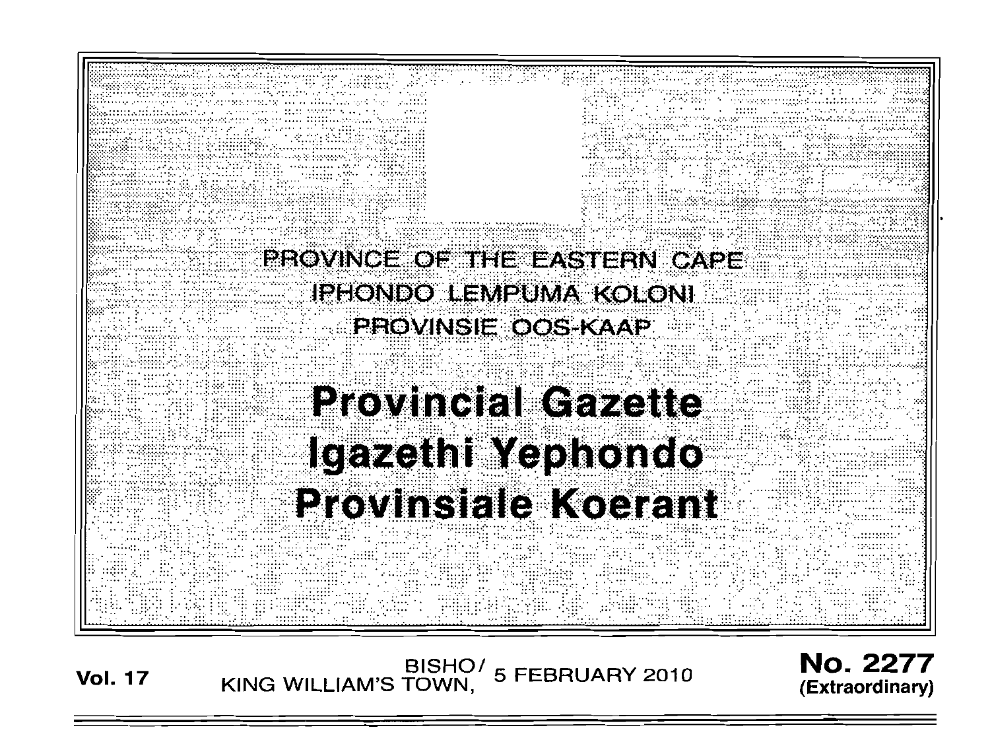

**Vol. <sup>17</sup> BISHO/ KING WILLIAM'S TOWN, 5 FEBRUARY 2010**

No. 2277 **(Extraordinary)**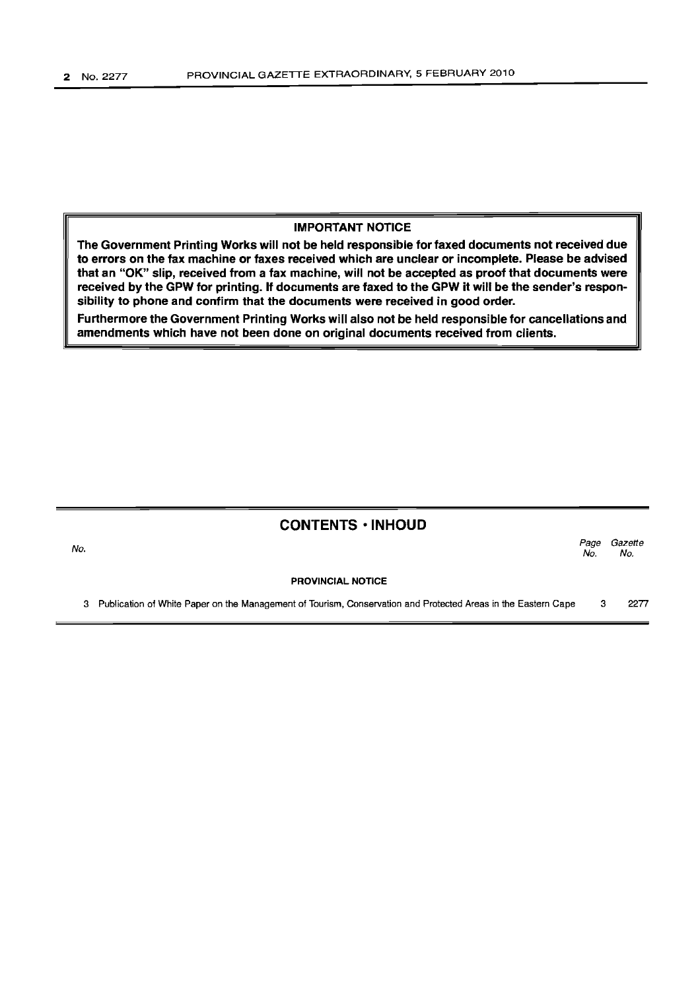No.

### IMPORTANT NOTICE

The Government Printing Works will not be held responsible for faxed documents not received due to errors on the fax machine or faxes received which are unclear or incomplete. Please be advised that an "OK" slip, received from a fax machine, will not be accepted as proof that documents were received by the GPW for printing. If documents are faxed to the GPW it will be the sender's responsibility to phone and confirm that the documents were received in good order.

Furthermore the Government Printing Works will also not be held responsible for cancellations and amendments which have not been done on original documents received from clients.

### CONTENTS -INHOUD

Page Gazette No. No.

PROVINCIAL NOTICE

3 Publication of White Paper on the Management of Tourism, Conservation and Protected Areas in the Eastern Cape 3 2277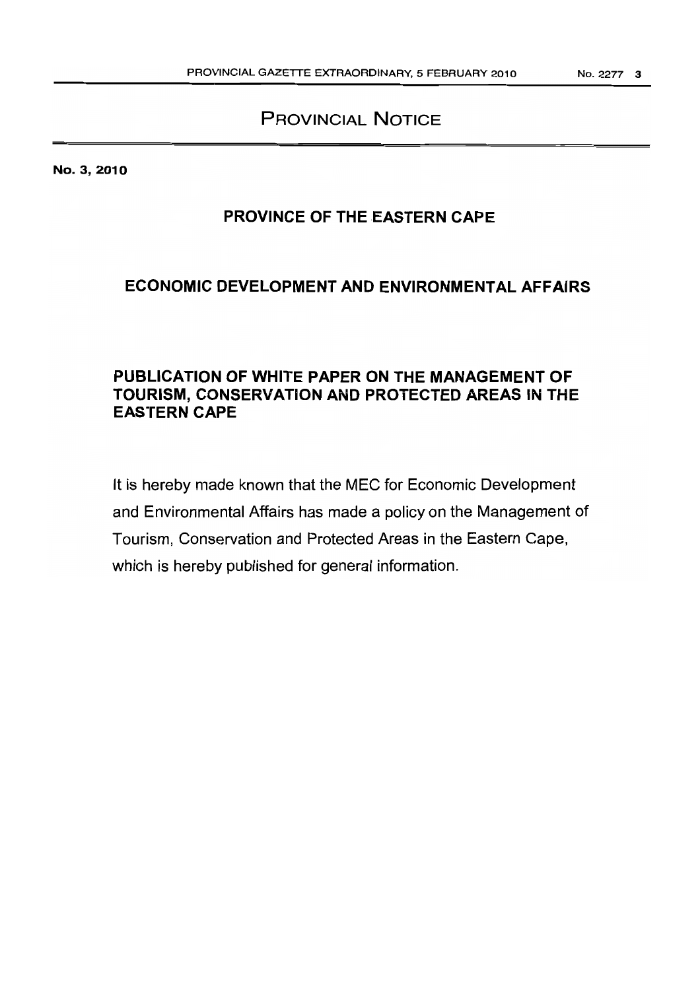# PROVINCIAL NOTICE

No. 3, 2010

# **PROVINCE OF THE EASTERN CAPE**

# **ECONOMIC DEVELOPMENT AND ENVIRONMENTAL AFFAIRS**

# **PUBLICATION OF WHITE PAPER ON THE MANAGEMENT OF TOURISM, CONSERVATION AND PROTECTED AREAS IN THE EASTERN CAPE**

It is hereby made known that the MEC for Economic Development and Environmental Affairs has made a policy on the Management of Tourism, Conservation and Protected Areas in the Eastern Cape, which is hereby published for general information.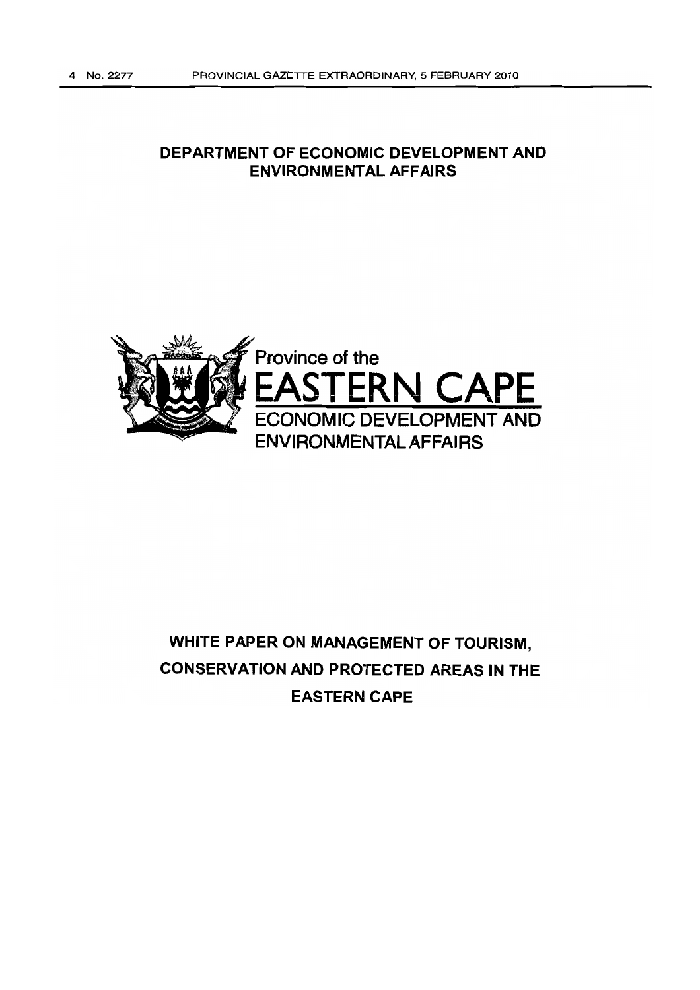# **DEPARTMENT OF ECONOMIC DEVELOPMENT AND ENVIRONMENTAL AFFAIRS**



# **WHITE PAPER ON MANAGEMENT OF TOURISM, CONSERVATION AND PROTECTED AREAS IN THE EASTERN CAPE**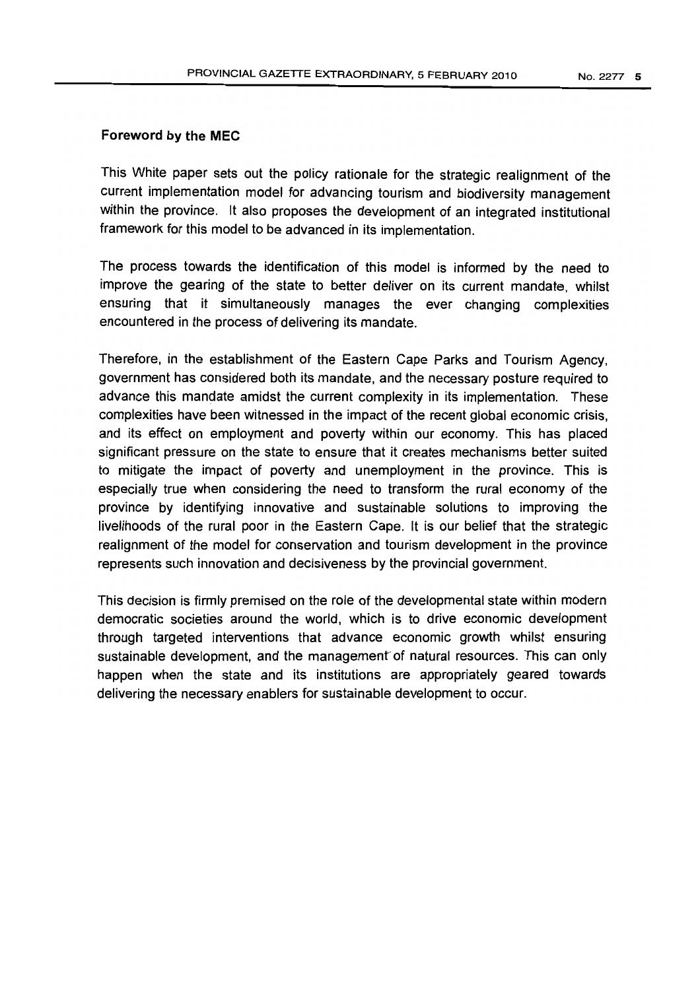### Foreword by the **MEC**

This White paper sets out the policy rationale for the strategic realignment of the current implementation model for advancing tourism and biodiversity management within the province. It also proposes the development of an integrated institutional framework for this model to be advanced in its implementation.

The process towards the identification of this model is informed by the need to improve the gearing of the state to better deliver on its current mandate, whilst ensuring that it simultaneously manages the ever changing complexities encountered in the process of delivering its mandate.

Therefore, in the establishment of the Eastern Cape Parks and Tourism Agency, government has considered both its mandate, and the necessary posture required to advance this mandate amidst the current complexity in its implementation. These complexities have been witnessed in the impact of the recent global economic crisis, and its effect on employment and poverty within our economy. This has placed significant pressure on the state to ensure that it creates mechanisms better suited to mitigate the impact of poverty and unemployment in the province. This is especially true when considering the need to transform the rural economy of the province by identifying innovative and sustainable solutions to improving the livelihoods of the rural poor in the Eastern Cape. It is our belief that the strategic realignment of the model for conservation and tourism development in the province represents such innovation and decisiveness by the provincial government.

This decision is firmly premised on the role of the developmental state within modern democratic societies around the world, which is to drive economic development through targeted interventions that advance economic growth whilst ensuring sustainable development, and the management' of natural resources. This can only happen when the state and its institutions are appropriately geared towards delivering the necessary enablers for sustainable development to occur.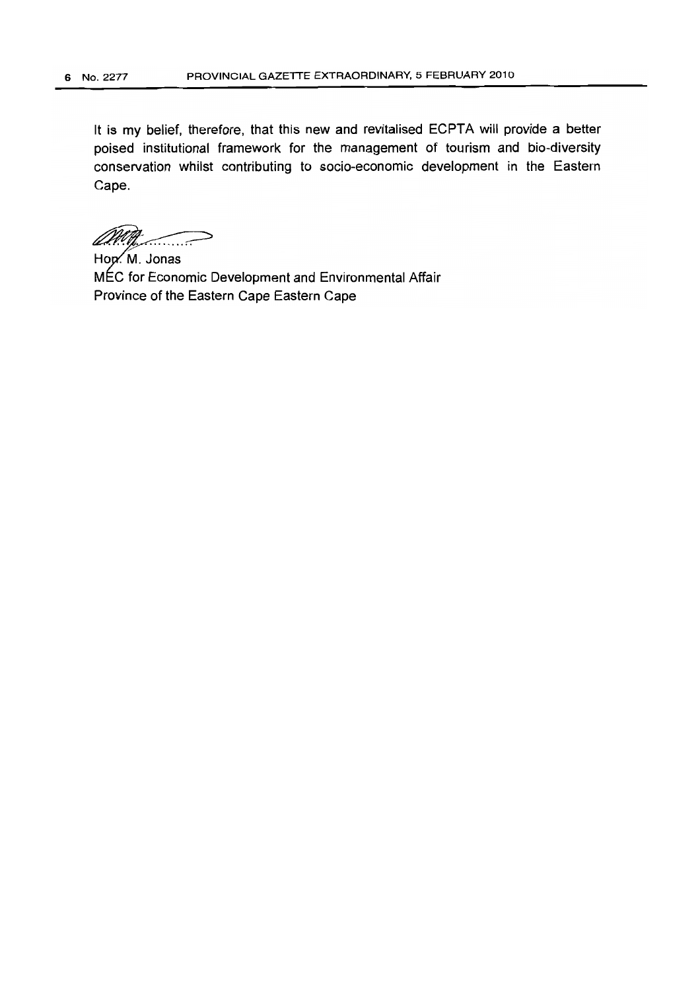It is my belief, therefore, that this new and revitalised ECPTA will provide a better poised institutional framework for the management of tourism and bio-diversity conservation whilst contributing to socio-economic development in the Eastern Cape.

../~

Hon. M. Jonas MEC for Economic Development and Environmental Affair Province of the Eastern Cape Eastern Cape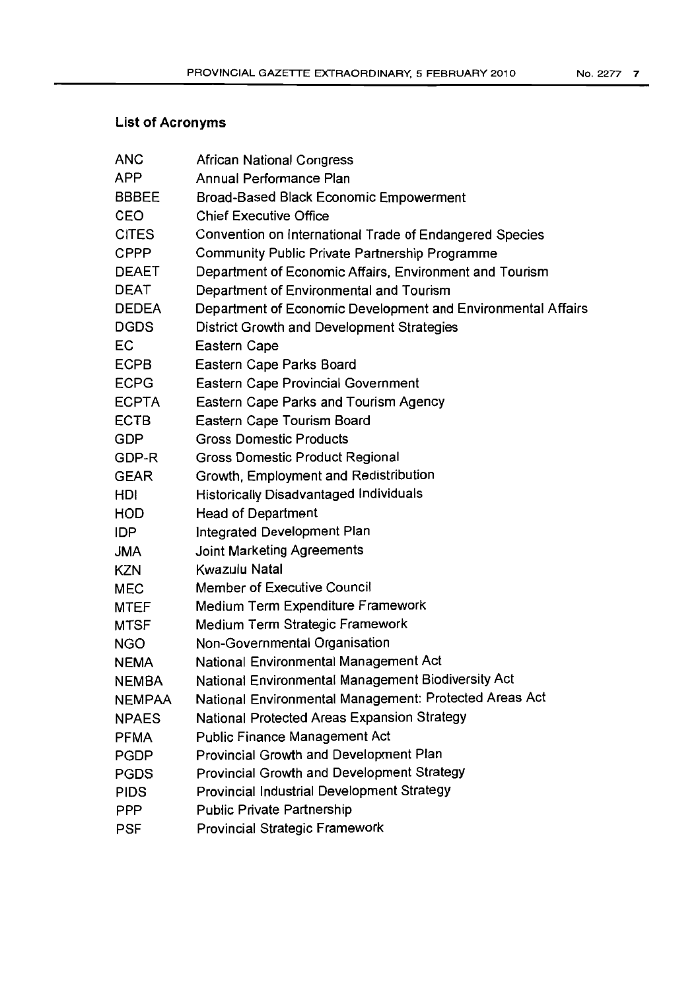# **List of Acronyms**

| <b>ANC</b>    | African National Congress                                    |
|---------------|--------------------------------------------------------------|
| <b>APP</b>    | Annual Performance Plan                                      |
| <b>BBBEE</b>  | Broad-Based Black Economic Empowerment                       |
| CEO           | <b>Chief Executive Office</b>                                |
| <b>CITES</b>  | Convention on International Trade of Endangered Species      |
| <b>CPPP</b>   | Community Public Private Partnership Programme               |
| <b>DEAET</b>  | Department of Economic Affairs, Environment and Tourism      |
| <b>DEAT</b>   | Department of Environmental and Tourism                      |
| <b>DEDEA</b>  | Department of Economic Development and Environmental Affairs |
| <b>DGDS</b>   | District Growth and Development Strategies                   |
| EC            | Eastern Cape                                                 |
| <b>ECPB</b>   | Eastern Cape Parks Board                                     |
| <b>ECPG</b>   | <b>Eastern Cape Provincial Government</b>                    |
| <b>ECPTA</b>  | <b>Eastern Cape Parks and Tourism Agency</b>                 |
| <b>ECTB</b>   | Eastern Cape Tourism Board                                   |
| <b>GDP</b>    | <b>Gross Domestic Products</b>                               |
| GDP-R         | <b>Gross Domestic Product Regional</b>                       |
| <b>GEAR</b>   | Growth, Employment and Redistribution                        |
| HDI           | <b>Historically Disadvantaged Individuals</b>                |
| <b>HOD</b>    | <b>Head of Department</b>                                    |
| <b>IDP</b>    | Integrated Development Plan                                  |
| <b>JMA</b>    | Joint Marketing Agreements                                   |
| <b>KZN</b>    | Kwazulu Natal                                                |
| <b>MEC</b>    | <b>Member of Executive Council</b>                           |
| <b>MTEF</b>   | Medium Term Expenditure Framework                            |
| <b>MTSF</b>   | Medium Term Strategic Framework                              |
| <b>NGO</b>    | Non-Governmental Organisation                                |
| <b>NEMA</b>   | National Environmental Management Act                        |
| <b>NEMBA</b>  | National Environmental Management Biodiversity Act           |
| <b>NEMPAA</b> | National Environmental Management: Protected Areas Act       |
| <b>NPAES</b>  | National Protected Areas Expansion Strategy                  |
| <b>PFMA</b>   | <b>Public Finance Management Act</b>                         |
| <b>PGDP</b>   | Provincial Growth and Development Plan                       |
| <b>PGDS</b>   | Provincial Growth and Development Strategy                   |
| <b>PIDS</b>   | Provincial Industrial Development Strategy                   |
| <b>PPP</b>    | <b>Public Private Partnership</b>                            |
| <b>PSF</b>    | Provincial Strategic Framework                               |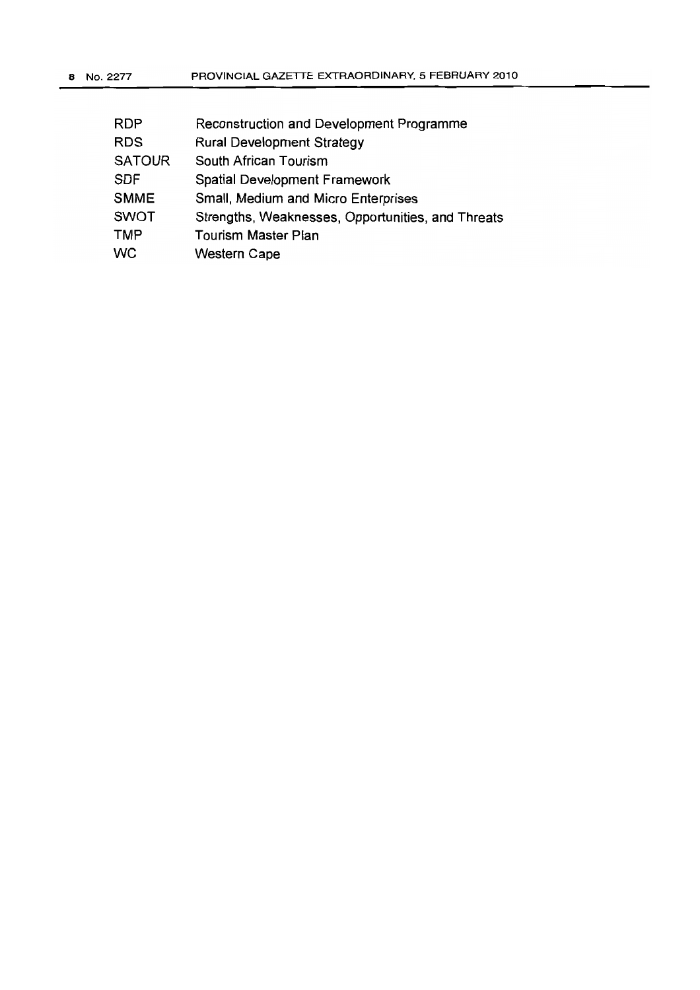| RDP           | <b>Reconstruction and Development Programme</b>   |
|---------------|---------------------------------------------------|
| <b>RDS</b>    | <b>Rural Development Strategy</b>                 |
| <b>SATOUR</b> | South African Tourism                             |
| <b>SDF</b>    | <b>Spatial Development Framework</b>              |
| <b>SMME</b>   | Small, Medium and Micro Enterprises               |
| <b>SWOT</b>   | Strengths, Weaknesses, Opportunities, and Threats |
| <b>TMP</b>    | <b>Tourism Master Plan</b>                        |
| <b>WC</b>     | <b>Western Cape</b>                               |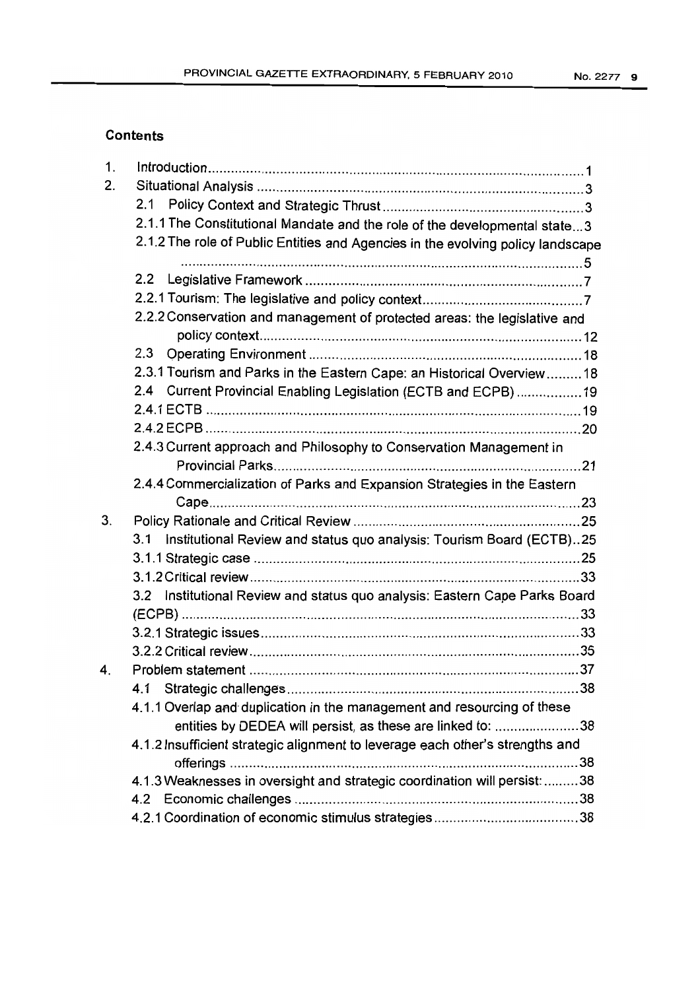# **Contents**

| 1. |                                                                                 |  |
|----|---------------------------------------------------------------------------------|--|
| 2. |                                                                                 |  |
|    | 2.1                                                                             |  |
|    | 2.1.1 The Constitutional Mandate and the role of the developmental state3       |  |
|    | 2.1.2 The role of Public Entities and Agencies in the evolving policy landscape |  |
|    |                                                                                 |  |
|    | 2.2                                                                             |  |
|    |                                                                                 |  |
|    | 2.2.2 Conservation and management of protected areas: the legislative and       |  |
|    |                                                                                 |  |
|    |                                                                                 |  |
|    | 2.3.1 Tourism and Parks in the Eastern Cape: an Historical Overview 18          |  |
|    | 2.4 Current Provincial Enabling Legislation (ECTB and ECPB) 19                  |  |
|    |                                                                                 |  |
|    |                                                                                 |  |
|    | 2.4.3 Current approach and Philosophy to Conservation Management in             |  |
|    |                                                                                 |  |
|    | 2.4.4 Commercialization of Parks and Expansion Strategies in the Eastern        |  |
|    |                                                                                 |  |
| 3. |                                                                                 |  |
|    | Institutional Review and status quo analysis: Tourism Board (ECTB)25<br>3.1     |  |
|    |                                                                                 |  |
|    |                                                                                 |  |
|    | 3.2 Institutional Review and status quo analysis: Eastern Cape Parks Board      |  |
|    |                                                                                 |  |
|    |                                                                                 |  |
|    |                                                                                 |  |
| 4. |                                                                                 |  |
|    |                                                                                 |  |
|    | 4.1.1 Overlap and duplication in the management and resourcing of these         |  |
|    | entities by DEDEA will persist, as these are linked to: 38                      |  |
|    | 4.1.2 Insufficient strategic alignment to leverage each other's strengths and   |  |
|    |                                                                                 |  |
|    | 4.1.3 Weaknesses in oversight and strategic coordination will persist:  38      |  |
|    |                                                                                 |  |
|    |                                                                                 |  |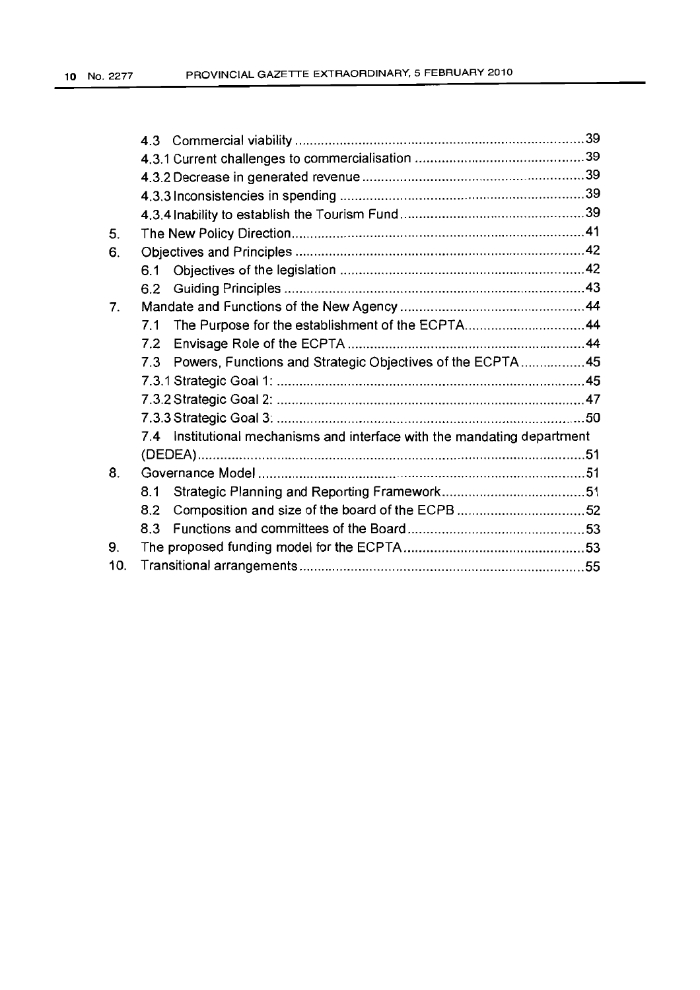| 5.  |                                                                             |  |
|-----|-----------------------------------------------------------------------------|--|
| 6.  |                                                                             |  |
|     | 6.1                                                                         |  |
|     | 6.2                                                                         |  |
| 7.  |                                                                             |  |
|     | The Purpose for the establishment of the ECPTA44<br>7.1                     |  |
|     | 7.2                                                                         |  |
|     | Powers, Functions and Strategic Objectives of the ECPTA 45<br>7.3           |  |
|     |                                                                             |  |
|     |                                                                             |  |
|     |                                                                             |  |
|     | Institutional mechanisms and interface with the mandating department<br>7.4 |  |
|     |                                                                             |  |
| 8.  |                                                                             |  |
|     | 8.1                                                                         |  |
|     | Composition and size of the board of the ECPB 52<br>8.2                     |  |
|     | 8.3                                                                         |  |
| 9.  |                                                                             |  |
| 10. |                                                                             |  |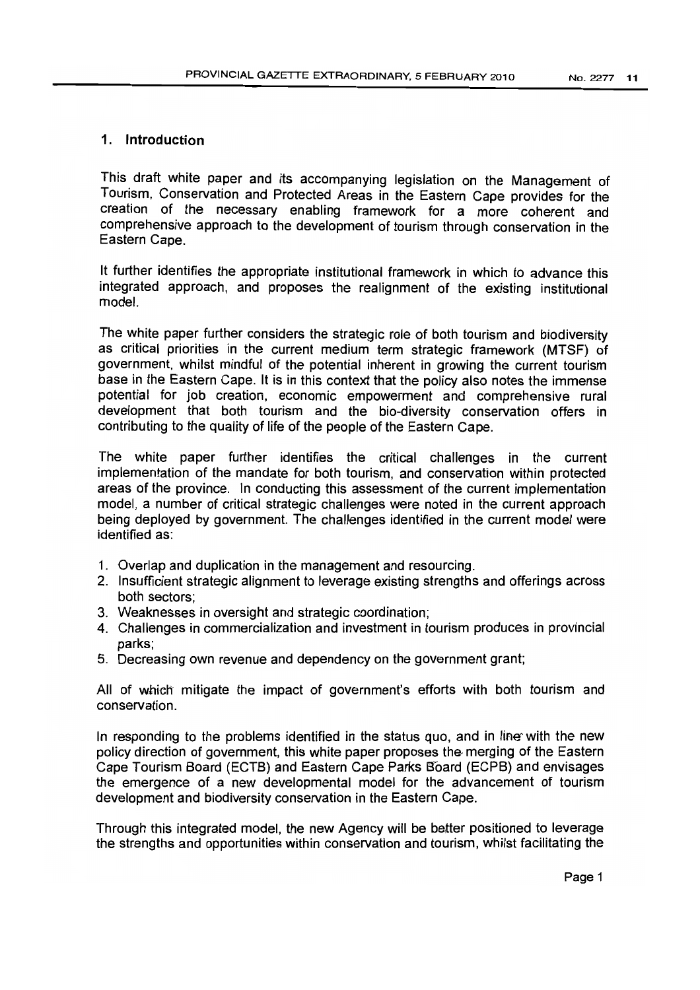# 1. Introduction

This draft white paper and its accompanying legislation on the Management of Tourism, Conservation and Protected Areas in the Eastern Cape provides for the creation of the necessary enabling framework for a more coherent and comprehensive approach to the development of tourism through conservation in the Eastern Cape.

It further identifies the appropriate institutional framework in which to advance this integrated approach, and proposes the realignment of the existing institutional model.

The white paper further considers the strategic role of both tourism and biodiversity as critical priorities in the current medium term strategic framework (MTSF) of government, whilst mindful of the potential inherent in growing the current tourism base in the Eastern Cape. It is in this context that the policy also notes the immense potential for job creation, economic empowerment and comprehensive rural development that both tourism and the bio-diversity conservation offers in contributing to the quality of life of the people of the Eastern Cape.

The white paper further identifies the critical challenges in the current implementation of the mandate for both tourism, and conservation within protected areas of the province. In conducting this assessment of the current implementation model, a number of critical strategic challenges were noted in the current approach being deployed by government. The challenges identified in the current model were identified as:

- 1. Overlap and duplication in the management and resourcing.
- 2. Insufficient strategic alignment to leverage existing strengths and offerings across both sectors;
- 3. Weaknesses in oversight and strategic coordination;
- 4. Challenges in commercialization and investment in tourism produces in provincial parks;
- 5. Decreasing own revenue and dependency on the government grant;

All of which mitigate the impact of government's efforts with both tourism and conservation.

In responding to the problems identified in the status quo, and in line with the new policy direction of government, this white paper proposes the merging of the Eastern Cape Tourism Board (ECTB) and Eastern Cape Parks Board (ECPB) and envisages the emergence of a new developmental model for the advancement of tourism development and biodiversity conservation in the Eastern Cape.

Through this integrated model, the new Agency will be better positioned to leverage the strengths and opportunities within conservation and tourism, whilst facilitating the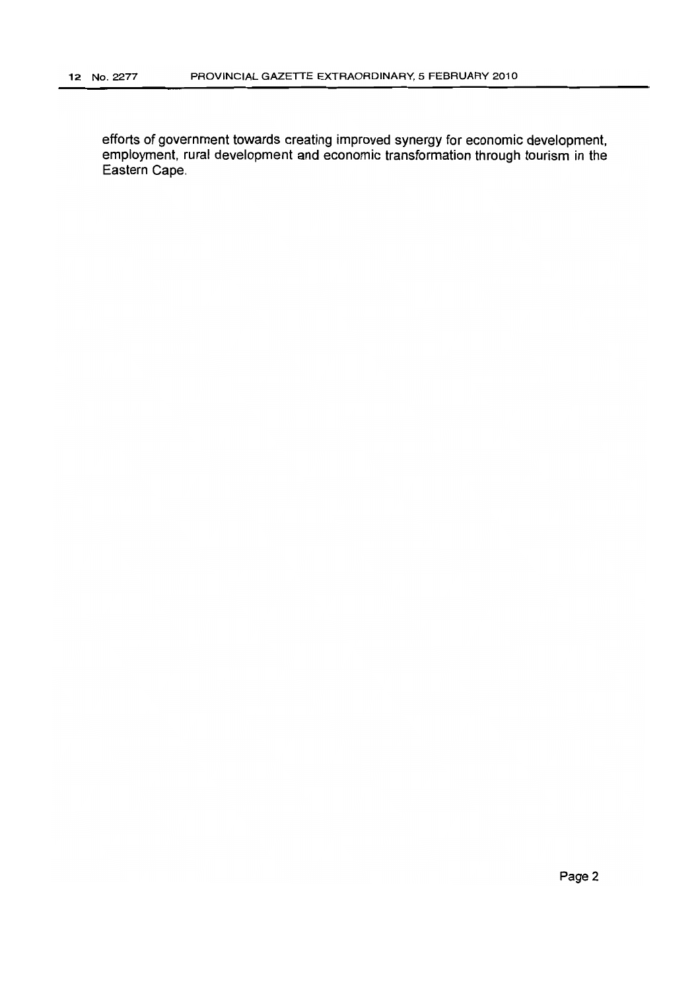efforts of government towards creating improved synergy for economic development, employment, rural development and economic transformation through tourism in the Eastern Cape.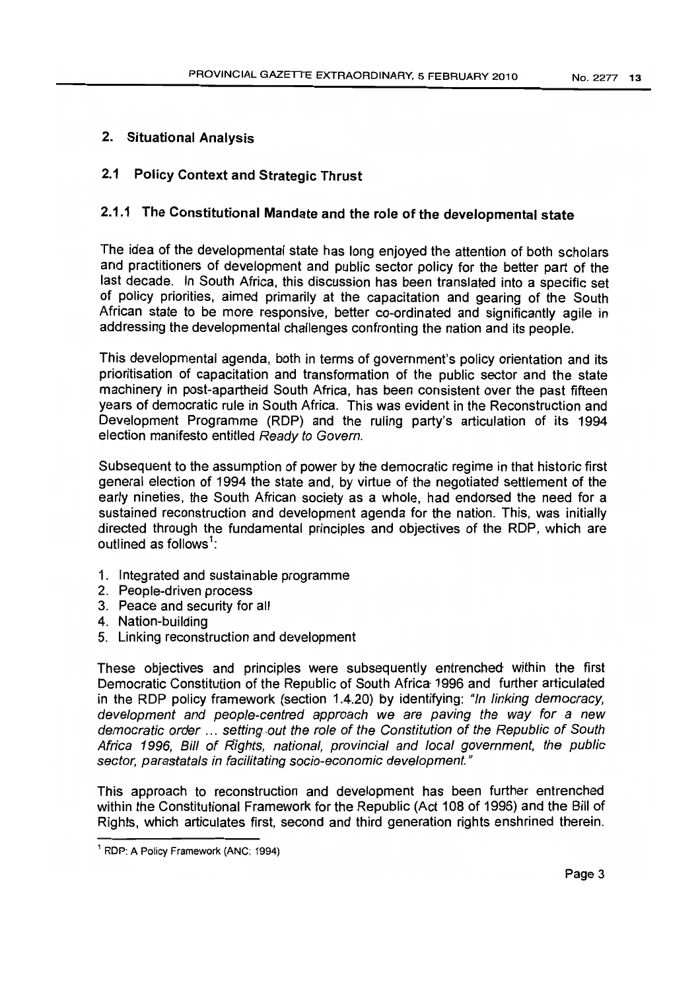# 2. Situational Analysis

# 2.1 Policy Context and Strategic Thrust

# 2.1.1 The Constitutional Mandate and the role of the developmental state

The idea of the developmental state has long enjoyed the attention of both scholars and practitioners of development and public sector policy for the better part of the last decade. In South Africa, this discussion has been translated into a specific set of policy priorities, aimed primarily at the capacitation and gearing of the South African state to be more responsive, better co-ordinated and significantly agile in addressing the developmental challenges confronting the nation and its people.

This developmental agenda, both in terms of government's policy orientation and its prioritisation of capacitation and transformation of the public sector and the state machinery in post-apartheid South Africa, has been consistent over the past fifteen years of democratic rule in South Africa. This was evident in the Reconstruction and Development Programme (RDP) and the ruling party's articulation of its 1994 election manifesto entitled Ready to Govern.

SUbsequent to the assumption of power by the democratic regime in that historic first general election of 1994 the state and, by virtue of the negotiated settlement of the early nineties, the South African society as a whole, had endorsed the need for a sustained reconstruction and development agenda for the nation. This, was initially directed through the fundamental principles and objectives of the RDP, which are outlined as follows<sup>1</sup>:

- 1. Integrated and sustainable programme
- 2. People-driven process
- 3. Peace and security for all
- 4. Nation-building
- 5. Linking reconstruction and development

These objectives and principles were subsequently entrenched within the first Democratic Constitution of the Republic of South Africa- 1996 and further articulated in the RDP policy framework (section 1.4.20) by identifying: "In linking democracy, development and people-centred approach we are paving the way for a new democratic order ... setting-out the role of the Constitution of the Republic of South Africa 1996, Bill of RIghts, national, provincial and local government, the public sector, parastatals in facilitating socio-economic development."

This approach to reconstruction and development has been further entrenched within the Constitutional Framework for the Republic (Act 108 of 1996) and the Bill of Rights, which articulates first, second and third generation rights enshrined therein.

<sup>1</sup> RDP: A Policy Framework (ANC: 1994)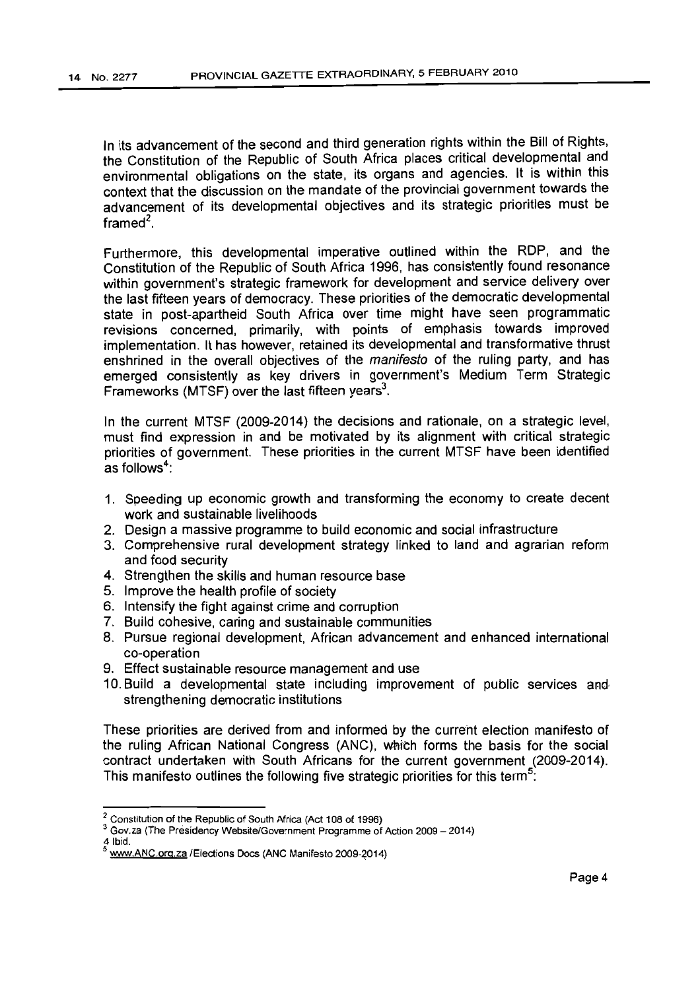In its advancement of the second and third generation rights within the Bill of Rights, the Constitution of the Republic of South Africa places critical developmental and environmental obligations on the state, its organs and agencies. It is within this context that the discussion on the mandate of the provincial government towards the advancement of its developmental objectives and its strategic priorities must be framed'.

Furthermore, this developmental imperative outlined within the RDP, and the Constitution of the Republic of South Africa 1996, has consistently found resonance within government's strategic framework for development and service delivery over the last fifteen years of democracy. These priorities of the democratic developmental state in post-apartheid South Africa over time might have seen programmatic revisions concerned, primarily, with points of emphasis towards improved implementation. It has however, retained its developmental and transformative thrust enshrined in the overall objectives of the manifesto of the ruling party, and has emerged consistently as key drivers in government's Medium Term Strategic Frameworks (MTSF) over the last fifteen years $3$ .

In the current MTSF (2009-2014) the decisions and rationale, on a strategic level, must find expression in and be motivated by its alignment with critical strategic priorities of government. These priorities in the current MTSF have been identified as follows":

- 1. Speeding up economic growth and transforming the economy to create decent work and sustainable livelihoods
- 2. Design a massive programme to build economic and social infrastructure
- 3. Comprehensive rural development strategy linked to land and agrarian reform and food security
- 4. Strengthen the skills and human resource base
- 5. Improve the health profile of society
- 6. Intensify the fight against crime and corruption
- 7. Build cohesive, caring and sustainable communities
- 8. Pursue regional development, African advancement and enhanced international co-operation
- 9. Effect sustainable resource management and use
- 10. Build a developmental state including improvement of public services and strengthening democratic institutions

These priorities are derived from and informed by the current election manifesto of the ruling African National Congress (ANC), which forms the basis for the social contract undertaken with South Africans for the current government (2009-2014). This manifesto outlines the following five strategic priorities for this term<sup>3</sup>:

<sup>2</sup> Constitution of the Republic of South Africa (Act 108 of 1996)

<sup>3</sup> Gov.za (The Presidency Website/Government Programme of Action 2009 - 2014)

<sup>4</sup> Ibid.

www.ANC.org.za /Elections Docs (ANC Manifesto 2009-2014)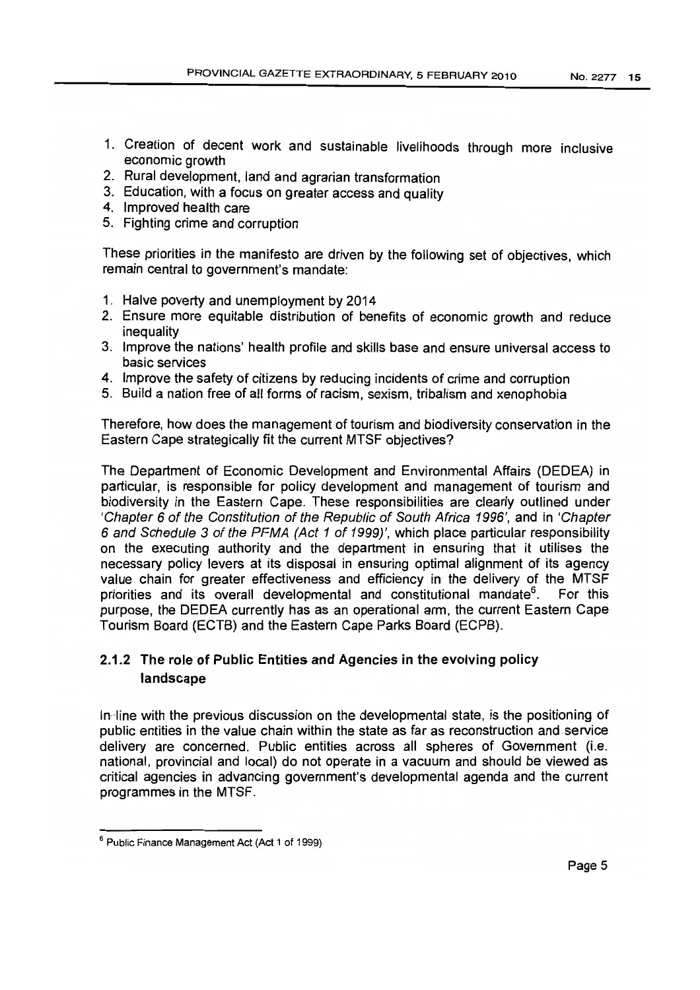- 1. Creation of decent work and sustainable livelihoods through more inclusive economic growth
- 2. Rural development, land and agrarian transformation
- 3. Education, with a focus on greater access and quality
- 4. Improved health care
- 5. Fighting crime and corruption

These priorities in the manifesto are driven by the following set of objectives, which remain central to government's mandate:

- 1. Halve poverty and unemployment by 2014
- 2. Ensure more equitable distribution of benefits of economic growth and reduce inequality
- 3. Improve the nations' health profile and skills base and ensure universal access to basic services
- 4. Improve the safety of citizens by reducing incidents of crime and corruption
- 5. Build a nation free of all forms of racism, sexism, tribalism and xenophobia

Therefore, how does the management of tourism and biodiversity conservation in the Eastern Cape strategically fit the current MTSF objectives?

The Department of Economic Development and Environmental Affairs (DEDEA) in particular, is responsible for policy development and management of tourism and biodiversity in the Eastern Cape. These responsibilities are clearly outlined under 'Chapter 6 of the Constitution of the Republic of South Africa 1996', and in 'Chapter 6 and Schedule 3 of the PFMA (Act 1 of 1999)', which place particular responsibility on the executing authority and the department in ensuring that it utilises the necessary policy levers at its disposal in ensuring optimal alignment of its agency value chain for greater effectiveness and efficiency in the delivery of the MTSF priorities and its overall developmental and constitutional mandate<sup>6</sup>. For this purpose, the DEDEA currently has as an operational arm, the current Eastern Cape Tourism Board (ECTB) and the Eastern Cape Parks Board (ECPB).

# 2.1.2 The role of Public Entities and Agencies in the evolving policy landscape

 $\ln$ line with the previous discussion on the developmental state, is the positioning of public entities in the value chain within the state as far as reconstruction and service delivery are concerned. Public entities across all spheres of Government (i.e. national, provincial and local) do not operate in a vacuum and should be viewed as critical agencies in advancing government's developmental agenda and the current programmes in the MTSF.

<sup>6</sup> Public Finance Management Act (Act 1 of 1999)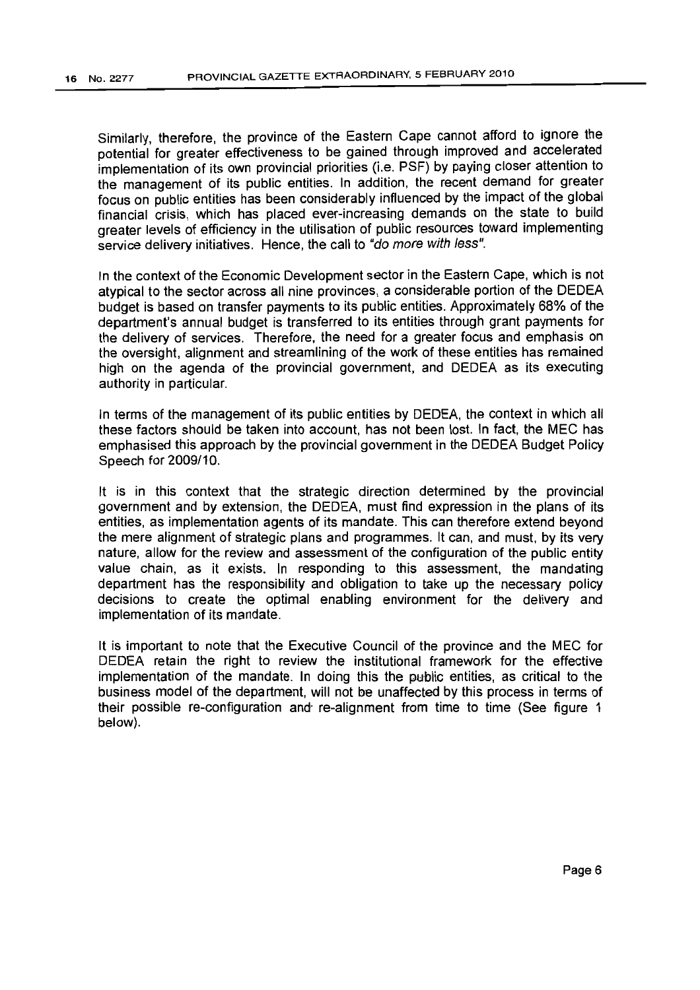Similarly, therefore, the province of the Eastern Cape cannot afford to ignore the potential for greater effectiveness to be gained through improved and accelerated implementation of its own provincial priorities (i.e. PSF) by paying closer attention to the management of its public entities. In addition, the recent demand for greater focus on public entities has been considerably influenced by the impact of the global financial crisis, which has placed ever-increasing demands on the state to build greater levels of efficiency in the utilisation of public resources toward implementing service delivery initiatives. Hence, the call to "do more with less".

In the context of the Economic Development sector in the Eastern Cape, which is not atypical to the sector across all nine provinces, a considerable portion of the DEDEA budget is based on transfer payments to its public entities. Approximately 68% of the department's annual budget is transferred to its entities through grant payments for the delivery of services. Therefore, the need for a greater focus and emphasis on the oversight, alignment and streamlining of the work of these entities has remained high on the agenda of the provincial government, and DEDEA as its executing authority in particular.

In terms of the management of its public entities by DEDEA, the context in which all these factors should be taken into account, has not been lost. In fact, the MEC has emphasised this approach by the provincial government in the DEDEA Budget Policy Speech for 2009/10.

It is in this context that the strategic direction determined by the provincial government and by extension, the DEDEA, must find expression in the plans of its entities, as implementation agents of its mandate. This can therefore extend beyond the mere alignment of strategic plans and programmes. It can, and must, by its very nature, allow for the review and assessment of the configuration of the public entity value chain, as it exists. In responding to this assessment, the mandating department has the responsibility and obligation to take up the necessary policy decisions to create the optimal enabling environment for the delivery and implementation of its mandate.

It is important to note that the Executive Council of the province and the MEC for DEDEA retain the right to review the institutional framework for the effective implementation of the mandate. In doing this the public entities, as critical to the business model of the department, will not be unaffected by this process in terms of their possible re-configuration and' re-alignment from time to time (See figure 1 below).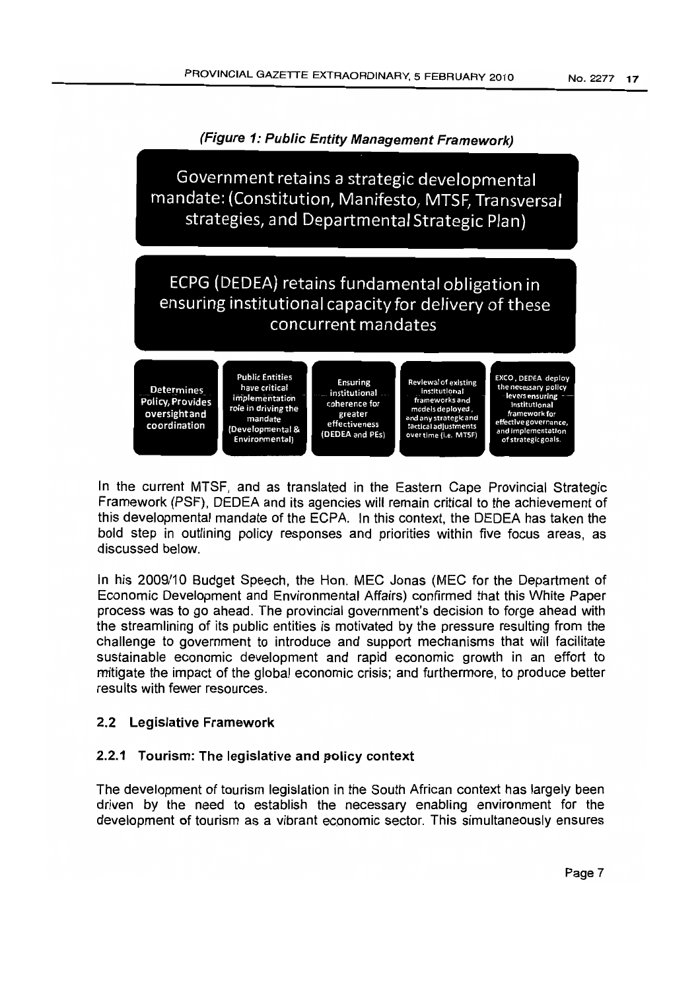

In the current MTSF, and as translated in the Eastern Cape Provincial Strategic Framework (PSF), DEDEA and its agencies will remain critical to the achievement of this developmental mandate of the ECPA. In this context, the DEDEA has taken the bold step in outlining policy responses and priorities within five focus areas, as discussed below.

In his 2009/10 Budget Speech, the Hon. MEC Jonas (MEC for the Department of Economic Development and Environmental Affairs) confirmed that this White Paper process was to go ahead. The provincial government's decision to forge ahead with the streamlining of its public entities is motivated by the pressure resulting from the challenge to government to introduce and support mechanisms that will facilitate sustainable economic development and rapid economic growth in an effort to mitigate the impact of the global economic crisis; and furthermore, to produce better results with fewer resources.

# 2.2 Legislative Framework

# 2.2.1 Tourism: The legislative and policy context

The development of tourism legislation in the South African context has largely been driven by the need to establish the necessary enabling environment for the development of tourism as a vibrant economic sector. This simultaneously ensures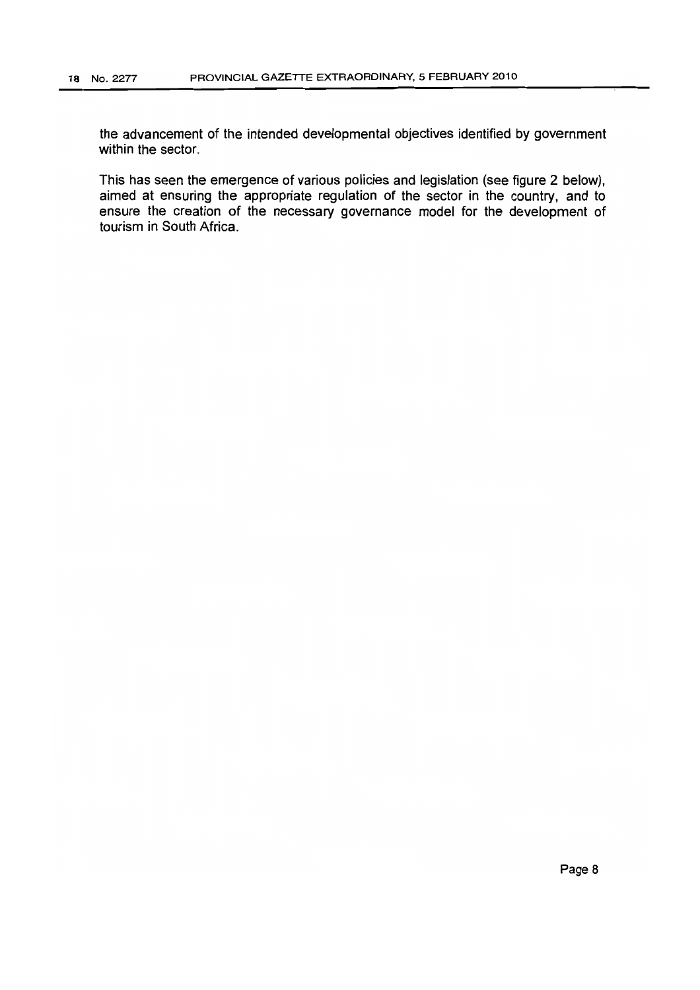the advancement of the intended developmental objectives identified by government within the sector.

This has seen the emergence of various policies and legislation (see figure 2 below), aimed at ensuring the appropriate regulation of the sector in the country, and to ensure the creation of the necessary governance model for the development of tourism in South Africa.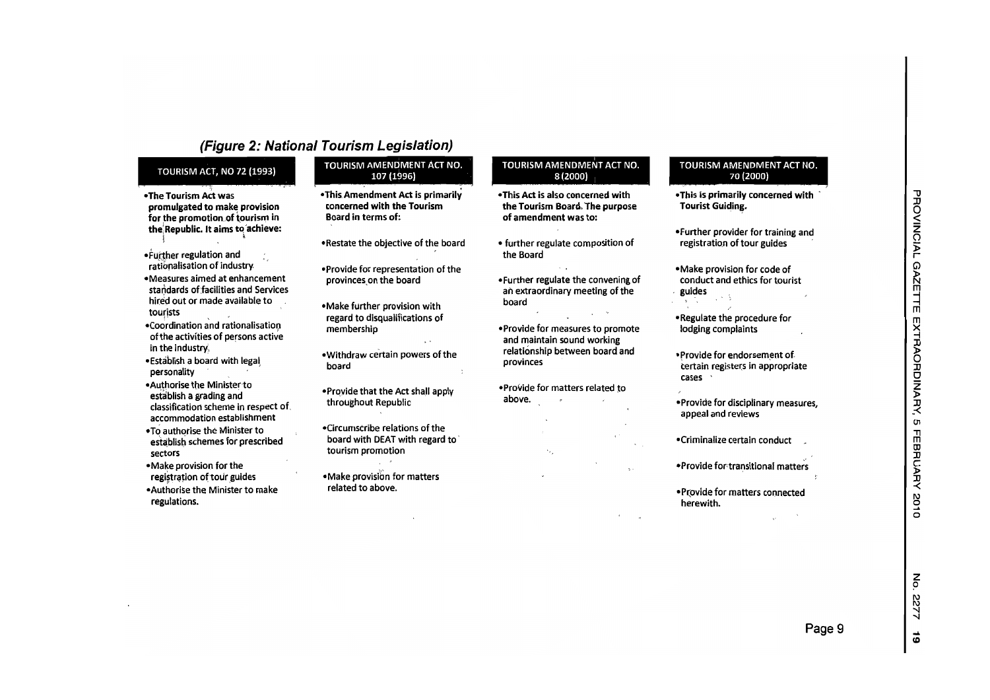# (Figure 2: National Tourism Legislation)

#### TOURISM ACT, NO 72 (1993)

- -The Tourism Act was promulgated to make provision for the promotion.of tourism in the Republic. It aims to achieve: \*-
- FUJ;ther regulation and ratlonalisatlon of industry.
- -Measures aimed at enhancement standards of facilities and Services out or made available to tourists
- Coordination and rationalisation ofthe activities of persons active in the industry,
- -Establish <sup>a</sup> board with legal personality .
- -Authorise the Ministertoestablish a grading and classification scheme in respect of. accommodationaccommodation establishment<br>To authorise the Minister to
- schemes for prescribed sectors
- -Make provision for the registration of tour guides
- -Authorise the Minister to make regulations.

### TOURISM AMENDMENT ACT NO. 107

- -This Amendment Act is primarily concerned with the TourismBoard in terms of:
- Restate the objective of the board
- -Provide for representation of the provinces on the board
- -Make further provision with regard to disqualifications of membership
- -Withdraw certain powers of the board
- -Prqvide that the Act shall apply throughout Republic
- -CircumsCribe relations of the board with DEAT with regard to tourism promotion
- -Make provisibn for matters related to above.

#### TOURISM AMENDMENT ACT NO.  $8(2000)$

- -This Act is also concerned with the Tourism Board. The purpose of amendment was to:
- further regulate composition of the Board
- -Further regulate the convening of an extraordinary meeting of the board
- -Provide for measures to promote and maintain sound working relationship between board and provinces
- -Provide for matters related to above.

#### TOURISM AMENDMENT ACT NO. 70 (2000)

- -This is primarily concerned with ' Tourist Guiding.
- -Further provider for training and registration of tour guides
- -Make provision for code of conduct and ethics for tourist , guides
- -Regulate the procedure for lodging complaints
- -Provide for endorsement of certain registers in appropriate cases <sup>&</sup>gt;
- -Provide for disciplinary measures, appeal and reviews
- -Crimina.lize certain conduct
- -Provlde fortransitional matters
- -Pr,ovide for matters connected herewith.

z o

122

... lD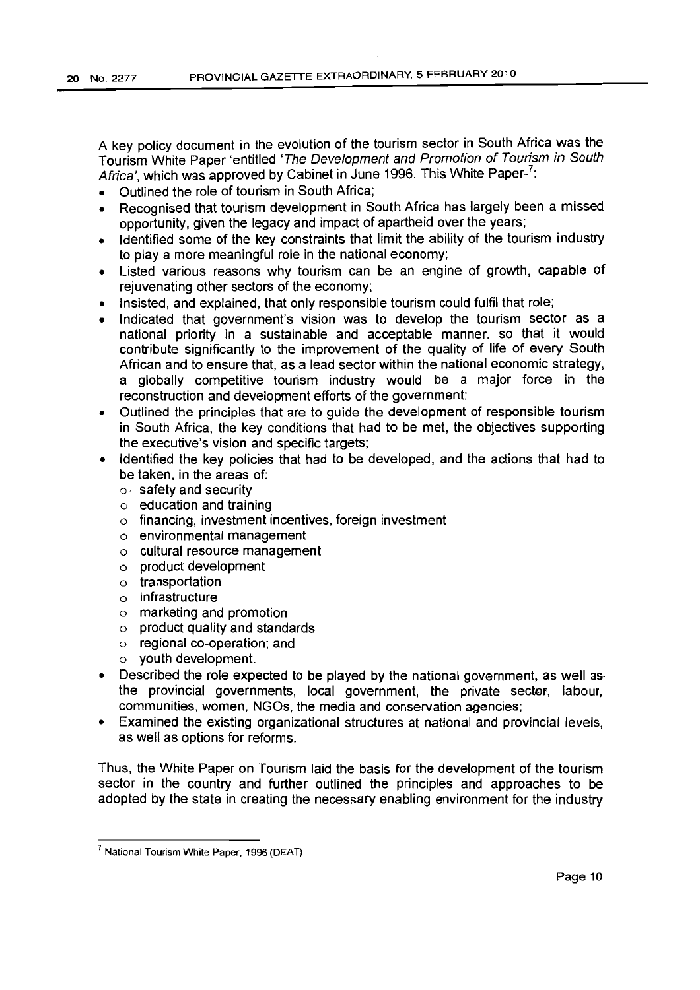A key policy document in the evolution of the tourism sector in South Africa was the Tourism White Paper 'entitled 'The Development and Promotion of Tourism in South Africa', which was approved by Cabinet in June 1996. This White Paper-<sup>7</sup>:

- Outlined the role of tourism in South Africa;
- Recognised that tourism development in South Africa has largely been a missed opportunity, given the legacy and impact of apartheid over the years;
- Identified some of the key constraints that limit the ability of the tourism industry to playa more meaningful role in the national economy;
- Listed various reasons why tourism can be an engine of growth, capable of rejuvenating other sectors of the economy;
- Insisted, and explained, that only responsible tourism could fulfil that role;
- Indicated that government's vision was to develop the tourism sector as a national priority in a sustainable and acceptable manner, so that it would contribute significantly to the improvement of the quality of life of every South African and to ensure that, as a lead sector within the national economic strategy, a globally competitive tourism industry would be a major force in the reconstruction and development efforts of the government;
- Outlined the principles that are to qulde the development of responsible tourism in South Africa, the key conditions that had to be met, the objectives supporting the executive's vision and specific targets;
- Identified the key policies that had to be developed. and the actions that had to be taken, in the areas of:
	- o· safety and security
	- o education and training
	- o financing, investment incentives, foreign investment
	- o environmental management
	- o cultural resource management
	- o product development
	- o transportation
	- o infrastructure
	- o marketing and promotion
	- o product quality and standards
	- o regional co-operation; and
	- o youth development.
- Described the role expected to be played by the national government, as well as the provincial governments, local government, the private sector, labour, communities, women, NGOs, the media and conservation agencies;
- Examined the existing organizational structures at national and provincial levels, as well as options for reforms.

Thus, the White Paper on Tourism laid the basis for the development of the tourism sector in the country and further outlined the principles and approaches to be adopted by the state in creating the necessary enabling environment for the industry

<sup>7</sup> National Tourism White Paper, 1996 (DEAT)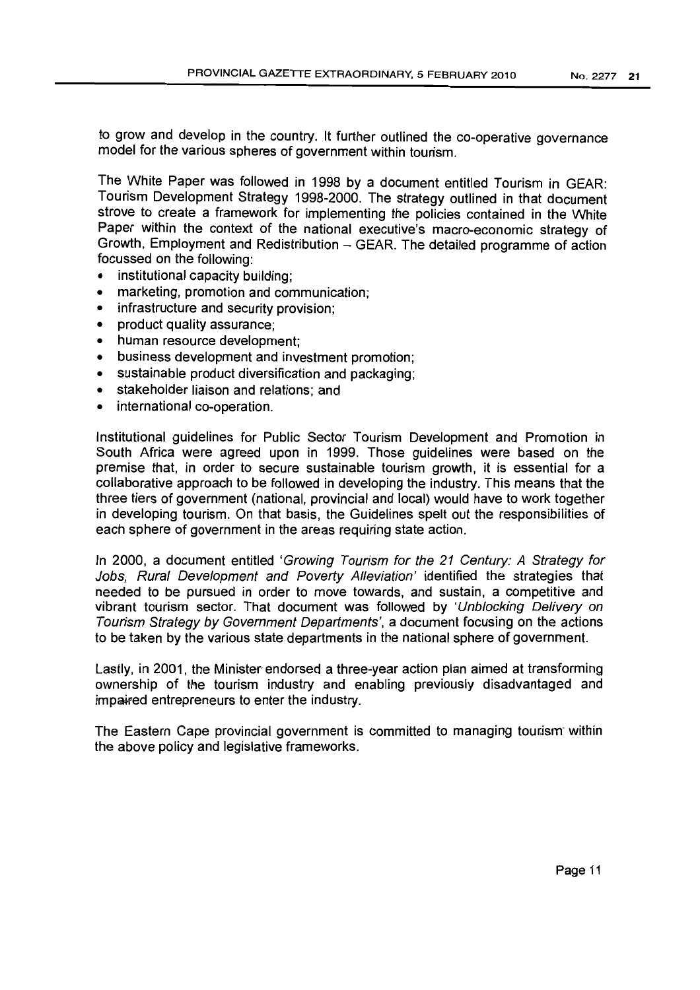to grow and develop in the country. It further outlined the co-operative governance model for the various spheres of government within tourism.

The White Paper was followed in 1998 by a document entitled Tourism in GEAR: Tourism Development Strategy 1998-2000. The strategy outlined in that document strove to create a framework for implementing the policies contained in the White Paper within the context of the national executive's macro-economic strategy of Growth, Employment and Redistribution - GEAR. The detailed programme of action focussed on the following:

- institutional capacity building;
- marketing, promotion and communication;
- infrastructure and security provision:
- product quality assurance;
- human resource development;
- business development and investment promotion;
- sustainable product diversification and packaging;
- stakeholder liaison and relations; and
- international co-operation.

Institutional guidelines for Public Sector Tourism Development and Promotion in South Africa were agreed upon in 1999. Those guidelines were based on the premise that, in order to secure sustainable tourism growth, it is essential for a collaborative approach to be followed in developing the industry. This means that the three tiers of government (national, provincial and local) would have to work together in developing tourism. On that basis, the Guidelines spelt out the responsibilities of each sphere of government in the areas requiring state action.

In 2000, a document entitled 'Growing Tourism for the 21 Century: A Strategy for Jobs, Rural Development and Poverty Alleviation' identified the strategies that needed to be pursued in order to move towards, and sustain, a competitive and vibrant tourism sector. That document was followed by 'Unblocking Delivery on Tourism Strategy by Government Departments', a document focusing on the actions to be taken by the various state departments in the national sphere of government.

Lastly, in 2001, the Minister endorsed a three-year action plan aimed at transforming ownership of the tourism industry and enabling previously disadvantaged and impaifed entrepreneurs to enter the industry.

The Eastern Cape provincial government is committed to managing tourism within the above policy and legislative frameworks.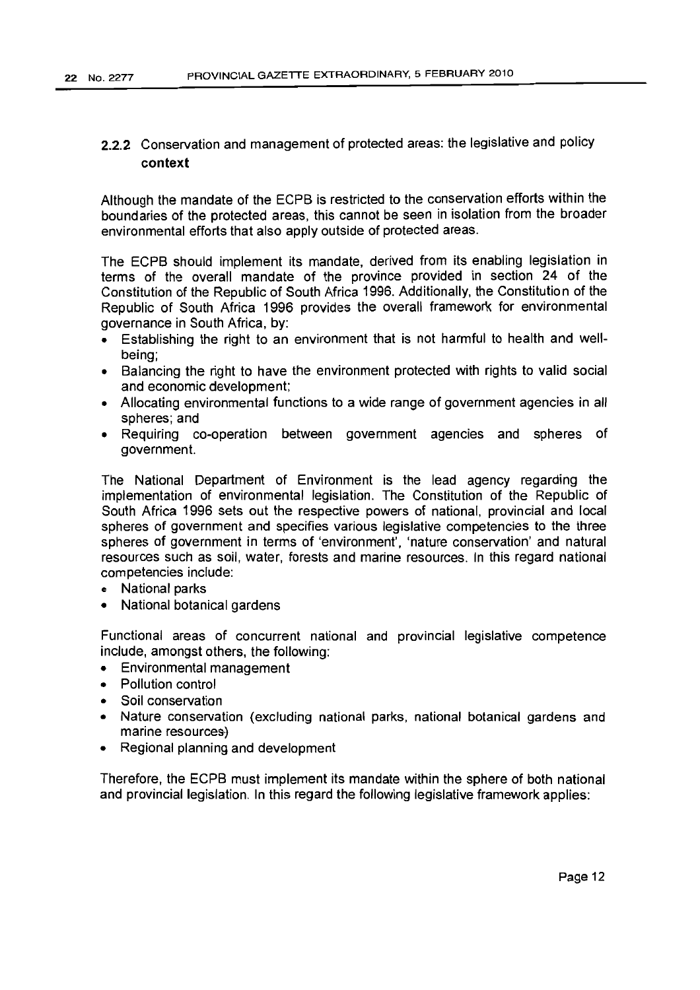# 2.2.2 Conservation and management of protected areas: the legislative and policy context

Although the mandate of the ECPB is restricted to the conservation efforts within the boundaries of the protected areas, this cannot be seen in isolation from the broader environmental efforts that also apply outside of protected areas.

The ECPB should implement its mandate, derived from its enabling legislation in terms of the overall mandate of the province provided in section 24 of the Constitution of the Republic of South Africa 1996. Additionally, the Constitution of the Republic of South Africa 1996 provides the overall framework for environmental governance in South Africa, by:

- Establishing the right to an environment that is not harmful to health and wellbeing;
- Balancing the right to have the environment protected with rights to valid social and economic development;
- Allocating environmental functions to a wide range of government agencies in all spheres; and
- Requiring co-operation between government agencies and spheres of government.

The National Department of Environment is the lead agency regarding the implementation of environmental legislation. The Constitution of the Republic of South Africa 1996 sets out the respective powers of national, provincial and local spheres of government and specifies various legislative competencies to the three spheres of government in terms of 'environment', 'nature conservation' and natural resources such as soil, water, forests and marine resources. In this regard national competencies include:

- e National parks
- National botanical gardens

Functional areas of concurrent national and provincial legislative competence include, amongst others, the following:

- Environmental management
- Pollution control
- Soil conservation
- Nature conservation (excluding national parks, national botanical gardens and marine resources)
- Regional planning and development

Therefore, the ECPB must implement its mandate within the sphere of both national and provincial legislation. In this regard the following legislative framework applies: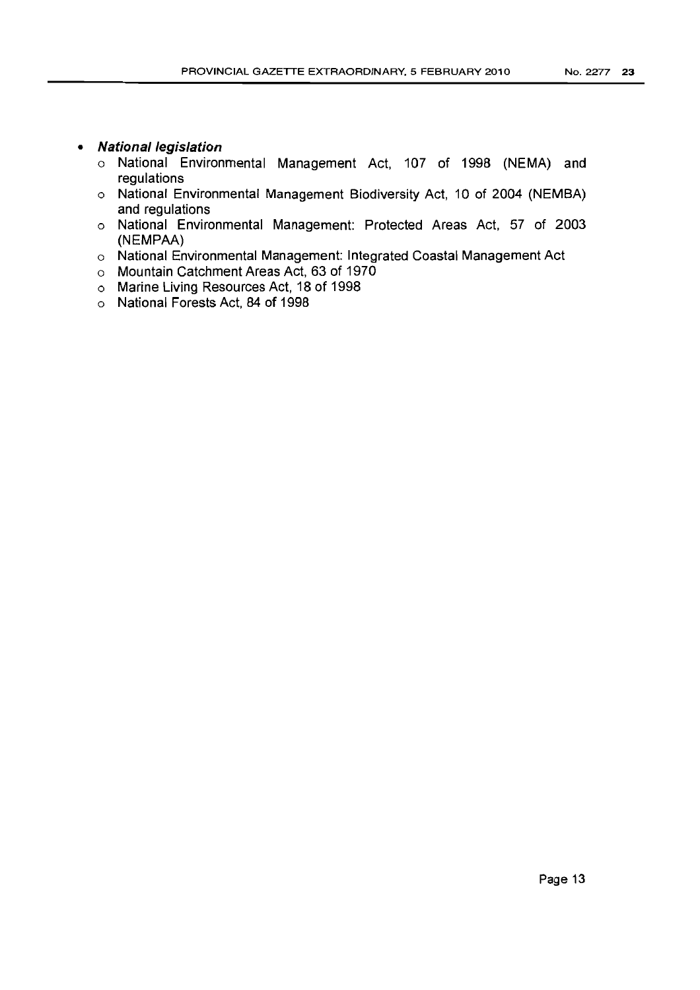- **• National legislation** 
	- o National Environmental Management Act, 107 of 1998 (NEMA) and regulations
	- o National Environmental Management Biodiversity Act, 10 of 2004 (NEMBA) and regulations
	- o National Environmental Management: Protected Areas Act, 57 of 2003 (NEMPAA)
	- o National Environmental Management: Integrated Coastal Management Act
	- o Mountain Catchment Areas Act, 63 of 1970
	- o Marine Living Resources Act, 18 of 1998
	- o National Forests Act, 84 of 1998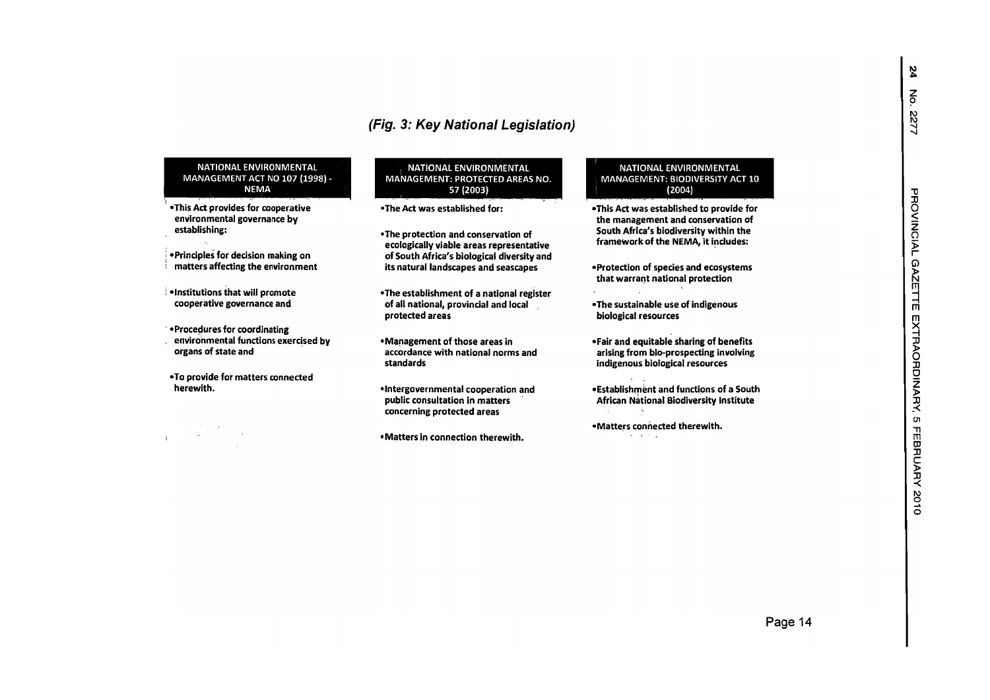#### NATIONAL ENVIRONMENTAL MANAGEMENT ACT NO 107 (1998) - NEMA

- •This Act provides for cooperative environmental governance by establishing:
- ; -Principles for decision making on in the control of the control of the control of the control of the control of the control of the control of th **i** matters affecting the environment
- $\blacksquare$  •Institutions that will promote cooperative governance and
- **Procedures for coordinating** environmental functions exercised by organs of state and '
- -To provide for matters connected herewith.

 $\sim 10^{11}$  km  $\mathbf{1}$ 

#### **NATIONAL ENVIRONMENTAL**  MANAGEMENT: PROTECTED AREAS NO. 57 (2003)

- -The Act was established for:
- -The protection and conservation of ecologically viable areas representative of South Africa's biological diversity and its natural landscapes and seascapes
- -The establishment of <sup>a</sup> national register of all national, provincial and local protected areas
- Management of those areas in accordance with national norms and standards
- -Intergovernmental cooperation and public consultation in matters concerning protected areas
- Matters in connection therewith.

#### NATIONAL ENVIRONMENTAL MANAGEMENT: BIODIVERSITY ACT 10 (2004)

- -This Act was established to provide for the managemen<sup>t</sup> and conservation of South Africa's biodiversity within the framework of the NEMA, it includes:
- -Protection of species and ecosystems that warrant national protection
- -The sustainable use of indigenous biological resources
- -Fair and equitable sharing of benefits arising from bio-prospecting involving indigenous biological resources
- . Establishment and functions of a South African Biodiversity Institute
- -Matters connected therewith. a na kina

 $\mathbf{z}$ 

No. 2277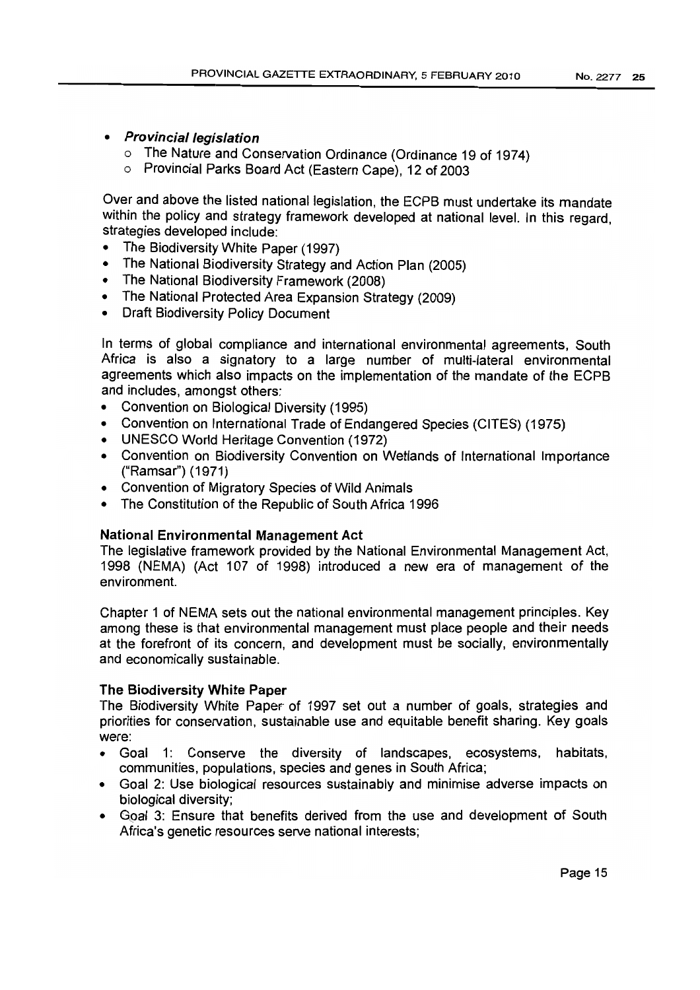- Provincial legislation
	- o The Nature and Conservation Ordinance (Ordinance 19 of 1974)
	- o Provincial Parks Board Act (Eastern Cape), 12 of 2003

Over and above the listed national legislation, the ECPB must undertake its mandate within the policy and strategy framework developed at national level. In this regard, strategies developed include:

- The Biodiversity White Paper (1997)
- The National Biodiversity Strategy and Action Plan (2005)
- The National Biodiversity Framework (200S)
- The National Protected Area Expansion Strategy (2009)
- Draft Biodiversity Policy Document

In terms of global compliance and international environmental agreements, South Africa is also a signatory to a large number of multi-lateral environmental agreements which also impacts on the implementation of the mandate of the ECPB and includes, amongst others:

- Convention on Biological Diversity (1995)
- Convention on International Trade of Endangered Species (CITES) (1975)
- UNESCO World Heritage Convention (1972)
- Convention on Biodiversity Convention on Wetlands of International Importance ("Ramsar") (1971)
- Convention of Migratory Species of Wild Animals
- The Constitution of the Republic of South Africa 1996

# National Environmental Management Act

The legislative framework provided by the National Environmental Management Act, 1995 (NEMA) (Act 107 of 1995) introduced a new era of management of the environment.

Chapter 1 of NEMA sets out the national environmental management principles. Key among these is that environmental management must place people and their needs at the forefront of its concern, and development must be socially, environmentally and economically sustainable.

# The Biodiversity White Paper

The Biodiversity White Paper of 1997 set out a number of goals, strategies and priorities for conservation, sustainable use and equitable benefit sharing. Key goals were:

- Goal 1: Conserve the diversity of landscapes, ecosystems, habitats, communities, populations, species and genes in South Africa;
- Goal 2: Use biological resources sustainably and minimise adverse impacts on biological diversity;
- Goal 3: Ensure that benefits derived from the use and development of South Africa's genetic resources serve national interests;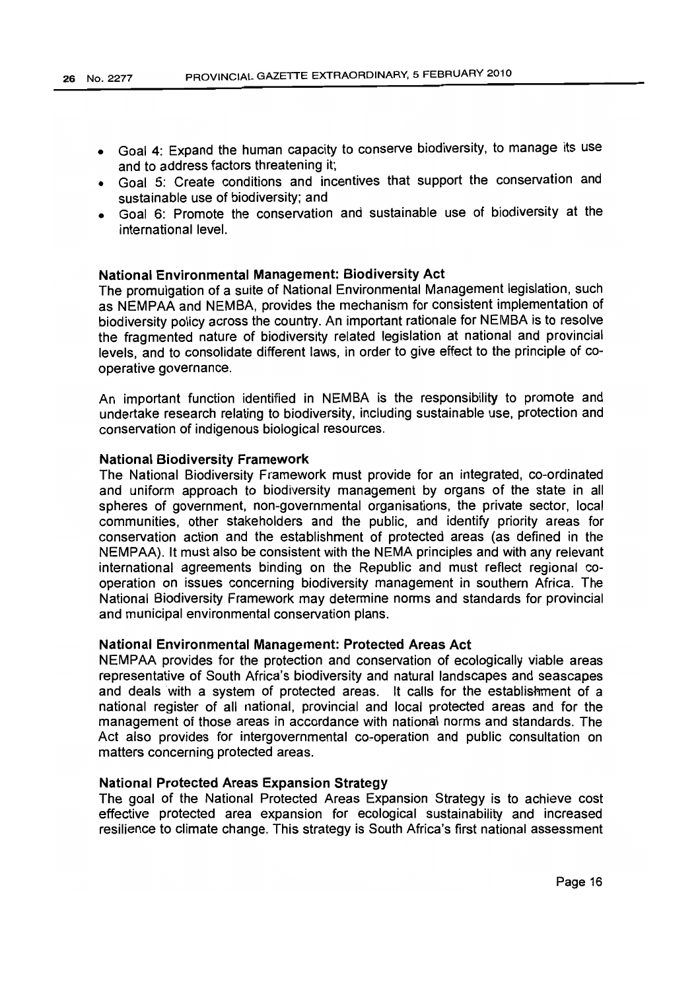- Goal 4: Expand the human capacity to conserve biodiversity, to manage its use and to address factors threatening it;
- Goal 5: Create conditions and incentives that support the conservation and sustainable use of biodiversity; and
- Goal 6: Promote the conservation and sustainable use of biodiversity at the international level.

# National Environmental Management: Biodiversity Act

The promulgation of a suite of National Environmental Management legislation, such as NEMPAA and NEMBA, provides the mechanism for consistent implementation of biodiversity policy across the country. An important rationale for NEMBA is to resolve the fragmented nature of biodiversity related legislation at national and provincial levels, and to consolidate different laws, in order to give effect to the principle of cooperative governance.

An important function identified in NEMBA is the responsibility to promote and undertake research relating to biodiversity, including sustainable use, protection and conservation of indigenous biological resources.

### National Biodiversity Framework

The National Biodiversity Framework must provide for an integrated, co-ordinated and uniform approach to biodiversity management by organs of the state in all spheres of government, non-governmental organisations, the private sector, local communities, other stakeholders and the public, and identify priority areas for conservation action and the establishment of protected areas (as defined in the NEMPAA). It must also be consistent with the NEMA principles and with any relevant international agreements binding on the Republic and must reflect regional cooperation on issues concerning biodiversity management in southern Africa. The National Biodiversity Framework may determine norms and standards for provincial and municipal environmental conservation plans.

### National Environmental Management: Protected Areas Act

NEMPAA provides for the protection and conservation of ecologically viable areas representative of South Africa's biodiversity and natural landscapes and seascapes and deals with a system of protected areas. It calls for the establishment of a national register of all national, provincial and local protected areas and for the management of those areas in accordance with national norms and standards. The Act also provides for intergovernmental co-operation and public consultation on matters concerning protected areas.

### National Protected Areas Expansion Strategy

The goal of the National Protected Areas Expansion Strategy is to achieve cost effective protected area expansion for ecological sustainability and increased resilience to climate change. This strategy is South Africa's first national assessment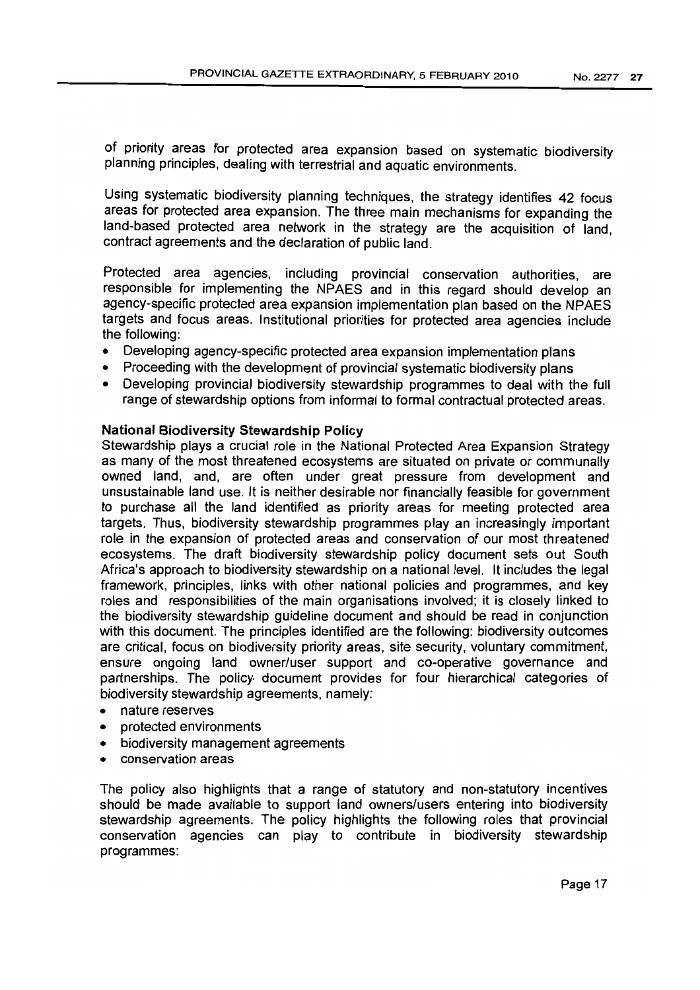of priority areas for protected area expansion based on systematic biodiversity planning principles, dealing with terrestrial and aquatic environments.

Using systematic biodiversity planning techniques, the strategy identifies 42 focus areas for protected area expansion. The three main mechanisms for expanding the land-based protected area network in the strategy are the acquisition of land, contract agreements and the declaration of public land.

Protected area agencies, including provincial conservation authorities, are responsible for implementing the NPAES and in this regard should develop an agency-specific protected area expansion implementation plan based on the NPAES targets and focus areas. Institutional priorities for protected area agencies include the following:

- Developing agency-specific protected area expansion implementation plans
- Proceeding with the development of provincial systematic biodiversity plans
- Developing provincial biodiversity stewardship programmes to deal with the full range of stewardship options from informal to formal contractual protected areas.

# **National Biodiversity Stewardship Policy**

Stewardship plays a crucial role in the National Protected Area Expansion Strategy as many of the most threatened ecosystems are situated on private or communally owned land, and, are often under great pressure from development and unsustainable land use. It is neither desirable nor financially feasible for government to purchase all the land identified as priority areas for meeting protected area targets. Thus, biodiversity stewardship programmes play an increasingly important role in the expansion of protected areas and conservation of our most threatened ecosystems. The draft biodiversity stewardship policy document sets out South Africa's approach to biodiversity stewardship on a national level. It includes the legal framework, principles, links with other national policies and programmes, and key roles and responsibilities of the main organisations involved; it is closely linked to the biodiversity stewardship guideline document and should be read in conjunction with this document. The principles identified are the following: biodiversity outcomes are critical, focus on biodiversity priority areas, site security, voluntary commitment, ensure ongoing land owner/user support and co-operative governance and partnerships. The policy- document provides for four hierarchical categories of biodiversity stewardship agreements, namely:

- nature reserves
- protected environments
- biodiversity management agreements
- conservation areas

The policy also highlights that a range of statutory and non-statutory incentives should be made available to support land owners/users entering into biodiversity stewardship agreements. The policy highlights the following roles that provincial conservation agencies can play to contribute in biodiversity stewardship programmes: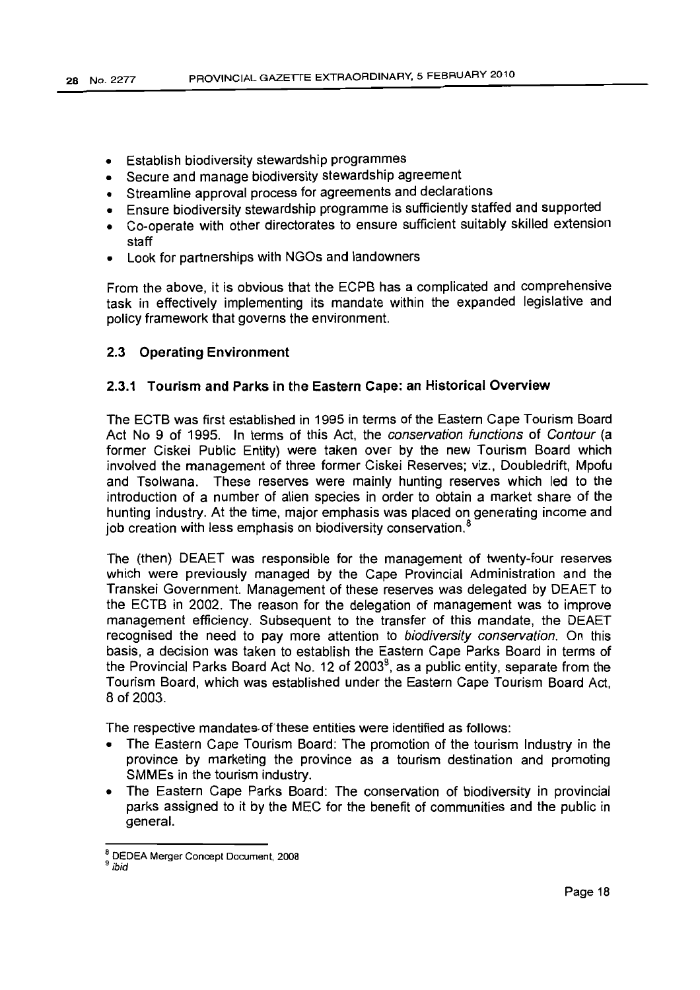- Establish biodiversity stewardship programmes
- Secure and manage biodiversity stewardship agreement
- Streamline approval process for agreements and declarations
- Ensure biodiversity stewardship programme is sufficiently staffed and supported
- Co-operate with other directorates to ensure sufficient suitably skilled extension staff
- Look for partnerships with NGOs and landowners

From the above, it is obvious that the ECPB has a complicated and comprehensive task in effectively implementing its mandate within the expanded legislative and policy framework that governs the environment.

## 2.3 Operating Environment

# 2.3.1 Tourism and Parks in the Eastern Cape: an Historical Overview

The ECTB was first established in 1995 in terms of the Eastern Cape Tourism Board Act No 9 of 1995. In terms of this Act, the conservation functions of Contour (a former Ciskei Public Entity) were taken over by the new Tourism Board which involved the management of three former Ciskei Reserves; viz., Doubledrift, Mpofu and Tsolwana. These reserves were mainly hunting reserves which led to the introduction of a number of alien species in order to obtain a market share of the hunting industry. At the time, major emphasis was placed on generating income and job creation with less emphasis on biodiversity conservation. $<sup>8</sup>$ </sup>

The (then) DEAET was responsible for the management of twenty-four reserves which were previously managed by the Cape Provincial Administration and the Transkei Government. Management of these reserves was delegated by DEAET to the ECTB in 2002. The reason for the delegation of management was to improve management efficiency. Subsequent to the transfer of this mandate, the DEAET recognised the need to pay more attention to biodiversity conservation. On this basis, a decision was taken to establish the Eastern Cape Parks Board in terms of the Provincial Parks Board Act No. 12 of 2003<sup>9</sup>, as a public entity, separate from the Tourism Board, which was established under the Eastern Cape Tourism Board Act, 8 of 2003.

The respective mandates of these entities were identified as follows:

- The Eastern Cape Tourism Board: The promotion of the tourism Industry in the province by marketing the province as a tourism destination and promoting SMMEs in the tourism industry.
- The Eastern Cape Parks Board: The conservation of biodiversity in provincial parks assigned to it by the MEC for the benefit of communities and the public in general.

<sup>8</sup> DEDEA Merger Concept Document, 2008

<sup>9</sup> ibid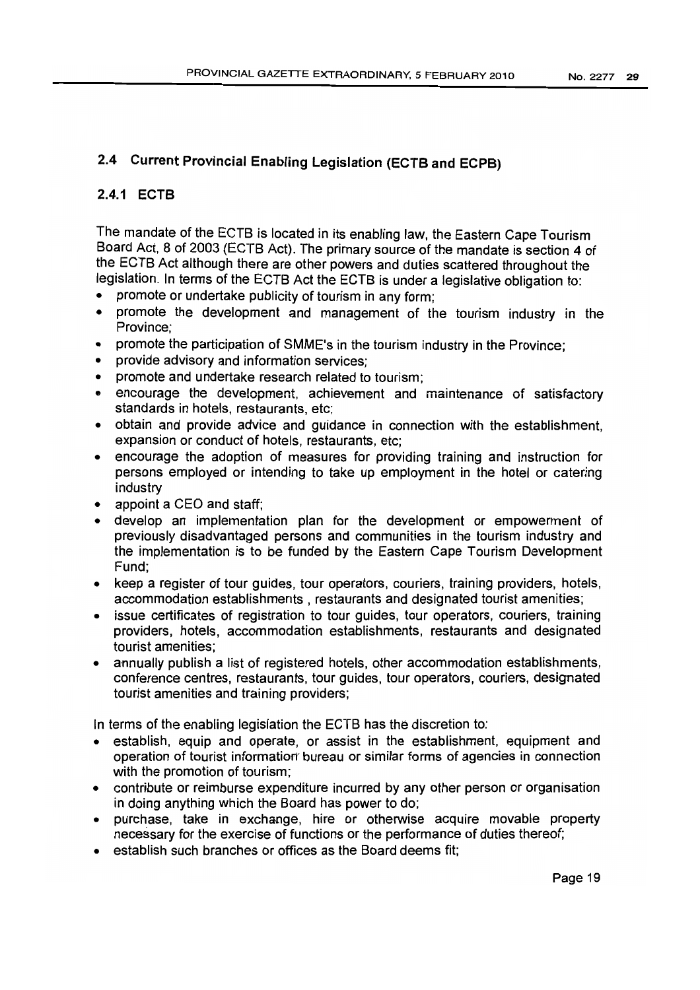# 2.4 Current Provincial Enabling Legislation (ECTS and ECPB)

# 2.4.1 ECTS

The mandate of the ECTB is located in its enabling law, the Eastern Cape Tourism Board Act, 8 of 2003 (ECTB Act). The primary source of the mandate is section 4 of the ECTB Act although there are other powers and duties scattered throughout the legislation. In terms of the ECTB Act the ECTB is under a legislative obligation to:

- promote or undertake publicity of tourism in any form:
- promote the development and management of the tourism industry in the Province;
- promote the participation of SMME's in the tourism industry in the Province;
- provide advisory and information services;
- promote and undertake research related to tourism;
- encourage the development, achievement and maintenance of satisfactory standards in hotels, restaurants, etc;
- obtain and provide advice and guidance in connection with the establishment, expansion or conduct of hotels, restaurants, etc;
- encourage the adoption of measures for providing training and instruction for persons employed or intending to take up employment in the hotel or catering industry
- appoint a CEO and staff;
- develop an implementation plan for the development or empowerment of previously disadvantaged persons and communities in the tourism industry and the implementation is to be funded by the Eastern Cape Tourism Development Fund;
- keep a register of tour guides, tour operators, couriers, training providers, hotels, accommodation establishments, restaurants and designated tourist amenities;
- issue certificates of registration to tour guides, tour operators, couriers, training providers, hotels, accommodation establishments, restaurants and designated tourist amenities;
- annually publish a list of registered hotels, other accommodation establishments, conference centres, restaurants, tour quldes, tour operators, couriers, designated tourist amenities and training providers;

In terms of the enabling legislation the ECTB has the discretion to:

- establish, equip and operate, or assist in the establishment, equipment and operation of tourist information" bureau or similar forms of agencies in connection with the promotion of tourism;
- contribute or reimburse expenditure incurred by any other person or organisation in doing anything which the Board has power to do;
- purchase, take in exchange, hire or otherwise acquire movable property necessary for the exercise of functions or the performance of duties thereof;
- establish such branches or offices as the Board deems fit: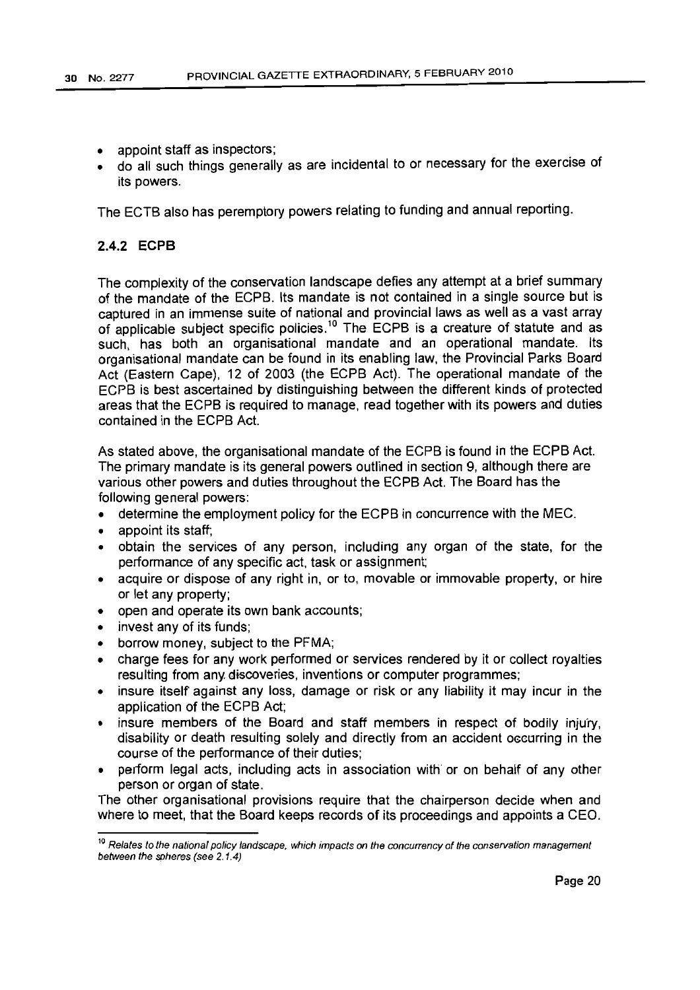- appoint staff as inspectors;
- do all such things generally as are incidental to or necessary for the exercise of its powers.

The ECTB also has peremptory powers relating to funding and annual reporting.

# 2.4.2 **ECPB**

The complexity of the conservation landscape defies any attempt at a brief summary of the mandate of the ECPB. Its mandate is not contained in a single source but is captured in an immense suite of national and provincial laws as well as a vast array of applicable subject specific policies.<sup>10</sup> The ECPB is a creature of statute and as such, has both an organisational mandate and an operational mandate. Its organisational mandate can be found in its enabling law, the Provincial Parks Board Act (Eastern Cape), 12 of 2003 (the ECPB Act). The operational mandate of the ECPB is best ascertained by distinguishing between the different kinds of protected areas that the ECPB is required to manage, read together with its powers and duties contained in the ECPB Act.

As stated above, the organisational mandate of the ECPB is found in the ECPB Act. The primary mandate is its general powers outlined in section 9, although there are various other powers and duties throughout the ECPB Act. The Board has the following general powers:

- determine the employment policy for the ECPB in concurrence with the MEC.
- appoint its staff;
- obtain the services of any person, including any organ of the state, for the performance of any specific act, task or assiqnment:
- acquire or dispose of any right in, or to, movable or immovable property, or hire or let any property;
- open and operate its own bank accounts;
- invest any of its funds;
- borrow money, subject to the PFMA;
- charge fees for any work performed or services rendered by it or collect royalties resulting from any discoveries, inventions or computer programmes;
- insure itself against any loss, damage or risk or any liability it may incur in the application of the ECPB Act;
- insure members of the Board and staff members in respect of bodily injury, disability or death resulting solely and directly from an accident oceurrlnq in the course of the performance of their duties;
- perform legal acts, including acts in association with or on behalf of any other person or organ of state.

The other organisational provisions require that the chairperson decide when and where to meet, that the Board keeps records of its proceedings and appoints a CEO.

<sup>&</sup>lt;sup>10</sup> Relates to the national policy landscape, which impacts on the concurrency of the conservation management between the spheres (see 2.1.4)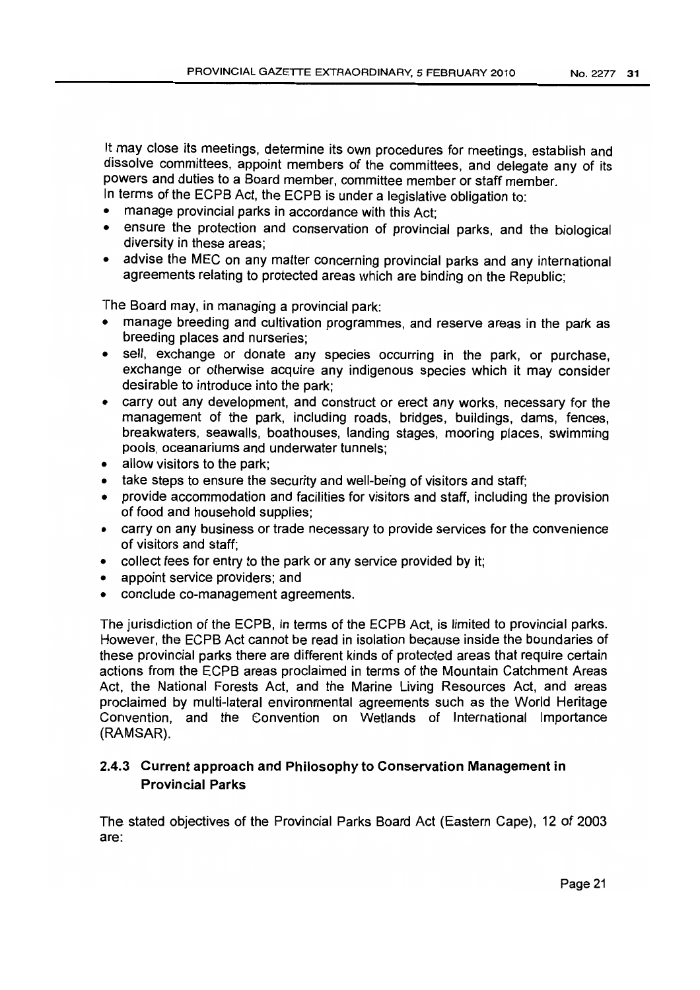It may close its meetings, determine its own procedures for meetings, establish and dissolve committees, appoint members of the committees, and delegate any of its powers and duties to a Board member, committee member or staff member.

In terms of the ECPB Act, the ECPB is under a legislative obligation to:

- manage provincial parks in accordance with this Act;
- ensure the protection and conservation of provincial parks, and the biological diversity in these areas;
- advise the MEC on any matter concerning provincial parks and any international agreements relating to protected areas which are binding on the Republic;

The Board may, in managing a provincial park:

- manage breeding and cultivation programmes, and reserve areas in the park as breeding places and nurseries;
- sell, exchange or donate any species occurring in the park, or purchase, exchange or otherwise acquire any indigenous species which it may consider desirable to introduce into the park;
- carry out any development, and construct or erect any works, necessary for the management of the park, including roads, bridges, buildings, dams, fences, breakwaters, seawalls, boathouses, landing stages, mooring places, swimming pools, oceanariums and underwater tunnels;
- allow visitors to the park;
- take steps to ensure the security and well-being of visitors and staff;
- provide accommodation and facilities for visitors and staff, including the provision of food and household supplies;
- carry on any business or trade necessary to provide services for the convenience of visitors and staff;
- collect fees for entry to the park or any service provided by it;
- appoint service providers; and
- conclude co-management agreements.

The jurisdiction of the ECPB, in terms of the ECPB Act, is limited to provincial parks. However, the ECPB Act cannot be read in isolation because inside the boundaries of these provincial parks there are different kinds of protected areas that require certain actions from the ECPB areas proclaimed in terms of the Mountain Catchment Areas Act, the National Forests Act, and the Marine Living Resources Act, and areas proclaimed by multi-lateral environmental agreements such as the World Heritage Convention, and the Convention on Wetlands of International Importance (RAMSAR).

# 2.4.3 Current approach and Philosophy to Conservation Management in Provincial Parks

The stated objectives of the Provincial Parks Board Act (Eastern Cape), 12 of 2003 are: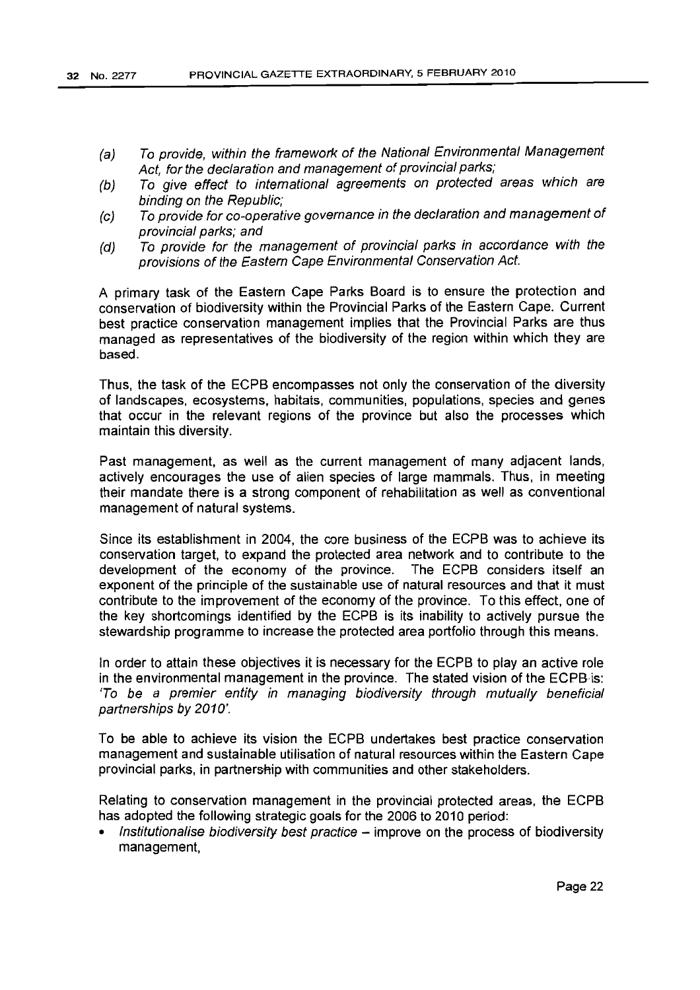- (a) To provide, within the framework of the National Environmental Management Act, for the declaration and management of provincial parks;
- (b) To give effect to international agreements on protected areas which are binding on the Republic;
- (c) To provide for co-operative governance in the declaration and management of provincial parks; and
- (d) To provide for the management of provincial parks in accordance with the provisions of the Eastern Cape Environmental Conservation Act.

A primary task of the Eastern Cape Parks Board is to ensure the protection and conservation of biodiversity within the Provincial Parks of the Eastern Cape. Current best practice conservation management implies that the Provincial Parks are thus managed as representatives of the biodiversity of the region within which they are based.

Thus, the task of the ECPB encompasses not only the conservation of the diversity of landscapes, ecosystems, habitats, communities, popuiations, species and genes that occur in the relevant regions of the province but also the processes which maintain this diversity.

Past management, as well as the current management of many adjacent lands, actively encourages the use of alien species of large mammals. Thus, in meeting their mandate there is a strong component of rehabilitation as well as conventional management of natural systems.

Since its establishment in 2004, the core business of the ECPB was to achieve its conservation target, to expand the protected area network and to contribute to the development of the economy of the province. The ECPB considers itself an exponent of the principle of the sustainable use of natural resources and that it must contribute to the improvement of the economy of the province. To this effect, one of the key shortcomings identified by the ECPB is its inability to actively pursue the stewardship programme to increase the protected area portfolio through this means.

In order to attain these objectives it is necessary for the ECPB to play an active role in the environmental management in the province. The stated vision of the ECPB is: 'To be a premier entity in managing biodiversity through mutually beneficial partnerships by 2010'.

To be able to achieve its vision the ECPB undertakes best practice conservation management and sustainable utilisation of natural resources within the Eastern Cape provincial parks, in partnership with communities and other stakeholders.

Relating to conservation management in the provincial protected areas, the ECPB has adopted the following strategic goals for the 2006 to 2010 period:

Institutionalise biodiversity best practice  $-$  improve on the process of biodiversity management,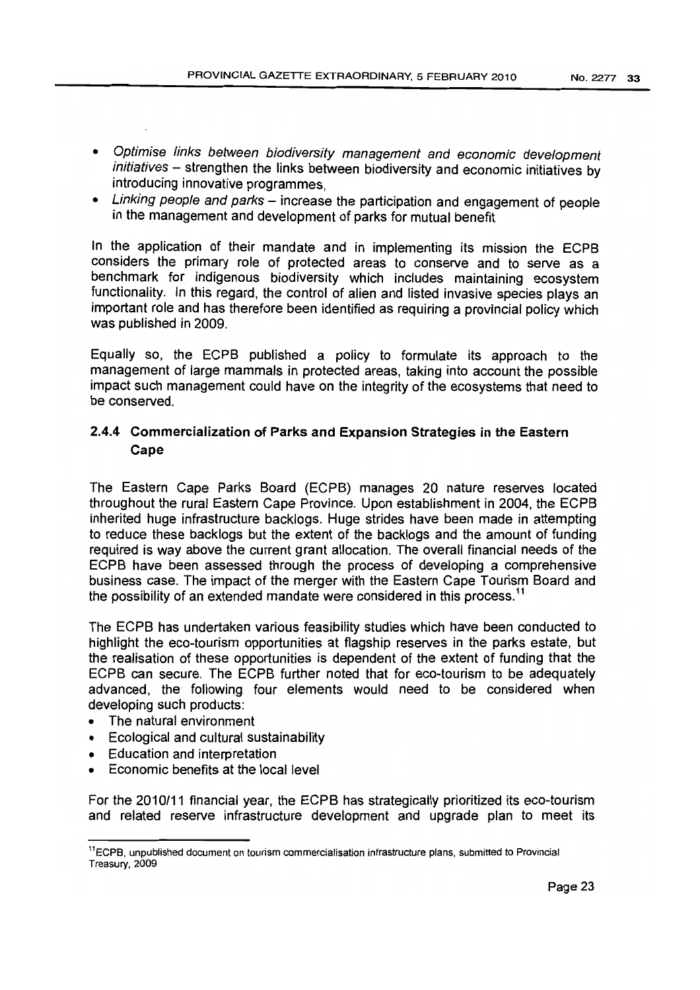- Optimise links between biodiversity management and economic development initiatives - strengthen the links between biodiversity and economic initiatives by introducing innovative programmes,
- Linking people and parks increase the participation and engagement of people in the management and development of parks for mutual benefit

In the application of their mandate and in implementing its mission the ECPB considers the primary role of protected areas to conserve and to serve as a benchmark for indigenous biodiversity which includes maintaining ecosystem functionality. In this regard, the control of alien and listed invasive species plays an important role and has therefore been identified as requiring a provincial policy which was published in 2009.

Equally so, the ECPB published a policy to formulate its approach to the management of large mammals in protected areas, taking into account the possible impact such management could have on the integrity of the ecosystems that need to be conserved.

# 2.4.4 Commercialization of Parks and Expansion Strategies in the Eastern Cape

The Eastern Cape Parks Board (ECPB) manages 20 nature reserves located throughout the rural Eastern Cape Province. Upon establishment in 2004, the ECPB inherited huge infrastructure backlogs. Huge strides have been made in attempting to reduce these backlogs but the extent of the backlogs and the amount of funding required is way above the current grant allocation. The overall financial needs of the ECPB have been assessed through the process of developing a comprehensive business case. The impact of the merger with the Eastern Cape Tourism Board and the possibility of an extended mandate were considered in this process.<sup>11</sup>

The ECPB has undertaken various feasibility studies which have been conducted to highlight the eco-tourism opportunities at flagship reserves in the parks estate, but the realisation of these opportunities is dependent of the extent of funding that the ECPB can secure. The ECPB further noted that for eco-tourism to be adequately advanced, the following four elements would need to be considered when developing such products:

- The natural environment
- Ecological and cultural sustainability
- Education and interpretation
- Economic benefits at the local level

For the 2010/11 financial year, the ECPB has strategically prioritized its eco-tourism and related reserve infrastructure development and upgrade plan to meet its

<sup>&</sup>lt;sup>11</sup>ECPB, unpublished document on tourism commercialisation infrastructure plans, submitted to Provincial Treasury, 2009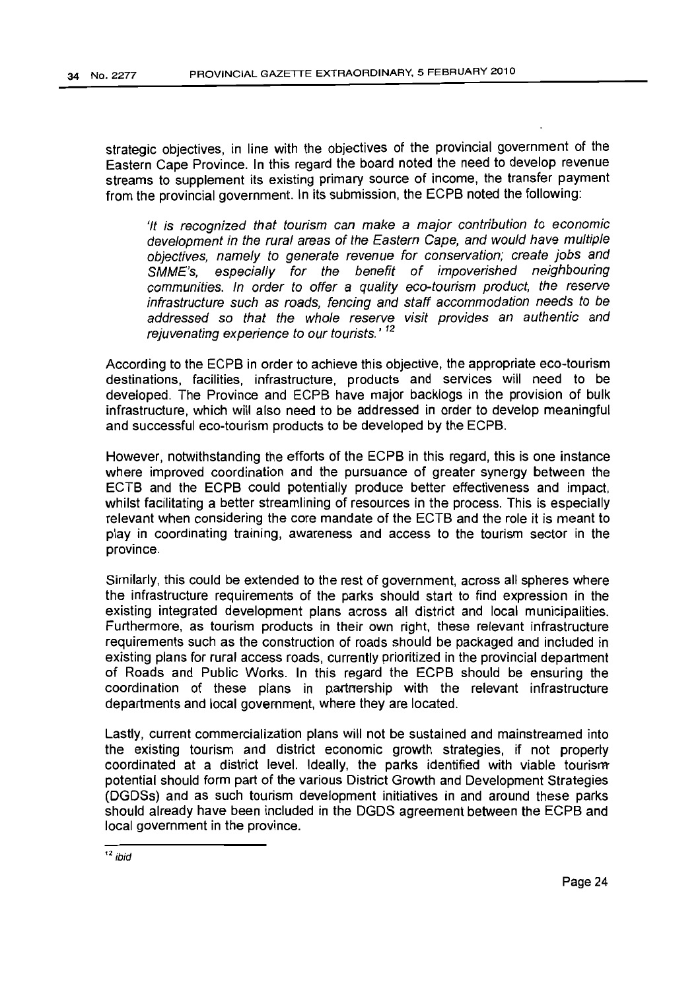strategic objectives, in line with the objectives of the provincial government of the Eastern Cape Province. In this regard the board noted the need to develop revenue streams to supplement its existing primary source of income, the transfer payment from the provincial government. In its submission, the ECPB noted the following:

'It is recognized that tourism can make a major contribution to economic development in the rural areas of the Eastern Cape, and would have multiple objectives, namely to generate revenue for conservation; create jobs and SMME's, especially for the benefit of impoverished neighbouring communities. In order to offer a quality eco-tourism product, the reserve infrastructure such as roads, fencing and staff accommodation needs to be addressed so that the whole reserve visit provides an authentic and rejuvenating experience to our tourists.' <sup>12</sup>

According to the ECPB in order to achieve this objective, the appropriate eco-tourism destinations, facilities, infrastructure, products and services will need to be developed. The Province and ECPB have major backlogs in the provision of bulk infrastructure, which will also need to be addressed in order to develop meaningful and successful eco-tourism products to be developed by the ECPB.

However, notwithstanding the efforts of the ECPB in this regard, this is one instance where improved coordination and the pursuance of greater synergy between the ECTB and the ECPB could potentially produce better effectiveness and impact, whilst facilitating a better streamlining of resources in the process. This is especially relevant when considering the core mandate of the ECTB and the role it is meant to play in coordinating training, awareness and access to the tourism sector in the province.

Similarly, this could be extended to the rest of government. across all spheres where the infrastructure requirements of the parks should start to find expression in the existing integrated development plans across all district and local municipalities. Furthermore, as tourism products in their own right. these relevant infrastructure requirements such as the construction of roads should be packaged and included in existing plans for rural access roads, currently prioritized in the provincial department of Roads and Public Works. In this regard the ECPB should be ensuring the coordination of these plans in partnership with the relevant infrastructure departments and local government, where they are located.

Lastly, current commercialization plans will not be sustained and mainstreamed into the existing tourism and district economic growth strategies, if not properly coordinated at a district level. Ideally, the parks identified with viable tourism potential should form part of the various District Growth and Development Strategies (DGDSs) and as such tourism development initiatives in and around these parks should already have been included in the DGDS agreement between the ECPB and local government in the province.

 $12$  ibid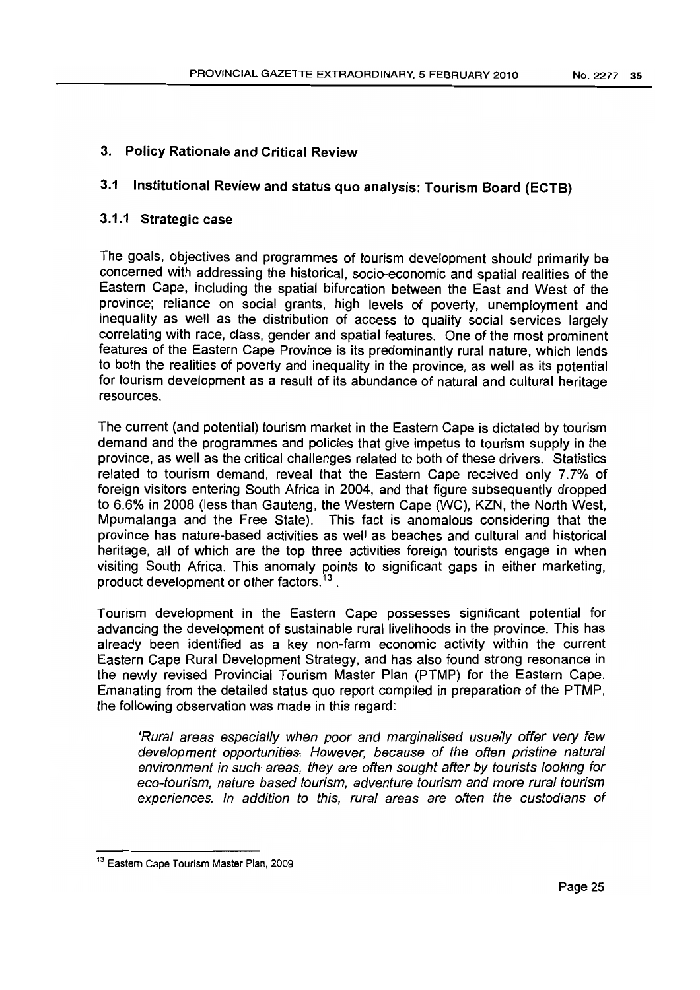# 3. Policy Rationale and Critical Review

# 3.1 Institutional Review and status quo analysis: Tourism Board (ECTB)

# 3.1.1 Strategic case

The goals, objectives and programmes of tourism development should primarily be concerned with addressing the historical, socio-economic and spatial realities of the Eastern Cape, including the spatial bifurcation between the East and West of the province; reliance on social grants, high levels of poverty, unemployment and inequality as well as the distribution of access to quality social services largely correlating with race, class, gender and spatial features. One of the most prominent features of the Eastern Cape Province is its predominantly rural nature, which lends to both the realities of poverty and inequality in the province, as well as its potential for tourism development as a result of its abundance of natural and cultural heritage resources.

The current (and potential) tourism market in the Eastern Cape is dictated by tourism demand and the programmes and policies that give impetus to tourism supply in the province, as well as the critical challenges related to both of these drivers. Statistics related to tourism demand, reveal that the Eastern Cape received only 7.7% of foreign visitors entering South Africa in 2004, and that figure subsequently dropped to 6.6% in 2008 (less than Gauteng, the Western Cape (WC), KZN, the North West, Mpumalanga and the Free State). This fact is anomalous considering that the province has nature-based activities as well as beaches and cultural and historical heritage, all of which are the top three activities foreign tourists engage in when visiting South Africa. This anomaly points to significant gaps in either marketing, product development or other factors.<sup>13</sup>.

Tourism development in the Eastern Cape possesses significant potential for advancing the development of sustainable rural livelihoods in the province. This has already been identified as a key non-farm economic activity within the current Eastern Cape Rural Development Strategy, and has also found strong resonance in the newly revised Provincial Tourism Master Plan (PTMP) for the Eastern Cape. Emanating from the detailed status quo report compiled in preparation of the PTMP, the following observation was made in this regard:

'Rural areas especially when poor and marginalised usually offer very few development opportunities: However, because of the often pristine natural environment in such areas, they are often sought after by tourists looking for eco-tourism, nature based tourism, adventure tourism and more rural tourism experiences. In addition to this, rural areas are often the custodians of

<sup>&</sup>lt;sup>13</sup> Eastern Cape Tourism Master Plan, 2009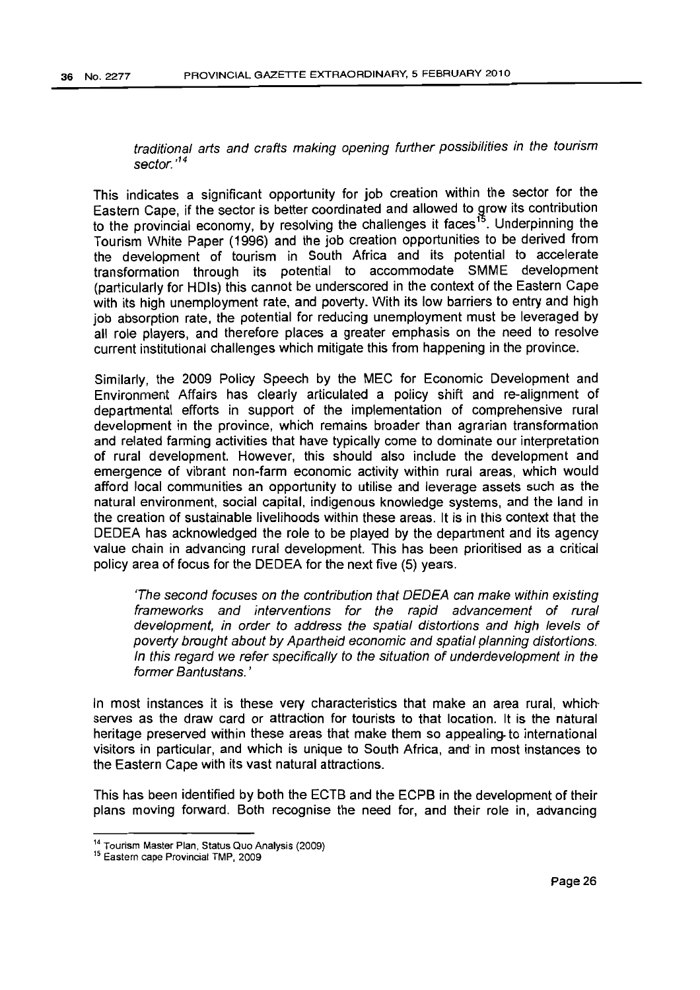traditional arts and crafts making opening further possibilities in the tourism sector.<sup>14</sup>

This indicates a significant opportunity for job creation within the sector for the Eastern Cape, if the sector is better coordinated and allowed to grow its contribution to the provincial economy, by resolving the challenges it faces<sup>15</sup>. Underpinning the Tourism White Paper (1996) and the job creation opportunities to be derived from the development of tourism in South Africa and its potential to accelerate transformation through its potential to accommodate SMME development (particularly for HDls) this cannot be underscored in the context of the Eastern Cape with its high unemployment rate, and poverty. With its low barriers to entry and high job absorption rate, the potential for reducing unemployment must be leveraged by all role players, and therefore places a greater emphasis on the need to resolve current institutional challenges which mitigate this from happening in the province.

Similarly, the 2009 Policy Speech by the MEC for Economic Development and Environment Affairs has clearly articulated a policy shift and re-aiignment of departmental efforts in support of the implementation of comprehensive rural development in the province, which remains broader than agrarian transformation and related farming activities that have typically come to dominate our interpretation of rural development. However, this should also include the development and emergence of vibrant non-farm economic activity within rural areas, which would afford local communities an opportunity to utilise and leverage assets such as the natural environment, social capital, indigenous knowledge systems, and the land in the creation of sustainable livelihoods within these areas. It is in this context that the DEDEA has acknowledged the role to be played by the department and its agency value chain in advancing rural development. This has been prioritised as a critical policy area of focus for the DEDEA for the next five (5) years.

'The second focuses on the contribution that DEDEA can make within existing frameworks and interventions for the rapid advancement of rural development, in order to address the spatial distortions and high levels of poverty brought about by Apartheid economic and spatial planning distortions. In this regard we refer specifically to the situation of underdevelopment in the former Bantustans. '

In most instances it is these very characteristics that make an area rural, which serves as the draw card or attraction for tourists to that location. It is the natural heritage preserved within these areas that make them so appealing. to international visitors in particular, and which is unique to South Africa, and in most instances to the Eastern Cape with its vast natural attractions.

This has been identified by both the ECTB and the ECPB in the development of their plans moving forward. Both recognise the need for, and their role in, advancing

<sup>14</sup> Tourism Master Plan, Status Quo Analysis (2009)

<sup>15</sup> Eastem cape Provincial TMP, 2009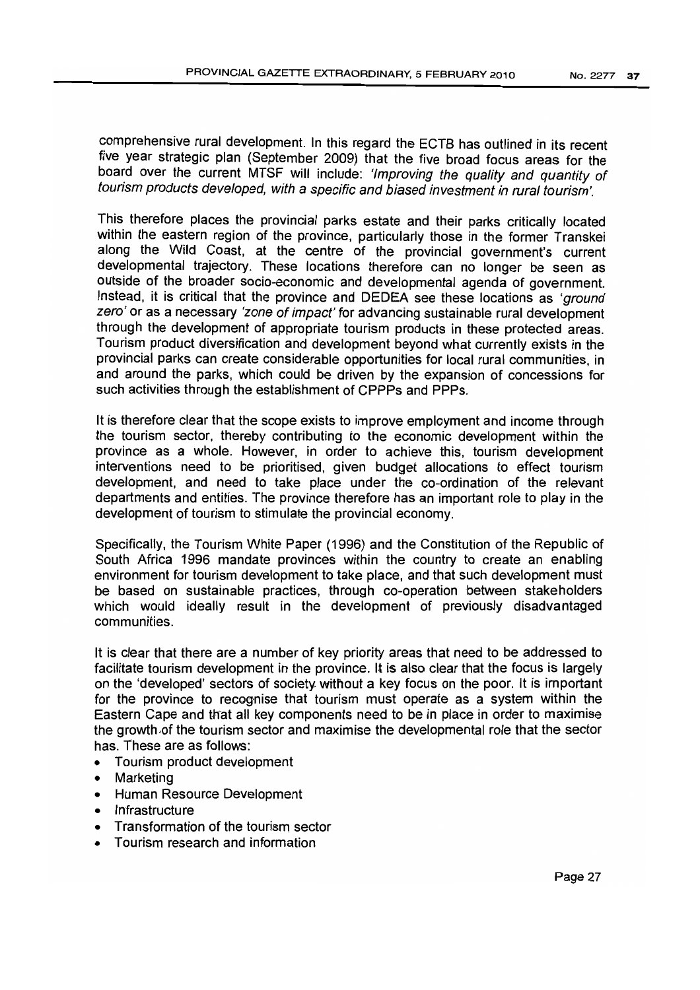comprehensive rural development. In this regard the ECTB has outlined in its recent five year strategic plan (September 2009) that the five broad focus areas for the board over the current MTSF will include: 'Improving the quality and quantity of tourism products developed, with a specific and biased investment in rural tourism'.

This therefore places the provincial parks estate and their parks critically located within the eastern region of the province, particularly those in the former Transkei along the Wild Coast, at the centre of the provincial government's current developmental trajectory. These locations therefore can no longer be seen as outside of the broader socio-economic and developmental agenda of government. Instead, it is critical that the province and DEDEA see these locations as 'ground zero' or as a necessary 'zone of impact' for advancing sustainable rural development through the development of appropriate tourism products in these protected areas. Tourism product diversification and development beyond what currently exists in the provincial parks can create considerable opportunities for local rural communities, in and around the parks, which could be driven by the expansion of concessions for such activities through the establishment of CPPPs and PPPs.

It is therefore clear that the scope exists to improve employment and income through the tourism sector, thereby contributing to the economic development within the province as a Whole. However, in order to achieve this, tourism development interventions need to be prioritised, given budget allocations to effect tourism development, and need to take place under the co-ordination of the relevant departments and entities. The province therefore has an important role to play in the development of tourism to stimulate the provincial economy.

Specifically, the Tourism White Paper (1996) and the Constitution of the Republic of South Africa 1996 mandate provinces within the country to create an enabling environment for tourism development to take place, and that such development must be based on sustainable practices, through co-operation between stakeholders which would ideally result in the development of previously disadvantaged communities.

It is clear that there are a number of key priority areas that need to be addressed to facilitate tourism development in the province. It is also clear that the focus is largely on the 'developed' sectors of society. without a key focus on the poor. It is important for the province to recognise that tourism must operate as a system within the Eastern Cape and that all key components need to be in place in order to maximise the growth of the tourism sector and maximise the developmental role that the sector has. These are as follows:

- Tourism product development
- **Marketing**
- Human Resource Development
- **Infrastructure**
- Transformation of the tourism sector
- Tourism research and information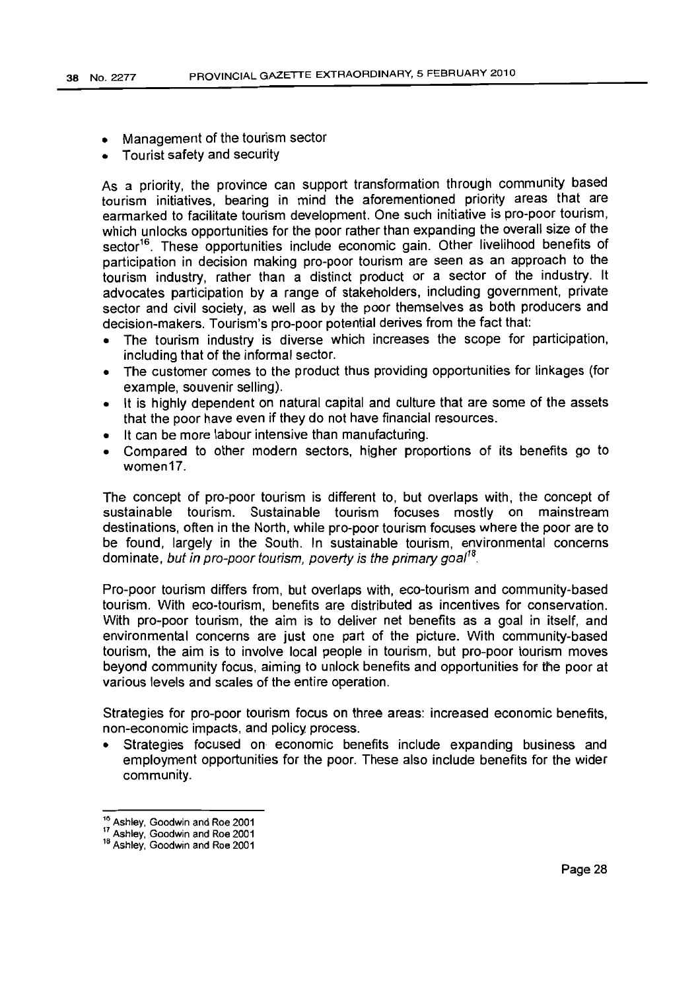- Management of the tourism sector
- Tourist safety and security

As a priority, the province can support transformation through community based tourism initiatives, bearing in mind the aforementioned priority areas that are earmarked to facilitate tourism development. One such initiative is pro-poor tourism, which unlocks opportunities for the poor rather than expanding the overall size of the sector<sup>16</sup>. These opportunities include economic gain. Other livelihood benefits of participation in decision making pro-poor tourism are seen as an approach to the tourism industry, rather than a distinct product or a sector of the industry. It advocates participation by a range of stakeholders, including government, private sector and civil society, as well as by the poor themselves as both producers and decision-makers. Tourism's pro-poor potential derives from the fact that:

- The tourism industry is diverse which increases the scope for participation, including that of the informal sector.
- The customer comes to the product thus providing opportunities for linkages (for example, souvenir selling).
- It is highly dependent on natural capital and culture that are some of the assets that the poor have even if they do not have financial resources.
- It can be more labour intensive than manufacturing.
- Compared to other modern sectors, hjgher proportions of its benefits go to women17.

The concept of pro-poor tourism is different to, but overlaps with, the concept of sustainable tourism. Sustainable tourism focuses mostly on mainstream destinations, often in the North, while pro-poor tourism focuses where the poor are to be found, largely in the South. In sustainable tourism, environmental concerns dominate, but in pro-poor tourism, poverty is the primary goal<sup>18</sup>.

Pro-poor tourism differs from, but overlaps with, eco-tourism and community-based tourism. With eco-tourism, benefits are distributed as incentives for conservation. With pro-poor tourism, the aim is to deliver net benefits as a goal in itself, and environmental concerns are just one part of the picture. With community-based tourism, the aim is to involve local people in tourism, but pro-poor tourism moves beyond community focus, aiming to unlock benefits and opportunities for the poor at various levels and scales of the entire operation.

Strategies for pro-poor tourism focus on three areas: increased economic benefits, non-economic impacts, and policy process.

Strategies focused on economic benefits include expanding business and employment opportunities for the poor. These also include benefits for the wider community.

<sup>16</sup> Ashley, Goodwin and Roe 2001

<sup>17</sup> Ashley, Goodwin and Roe 2001

<sup>18</sup> Ashley, Goodwin and Roe 2001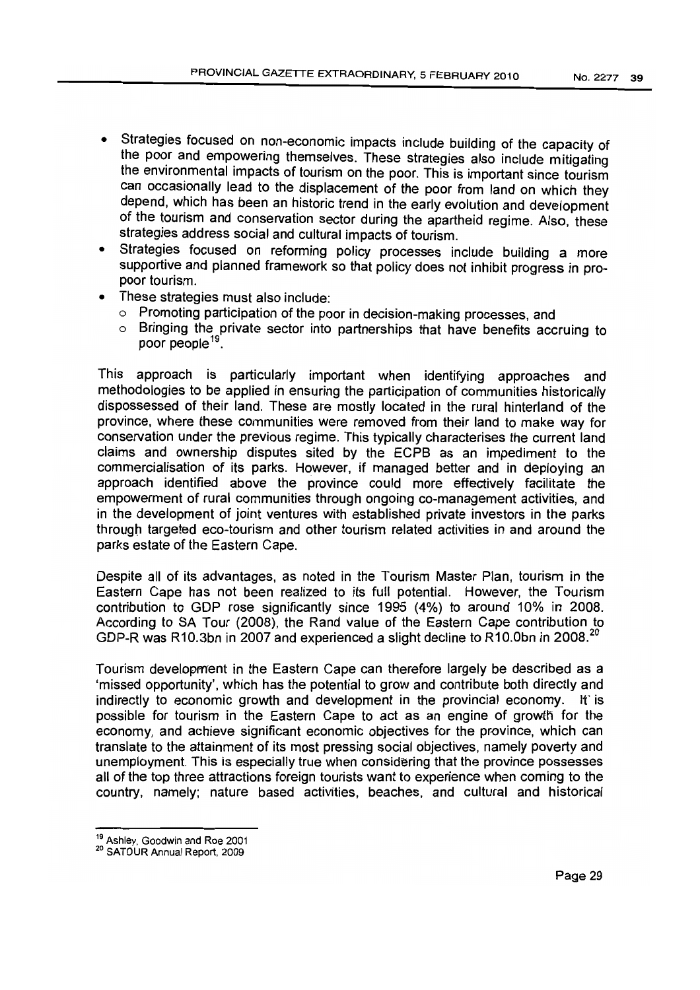- Strategies focused on non-economic impacts include building of the capacity of the poor and empowering themselves. These strategies also include mitigating the environmental impacts of tourism on the poor. This is important since tourism can occasionally lead to the displacement of the poor from land on which they depend, which has been an historic trend in the early evolution and development of the tourism and conservation sector during the apartheid regime. Also, these strategies address social and cultural impacts of tourism.
- Strategies focused on reforming policy processes include building a more supportive and planned framework so that policy does not inhibit progress in propoor tourism.
- These strategies must also include:
	- o Promoting participation of the poor in decision-making processes, and
	- o Bringing the private sector into partnerships that have benefits accruing to poor people<sup>19</sup>

This approach is particularly important when identifying approaches and methodologies to be applied in ensuring the participation of communities historically dispossessed of their land. These are mostly located in the rural hinterland of the province, where these communities were removed from their land to make way for conservation under the previous regime. This typically characterises the current land claims and ownership disputes sited by the ECPB as an impediment to the commercialisation of its parks. However, if managed better and in deploying an approach identified above the province could more effectively facilitate the empowerment of rural communities through ongoing co-management activities, and in the development of joint ventures with established private investors in the parks through targeted eco-tourism and other tourism related activities in and around the parks estate of the Eastern Cape.

Despite all of its advantages, as noted in the Tourism Master Plan, tourism in the Eastern Cape has not been realized to its full potential. However, the Tourism contribution to GOP rose significantly since 1995 (4%) to around 10% in 2008. According to SA Tour (2008), the Rand value of the Eastern Cape contribution to GDP-R was R10.3bn in 2007 and experienced a slight decline to R10.0bn in 2008.<sup>20</sup>

Tourism development in the Eastern Cape can therefore largely be described as a 'missed opportunity', which has the potential to grow and contribute both directly and indirectly to economic growth and development in the provincial economy. If is possible for tourism in the Eastern Cape to act as an engine of growth for the economy, and achieve significant economic objectives for the province, which can translate to the attainment of its most pressing social objectives, namely poverty and unemployment. This is especially true when considering that the province possesses all of the top three attractions foreign tourists want to experience when coming to the country, namely; nature based activities, beaches, and cultural and historical

<sup>&</sup>lt;sup>19</sup> Ashley, Goodwin and Roe 2001

<sup>20</sup> SATOUR Annual Report. 2009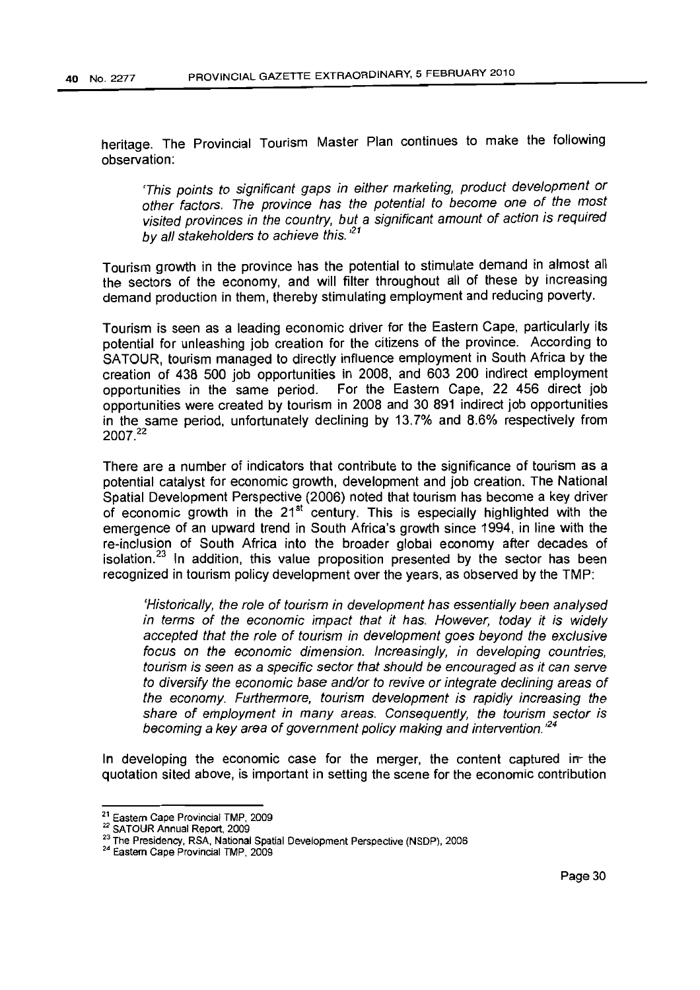heritage. The Provincial Tourism Master Plan continues to make the following observation:

'This points to significant gaps in either marketing, product development or other factors. The province has the potential to become one of the most visited provinces in the country, but a significant amount of action is required by all stakeholders to achieve this. $21$ 

Tourism growth in the province has the potential to stimulate demand in almost all the sectors of the economy, and will filter throughout all of these by increasing demand production in them, thereby stimulating employment and reducing poverty.

Tourism is seen as a leading economic driver for the Eastern Cape, particularly its potential for unleashing job creation for the citizens of the province. According to SATOUR, tourism managed to directly influence employment in South Africa by the creation of 438 500 job opportunities in 2008, and 603 200 indirect employment opportunities in the same period. For the Eastern Cape, 22 456 direct job opportunities were created by tourism in 2008 and 30 891 indirect job opportunities in the same period, unfortunately declining by 13.7% and 8.6% respectively from 2007.<sup>22</sup>

There are a number of indicators that contribute to the significance of tourism as a potential catalyst for economic growth, development and job creation. The National Spatial Development Perspective (2006) noted that tourism has become a key driver of economic growth in the  $21<sup>st</sup>$  century. This is especially highlighted with the emergence of an upward trend in South Africa's growth since 1994, in line with the re-inclusion of South Africa into the broader global economy after decades of isolation.<sup>23</sup> In addition, this value proposition presented by the sector has been recognized in tourism policy development over the years, as observed by the TMP:

'Historically, the role of tourism in development has essentially been analysed in terms of the economic impact that it has. However, today it is widely accepted that the role of tourism in development goes beyond the exclusive focus on the economic dimension. Increasingly, in developing countries, tourism is seen as a specific sector that should be encouraged as it can serve to diversify the economic base and/or to revive or integrate declining areas of the economy. Furthermore, tourism development is rapidly increasing the share of employment in many areas. Consequently, the tourism sector is becoming a key area of government policy making and intervention.<sup>124</sup>

In developing the economic case for the merger, the content captured in the quotation sited above, is important in setting the scene for the economic contribution

<sup>21</sup> Eastern Cape Provincial TMP, 2009

<sup>22</sup> SATOUR Annual Report, 2009

<sup>&</sup>lt;sup>23</sup> The Presidency, RSA, National Spatial Development Perspective (NSDP), 2006

<sup>&</sup>lt;sup>24</sup> Eastern Cape Provincial TMP, 2009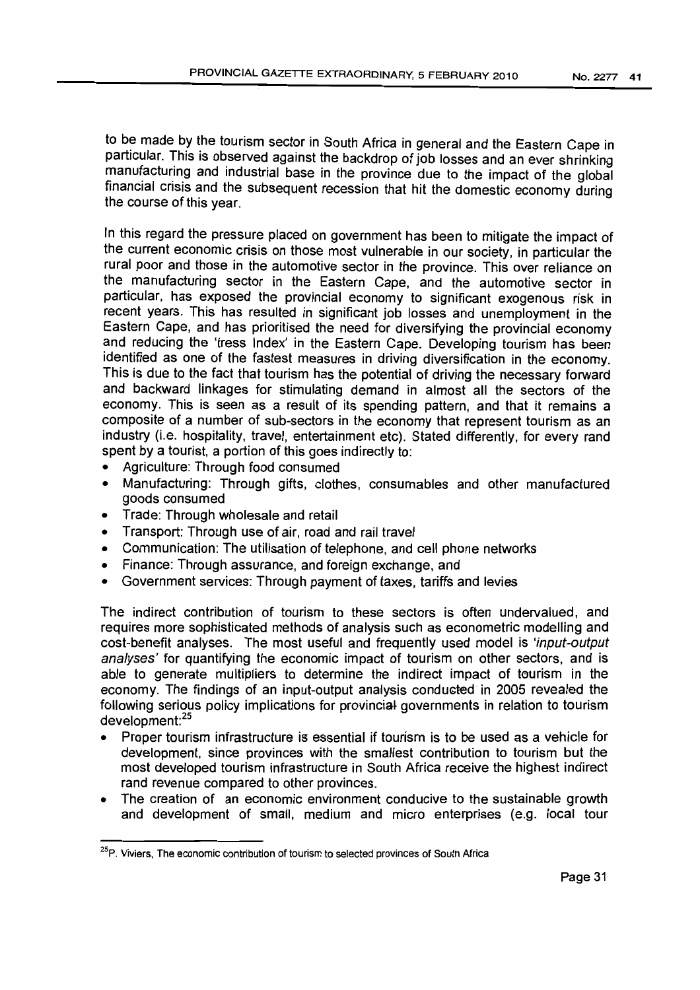to be made by the tourism sector in South Africa in general and the Eastern Cape in particular. This is observed against the backdrop of job losses and an ever shrinking manufacturing and industrial base in the province due to the impact of the global financial crisis and the subsequent recession that hit the domestic economy during the course of this year.

In this regard the pressure placed on government has been to mitigate the impact of the current economic crisis on those most vulnerable in our society, in particular the rural poor and those in the automotive sector in the province. This over reliance on the manufacturing sector in the Eastern Cape, and the automotive sector in particular, has exposed the provincial economy to significant exogenous risk in recent years. This has resulted in significant job losses and unemployment in the Eastern Cape, and has prioritised the need for diversifying the provincial economy and reducing the 'tress Index' in the Eastern Cape. Developing tourism has been identified as one of the fastest measures in driving diversification in the economy. This is due to the fact that tourism has the potential of driving the necessary forward and backward linkages for stimulating demand in almost all the sectors of the economy. This is seen as a result of its spending pattern, and that it remains a composite of a number of sub-sectors in the economy that represent tourism as an industry (i.e. hospitality, travel, entertainment etc). Stated differently, for every rand spent by a tourist, a portion of this goes indirectly to:

- Agriculture: Through food consumed
- Manufacturing: Through gifts, clothes, consumables and other manufactured goods consumed
- Trade: Through wholesale and retail
- Transport: Through use of air, road and rail travel
- Communication: The utilisation of telephone, and cell phone networks
- Finance: Through assurance, and foreign exchange, and
- Government services: Through payment of taxes, tariffs and levies

The indirect contribution of tourism to these sectors is often undervalued, and requires more sophisticated methods of analysis such as econometric modelling and cost-benefit analyses. The most useful and frequently used model is 'input-output analyses' for quantifying the economic impact of tourism on other sectors, and is able to generate multipliers to determine the indirect impact of tourism in the economy. The findings of an input-output analysis conducted in 2005 revealed the following serious policy implications for provincial governments in relation to tourism  $d$ evelopment: $^{25}$ 

- Proper tourism infrastructure is essential if tourism is to be used as a vehicle for development. since provinces with the smallest contribution to tourism but the most developed tourism infrastructure in South Africa receive the highest indirect rand revenue compared to other provinces.
- The creation of an economic environment conducive to the sustainable growth and development of small, medium and micro enterprises (e.g. local tour

<sup>&</sup>lt;sup>25</sup>P. Viviers. The economic contribution of tourism to selected provinces of South Africa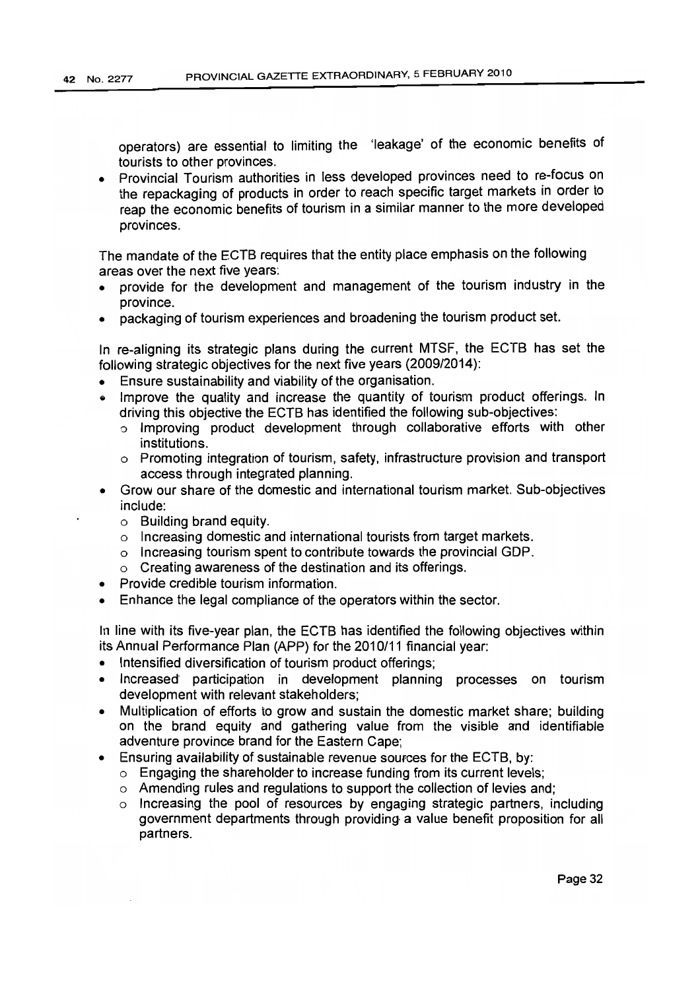operators) are essential to limiting the 'leakage' of the economic benefits of tourists to other provinces.

• Provincial Tourism authorities in less developed provinces need to re-focus on the repackaging of products in order to reach specific target markets in order to reap the economic benefits of tourism in a similar manner to the more developed provinces.

The mandate of the ECTS requires that the entity place emphasis on the following areas over the next five years:

- provide for the development and management of the tourism industry in the province.
- packaging of tourism experiences and broadening the tourism product set.

In re-aligning its strategic plans during the current MTSF, the ECrB has set the following strategic objectives for the next five years (2009/2014):

- Ensure sustainability and viability of the organisation.
- Improve the quality and increase the quantity of tourism product offerings. In driving this objective the ECTS has identified the following sub-objectives:
	- o Improving product development through collaborative efforts with other institutions.
	- o Promoting integration of tourism, safety, infrastructure provision and transport access through integrated planning.
- Grow our share of the domestic and international tourism market. Sub-objectives include:
	- o Building brand equity.
	- o Increasing domestic and international tourists from target markets.
	- o Increasing tourism spent to contribute towards the provincial GDP.
	- o Creating awareness of the destination and its offerings.
- Provide credible tourism information.
- Enhance the legal compliance of the operators within the sector.

In line with its five-year plan, the ECTB has identified the following objectives within its Annual Performance Plan (APP) for the 2010/11 financial year:

- Intensified diversification of tourism product offerings;
- Increased participation in development planning processes on tourism development with relevant stakeholders;
- Multiplication of efforts to grow and sustain the domestic market share; building on the brand equity and gathering value from the visible and identifiable adventure province brand for the Eastern Cape;
- Ensuring availability of sustainable revenue sources for the ECTS, by:
	- $\circ$  Engaging the shareholder to increase funding from its current levels;
	- o Amending rules and regulations to support the collection of levies and;
	- o Increasing the pool of resources by engaging strategic partners, including government departments through provldinq a value benefit proposition for all partners.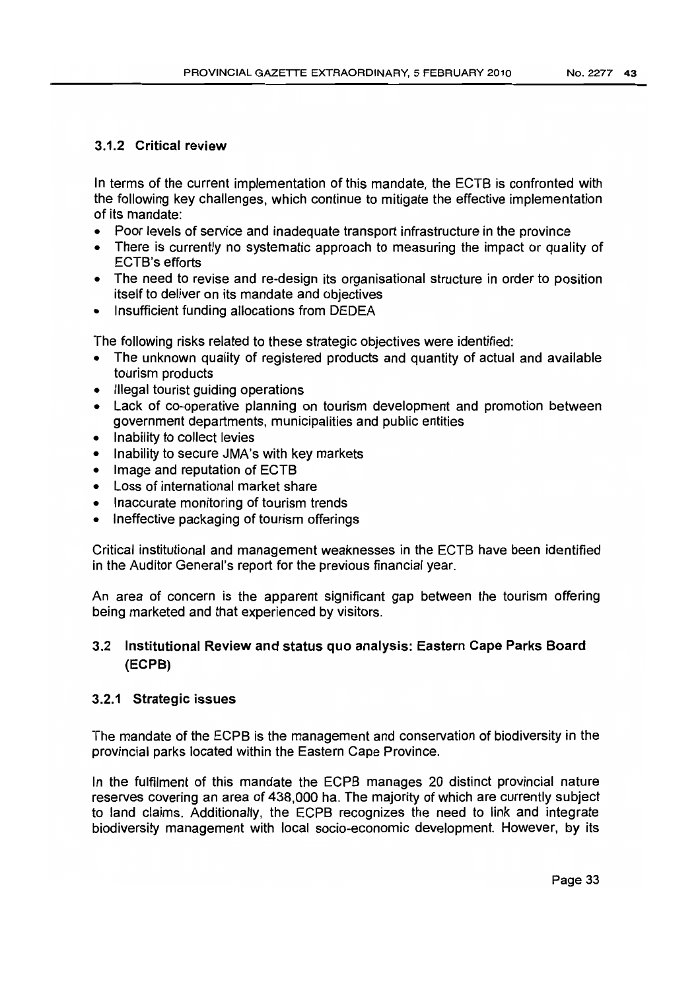# 3.1.2 Critical review

In terms of the current implementation of this mandate, the EGTS is confronted with the following key challenges, which continue to mitigate the effective implementation of its mandate:

- Poor levels of service and inadequate transport infrastructure in the province
- There is currently no systematic approach to measuring the impact or quality of EGTS's efforts
- The need to revise and re-design its organisational structure in order to position itself to deliver on its mandate and objectives
- Insufficient funding allocations from DEDEA

The following risks related to these strategic objectives were identified:

- The unknown quality of registered products and quantity of actual and available tourism products
- Illegal tourist guiding operations
- Lack of co-operative planning on tourism development and promotion between government departments, municipalities and public entities
- Inability to collect levies
- Inability to secure JMA's with key markets
- Image and reputation of ECTB
- Loss of international market share
- Inaccurate monitoring of tourism trends
- Ineffective packaging of tourism offerings

Critical institutional and management weaknesses in the ECTS have been identified in the Auditor General's report for the previous financial year.

An area of concern is the apparent significant gap between the tourism offering being marketed and that experienced by visitors.

# 3.2 Institutional Review and status quo analysis: Eastern Cape Parks Board (ECPB)

# 3.2.1 Strategic issues

The mandate of the EGPS is the management and conservation of biodiversity in the provincial parks located within the Eastern Cape Province.

In the fulfilment of this mandate the ECPS manages 20 distinct provincial nature reserves covering an area of 438,000 ha. The majority of which are currently subject to land claims. Additionally, the EGPS recognizes the need to link and integrate biodiversity management with local socio-economic development. However, by its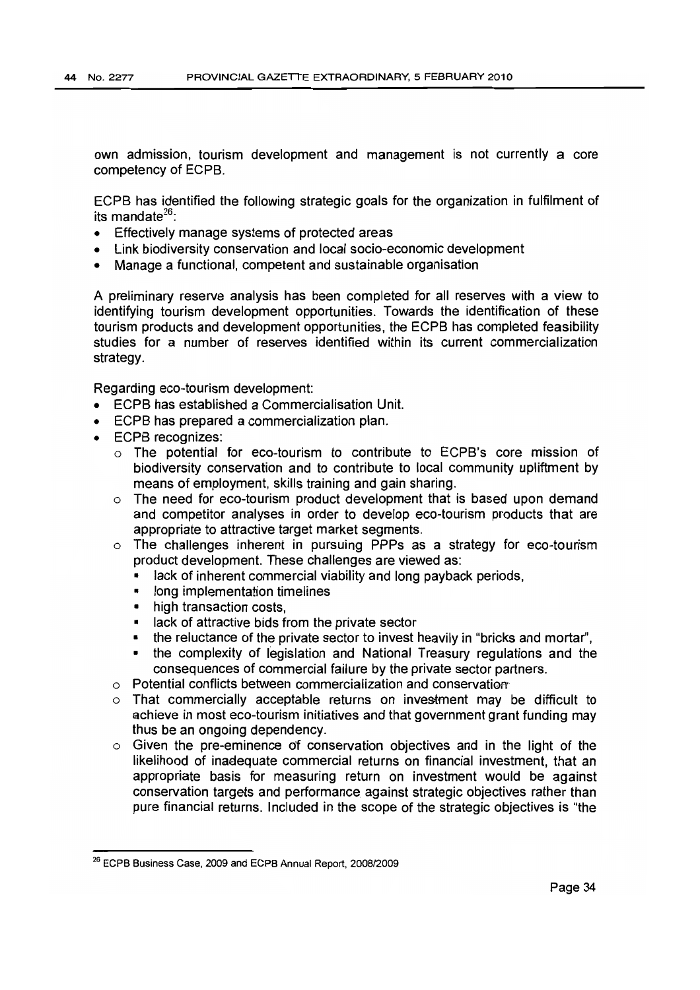own admission, tourism development and management is not currently a core competency of ECPB.

ECPB has identified the following strategic goals for the organization in fulfilment of its mandate $^{26}$ 

- Effectively manage systems of protected areas
- Link biodiversity conservation and local socio-economic development
- Manage a functional, competent and sustainable organisation

A preliminary reserve analysis has been completed for all reserves with a view to identifying tourism development opportunities. Towards the identification of these tourism products and development opportunities, the ECPB has completed feasibility studies for a number of reserves identified within its current commercialization strategy.

Regarding eco-tourism development:

- ECPB has established a Commercialisation Unit.
- ECPB has prepared a commercialization plan.
- ECPB recognizes:
	- $\circ$  The potential for eco-tourism to contribute to ECPB's core mission of biodiversity conservation and to contribute to local community upliftment by means of employment, skills training and gain sharing.
	- $\circ$  The need for eco-tourism product development that is based upon demand and competitor analyses in order to develop eco-tourism products that are appropriate to attractive target market segments.
	- a The challenges inherent in pursuing PPPs as a strategy for eco-tourism product development. These challenges are viewed as:
		- lack of inherent commercial viability and long payback periods,
		- long implementation timelines
		- high transaction costs.
		- lack of attractive bids from the private sector
		- the reluctance of the private sector to invest heavily in "bricks and mortar",
		- the complexity of legislation and National Treasury regulations and the consequences of commercial failure by the private sector partners.
	- $\circ$  Potential conflicts between commercialization and conservation
	- $\circ$  That commercially acceptable returns on investment may be difficult to achieve in most eco-tourism initiatives and that government grant funding may thus be an ongoing dependency.
	- $\circ$  Given the pre-eminence of conservation objectives and in the light of the likelihood of inadequate commercial returns on financial investment, that an appropriate basis for measuring return on investment would be against conservation targets and performance against strategic objectives rather than pure financial returns. Included in the scope of the strategic objectives is "the

<sup>26</sup> ECPB Business Case, 2009 and ECPB Annual Report, 2008/2009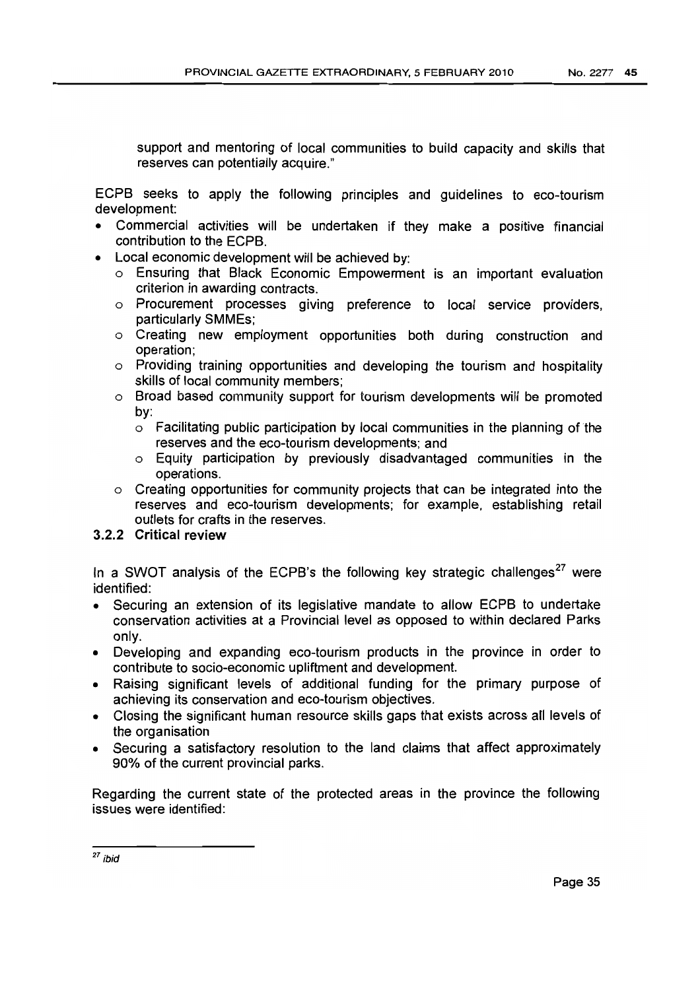support and mentoring of local communities to build capacity and skills that reserves can potentially acquire."

ECPB seeks to apply the following principles and guidelines to eco-tourism development:

- Commercial activities will be undertaken if they make a positive financial contribution to the ECPB.
- Local economic development will be achieved by:
	- o Ensuring that Black Economic Empowerment is an important evaluation criterion in awarding contracts.
	- o Procurement processes giving preference to local service providers, particularly SMMEs;
	- o Creating new employment opportunities both during construction and operation;
	- o Providing training opportunities and developing the tourism and hospitality skills of local community members;
	- o Broad based community support for tourism developments will be promoted by:
		- $\circ$  Facilitating public participation by local communities in the planning of the reserves and the eco-tourism developments; and
		- o Equity participation by previously disadvantaged communities in the operations.
	- o Creating opportunities for community projects that can be integrated into the reserves and eco-tourism developments; for example, establishing retail outlets for crafts in the reserves.

# 3.2.2 Critical review

In a SWOT analysis of the ECPB's the following key strategic challenges<sup>27</sup> were identified:

- Securing an extension of its legislative mandate to allow ECPB to undertake conservation activities at a Provincial level as opposed to within declared Parks only.
- Developing and expanding eco-tourism products in the province in order to contribute to socio-economic upliftment and development.
- Raisinq significant levels of additional funding for the primary purpose of achieving its conservation and eco-tourism objectives.
- Closing the significant human resource skills gaps that exists across all levels of the organisation
- Securing a satisfactory resolution to the land claims that affect approximately 90% of the current provincial parks.

Regarding the current state of the protected areas in the province the following issues were identified:

<sup>27</sup> ibid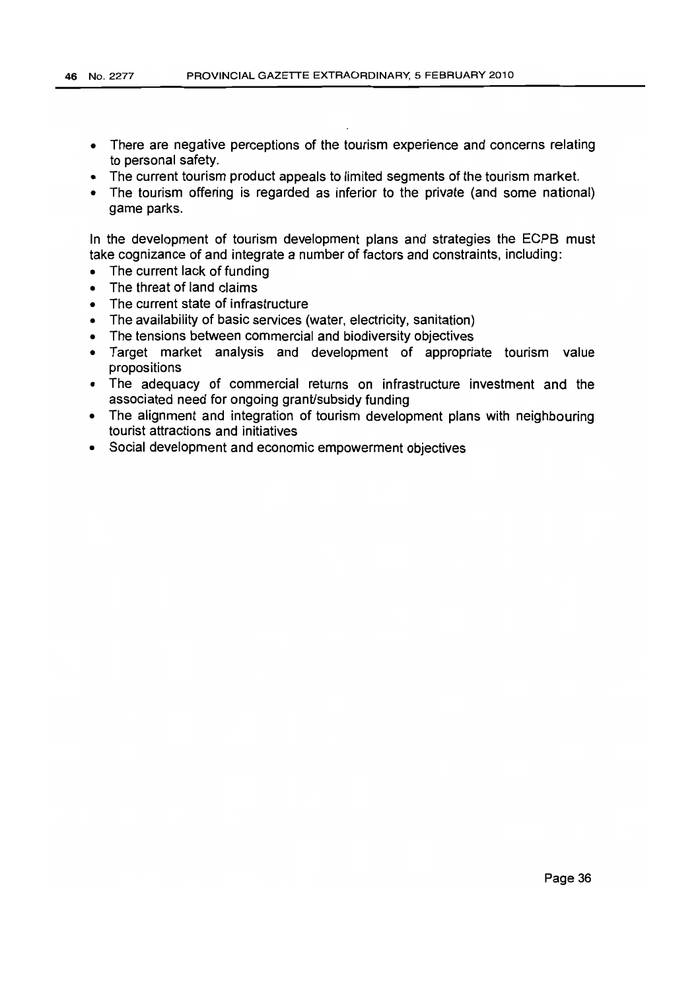- There are negative perceptions of the tourism experience and concerns relating to personal safety.
- The current tourism product appeals to limited segments of the tourism market.
- The tourism offering is regarded as inferior to the private (and some national) game parks.

In the development of tourism development plans and strategies the ECPB must take cognizance of and integrate a number of factors and constraints, including:

- The current lack of funding
- The threat of land claims
- The current state of infrastructure
- The availability of basic services (water, electricity, sanitation)
- The tensions between commercial and biodiversity objectives
- Target market analysis and development of appropriate tourism value propositions
- The adequacy of commercial returns on infrastructure investment and the associated need for ongoing grant/subsidy funding
- The alignment and integration of tourism development plans with neighbouring tourist attractions and initiatives
- Social development and economic empowerment objectives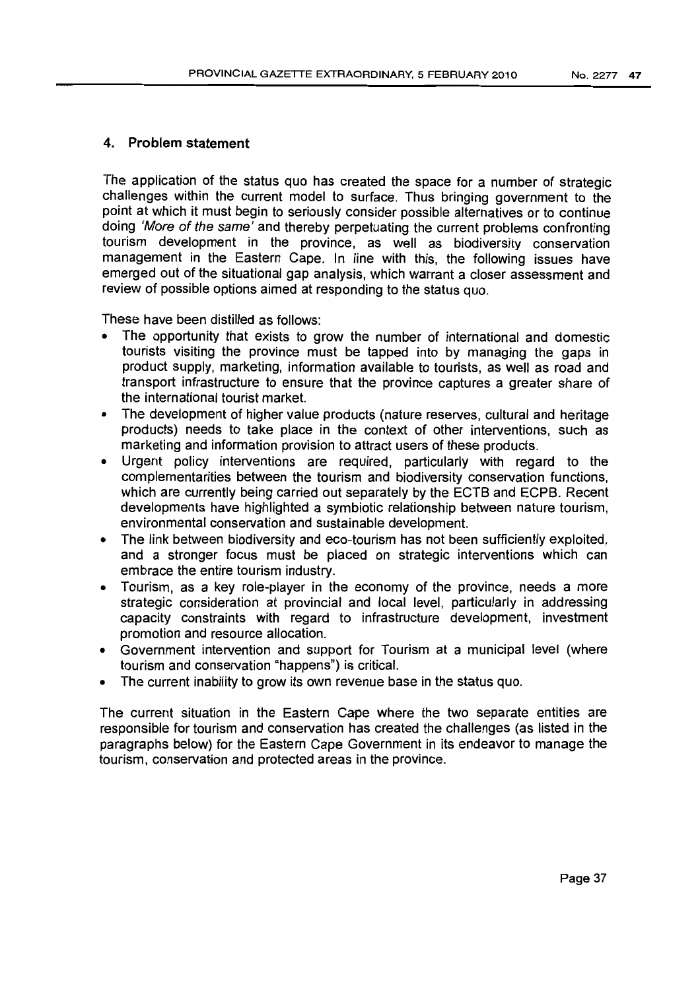# **4. Problem statement**

The application of the status quo has created the space for a number of strategic challenges within the current model to surface. Thus bringing government to the point at which it must begin to seriously consider possible alternatives or to continue doing 'More of the same' and thereby perpetuating the current problems confronting tourism development in the province, as well as biodiversity conservation management in the Eastern Cape. In line with this, the following issues have emerged out of the situational gap analysis, which warrant a closer assessment and review of possible options aimed at responding to the status quo.

These have been distilled as follows:

- The opportunity that exists to grow the number of international and domestic tourists visiting the province must be tapped into by managing the gaps in product supply, marketing, information available to tourists, as well as road and transport infrastructure to ensure that the province captures a greater share of the international tourist market.
- The development of higher value products (nature reserves, cultural and heritage products) needs to take place in the context of other interventions, such as marketing and information provision to attract users of these products.
- Urgent policy interventions are required. particularly with regard to the complementarities between the tourism and biodiversity conservation functions, which are currently being carried out separately by the ECTB and ECPB. Recent developments have highlighted a symbiotic relationship between nature tourism, environmental conservation and sustainable development.
- The link between biodiversity and eco-tourism has not been sufficiently exploited, and a stronger focus must be placed on strategic interventions which can embrace the entire tourism industry.
- Tourism, as a key role-player in the economy of the province, needs a more strategic consideration at provincial and local level, particularly in addressing capacity constraints with regard to infrastructure development, investment promotion and resource allocation.
- Government intervention and support for Tourism at a municipal level (where tourism and conservation "happens") is critical.
- The current inability to grow its own revenue base in the status quo.

The current situation in the Eastern Cape where the two separate entities are responsible for tourism and conservation has created the challenges (as listed in the paragraphs below) for the Eastern Cape Government in its endeavor to manage the tourism, conservation and protected areas in the province.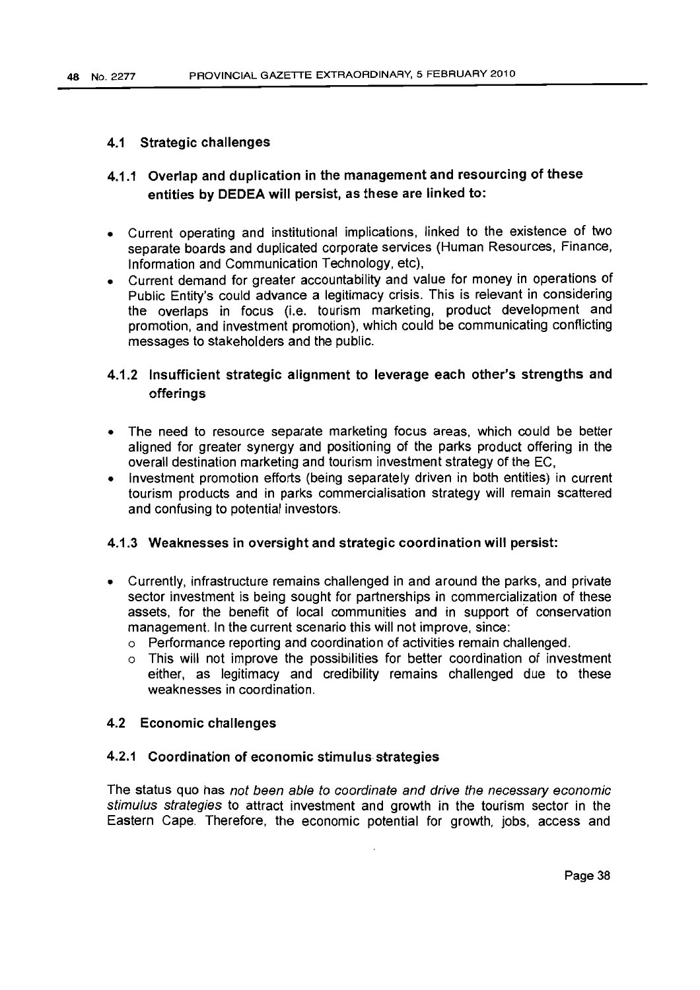### 4.1 Strategic challenges

# 4.1.1 Overlap and duplication in the management and resourcing of these entities by DEDEA will persist, as these are linked to:

- Current operating and institutional implications, linked to the existence of two separate boards and duplicated corporate services (Human Resources, Finance, Information and Communication Technology, etc),
- Current demand for greater accountability and value for money in operations of Public Entity's could advance a legitimacy crisis. This is relevant in considering the overlaps in focus (i.e. tourism marketing, product development and promotion, and investment promotion), which could be communicating conflicting messages to stakeholders and the public.

# 4.1.2 Insufficient strategic alignment to leverage each other's strengths and offerings

- The need to resource separate marketing focus areas, which could be better aligned for greater synergy and positioning of the parks product offering in the overall destination marketing and tourism investment strategy of the EC,
- Investment promotion efforts (being separately driven in both entities) in current tourism products and in parks commercialisation strategy will remain scattered and confusing to potential investors.

# 4.1.3 Weaknesses in oversight and strategic coordination will persist:

- Currently, infrastructure remains challenged in and around the parks, and private sector investment is being sought for partnerships in commercialization of these assets, for the benefit of local communities and in support of conservation management. In the current scenario this will not improve. since:
	- o Performance reporting and coordination of activities remain challenged.
	- o This will not improve the possibilities for better coordination of investment either, as legitimacy and credibility remains challenged due to these weaknesses in coordination.

## 4.2 Economic challenges

## 4.2.1 Coordination of economic stimulus strategies

The status quo has not been able to coordinate and drive the necessary economic stimulus strategies to attract investment and growth in the tourism sector in the Eastern Cape. Therefore, the economic potential for growth, jobs, access and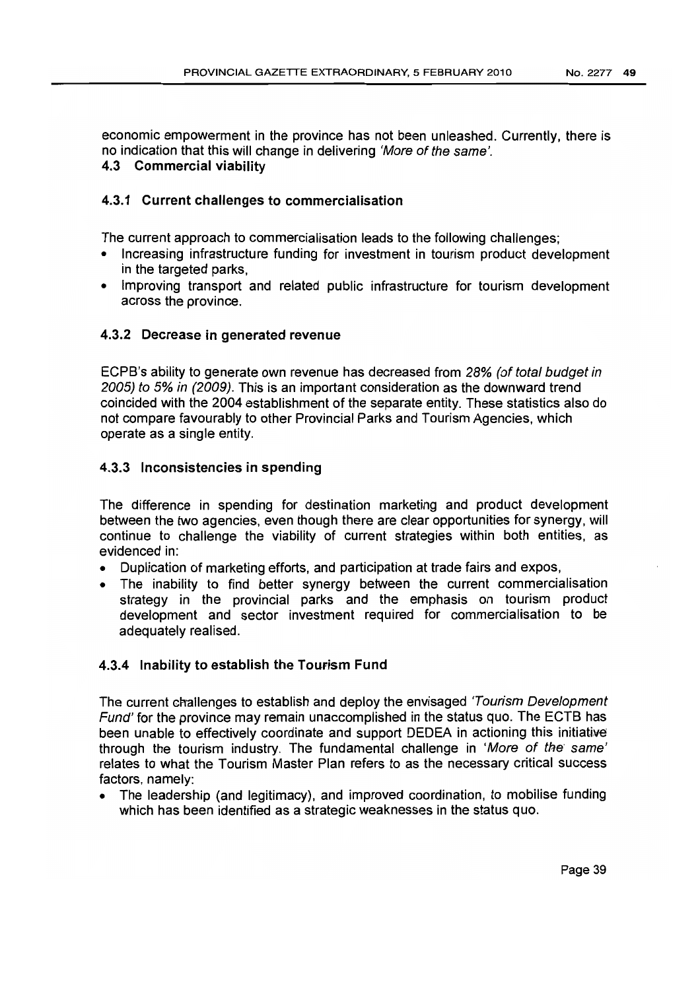economic empowerment in the province has not been unleashed. Currently, there is no indication that this will change in delivering 'More of the same'.

# 4.3 Commercial viability

# 4.3.1 Current challenges to commercialisation

The current approach to commercialisation leads to the following challenges;

- Increasing infrastructure funding for investment in tourism product development in the targeted parks,
- Improving transport and related public infrastructure for tourism development across the province.

# 4.3.2 Decrease in generated revenue

ECPB's ability to generate own revenue has decreased from 28% (of total budget in 2005) to 5% in (2009). This is an important consideration as the downward trend coincided with the 2004 establishment of the separate entity. These statistics also do not compare favourably to other Provincial Parks and Tourism Agencies, which operate as a single entity.

# 4.3.3 Inconsistencies in spending

The difference in spending for destination marketing and product development between the two agencies, even though there are clear opportunities for synergy, will continue to challenge the viability of current strategies within both entities, as evidenced in:

- Duplication of marketing efforts, and participation at trade fairs and expos,
- The inability to find better synergy between the current commercialisation strategy in the provincial parks and the emphasis on tourism product development and sector investment required for commercialisation to be adequately realised.

## 4.3.4 Inability to establish the Tourism Fund

The current challenges to establish and deploy the envisaged 'Tourism Development' Fund' for the province may remain unaccomplished in the status quo. The ECTB has been unable to effectively coordinate and support DEDEA in actioning this initiative through the tourism industry. The fundamental challenge in 'More of the' same' relates to what the Tourism Master Plan refers to as the necessary critical success factors, namely:

• The leadership (and legitimacy), and improved coordination, to mobilise funding which has been identified as a strategic weaknesses in the status quo.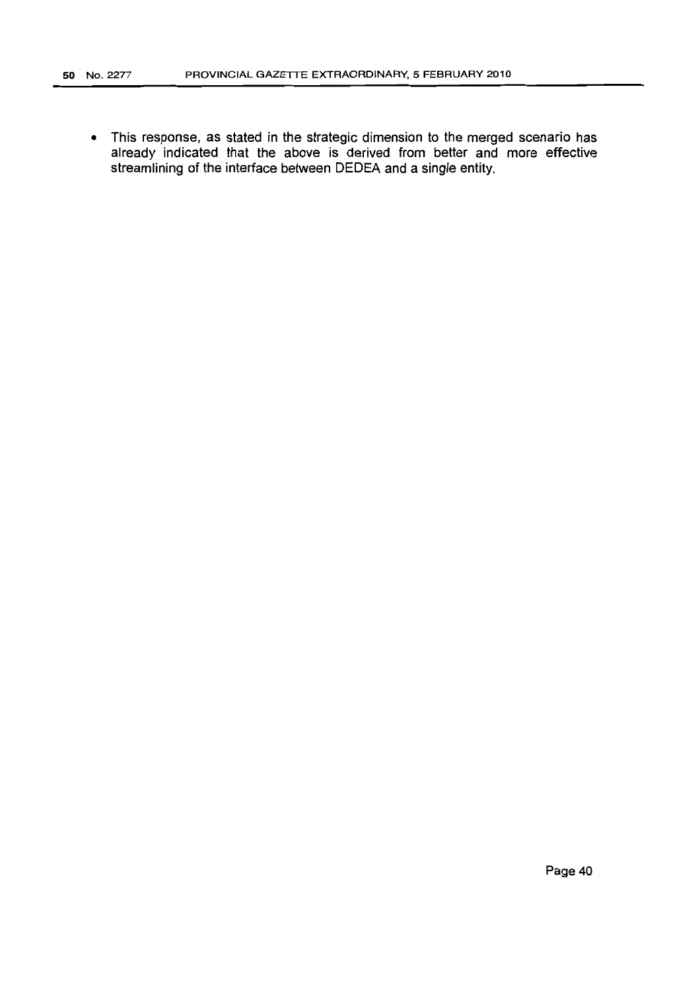• This response, as stated in the strategic dimension to the merged scenario has already indicated that the above is derived from better and more effective streamlining of the interface between DEDEA and a single entity.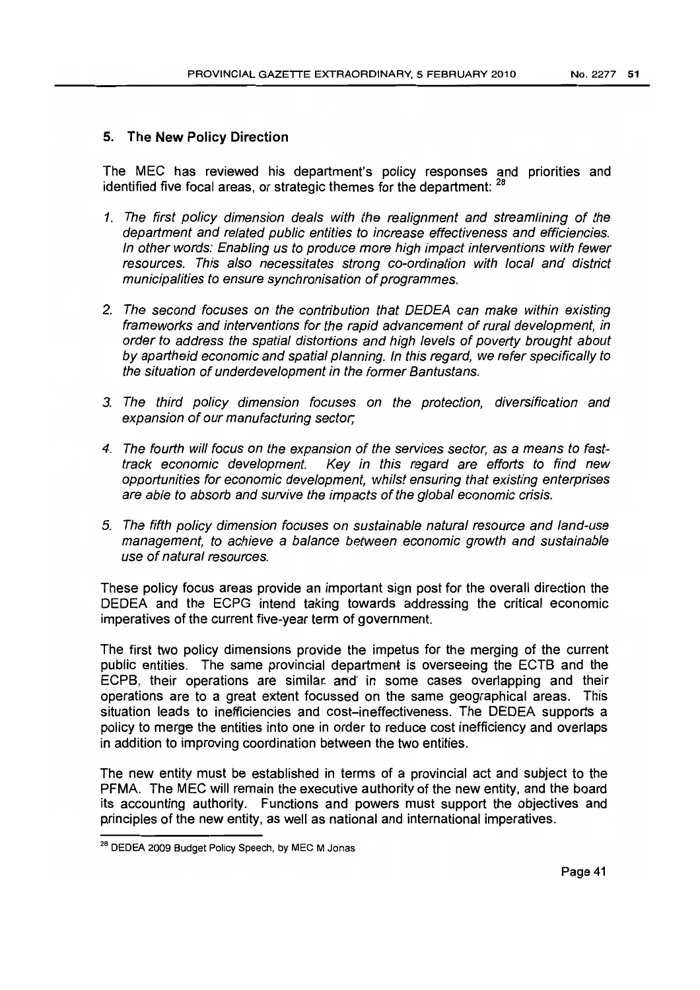# **5. The New Policy Direction**

The MEC has reviewed his department's policy responses and priorities and identified five focal areas, or strategic themes for the department: <sup>28</sup>

- 1. The first policy dimension deals with the realignment and streamlining of the department and related public entities to increase effectiveness and efficiencies. In other words: Enabling us to produce more high impact interventions with fewer resources. This also necessitates strong co-ordination with local and district municipalities to ensure synchronisation of programmes.
- 2. The second focuses on the contribution that DEDEA can make within existing frameworks and interventions for the rapid advancement of rural development, in order to address the spatial distortions and high levels of poverty brought about by apartheid economic and spatial planning. In this regard, we refer specifically to the situation of underdevelopment in the former Bantustans.
- 3. The third policy dimension focuses on the protection, diversification and expansion of our manufacturing sector;
- 4. The fourth will focus on the expansion of the services sector, as a means to fasttrack economic development. Key in this regard are efforts to find new opportunities for economic development, whilst ensuring that existing enterprises are able to absorb and survive the impacts of the global economic crisis.
- 5. The fifth policy dimension focuses on sustainable natural resource and land-use management, to achieve a balance between economic growth and sustainable use of natural resources.

These policy focus areas provide an important sign post for the overall direction the DEDEA and the ECPG intend taking towards addressing the critical economic imperatives of the current five-year term of government.

The first two policy dimensions provide the impetus for the merging of the current public entities. The same provincial department is overseeing the ECTB and the ECPB, their operations are similar. and' in some cases overlapping and their operations are to a great extent focussed on the same geographical areas. This situation leads to inefficiencies and cost-ineffectiveness. The DEDEA supports a policy to merge the entities into one in order to reduce cost inefficiency and overlaps in addition to improving coordination between the two entities.

The new entity must be established in terms of a provincial act and subject to the PFMA. The MEC will remain the executive authority of the new entity, and the board its accounting authority. Functions and powers must support the objectives and principles of the new entity, as well as national and international imperatives.

<sup>28</sup> DEDEA 2009 BUdget Policy Speech, by MEG M Jonas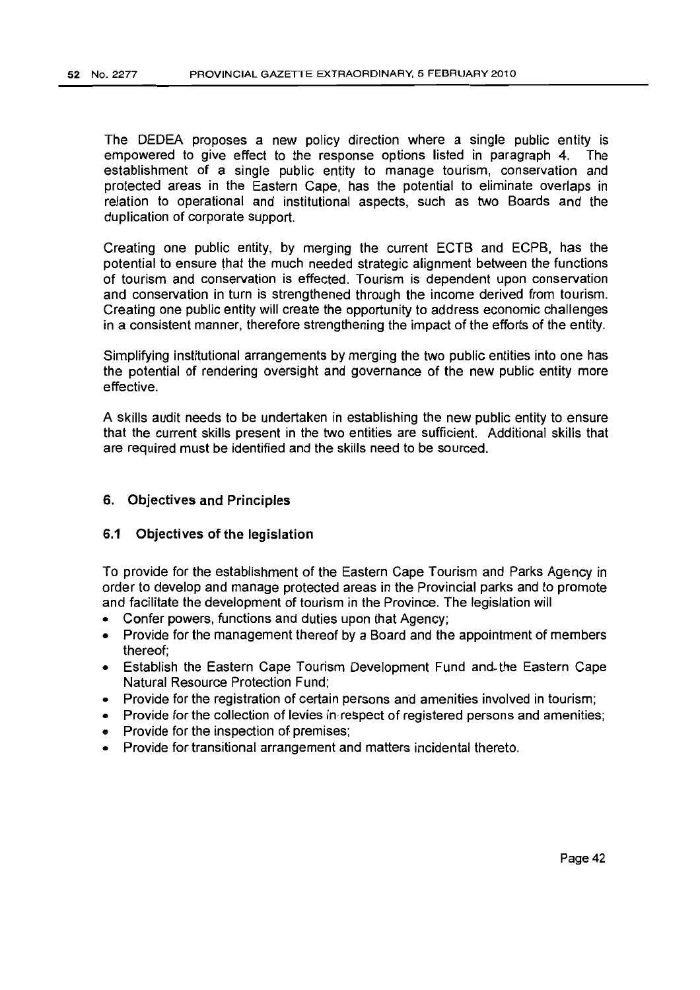The DEDEA proposes a new policy direction where a single public entity is empowered to give effect to the response options listed in paragraph 4. The establishment of a single public entity to manage tourism, conservation and protected areas in the Eastern Cape, has the potential to eliminate overlaps in relation to operational and institutional aspects, such as two Boards and the duplication of corporate support.

Creating one public entity, by merging the current ECTB and ECPB, has the potential to ensure that the much needed strategic alignment between the functions of tourism and conservation is effected. Tourism is dependent upon conservation and conservation in turn is strengthened through the income derived from tourism. Creating one public entity will create the opportunity to address economic challenges in a consistent manner, therefore strengthening the impact of the efforts of the entity.

Simplifying institutional arrangements by merging the two public entities into one has the potential of rendering oversight and governance of the new public entity more effective.

A skills audit needs to be undertaken in establishing the new public entity to ensure that the current skills present in the two entities are sufficient. Additional skills that are required must be identified and the skills need to be sourced.

### 6. Objectives and Principles

### 6.1 Objectives of the legislation

To provide for the establishment of the Eastern Cape Tourism and Parks Agency in order to develop and manage protected areas in the Provincial parks and to promote and facilitate the development of tourism in the Province. The legislation will

- Confer powers, functions and duties upon that Agency;
- Provide for the management thereof by a Board and the appointment of members thereof;
- Establish the Eastern Cape Tourism Development Fund and.the Eastern Cape Natural Resource Protection Fund;
- Provide for the registration of certain persons and amenities involved in tourism;
- Provide for the collection of levies in respect of registered persons and amenities:
- e Provide for the inspection of premises;
- Provide for transitional arrangement and matters incidental thereto.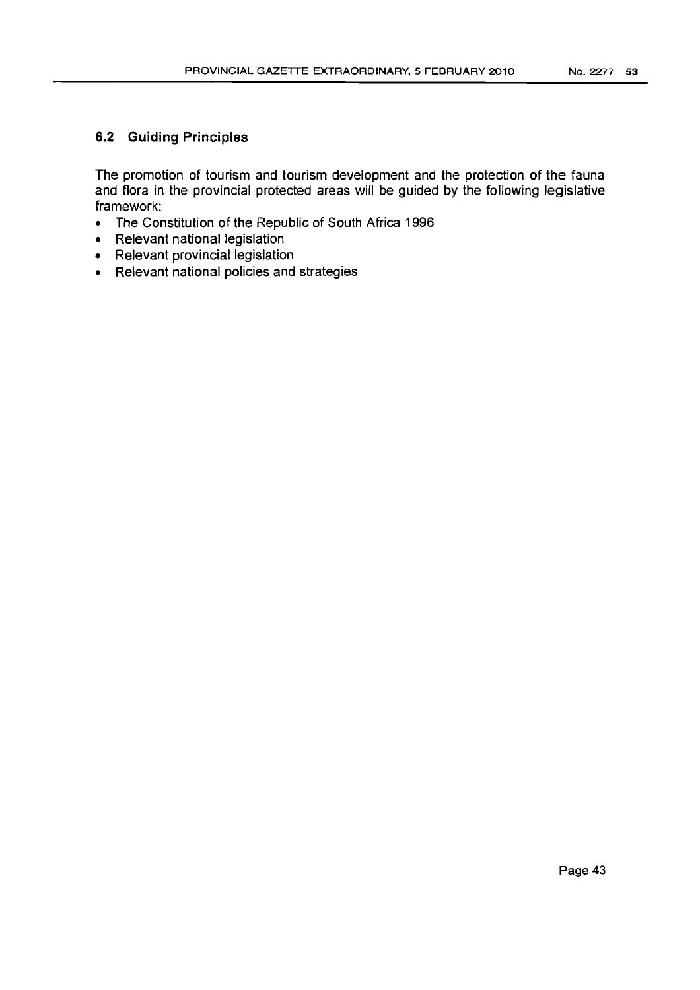# 6.2 **Guiding Principles**

The promotion of tourism and tourism development and the protection of the fauna and flora in the provincial protected areas will be guided by the following legislative framework:

- The Constitution of the Republic of South Africa 1996
- Relevant national legislation
- Relevant provincial legislation
- Relevant national policies and strategies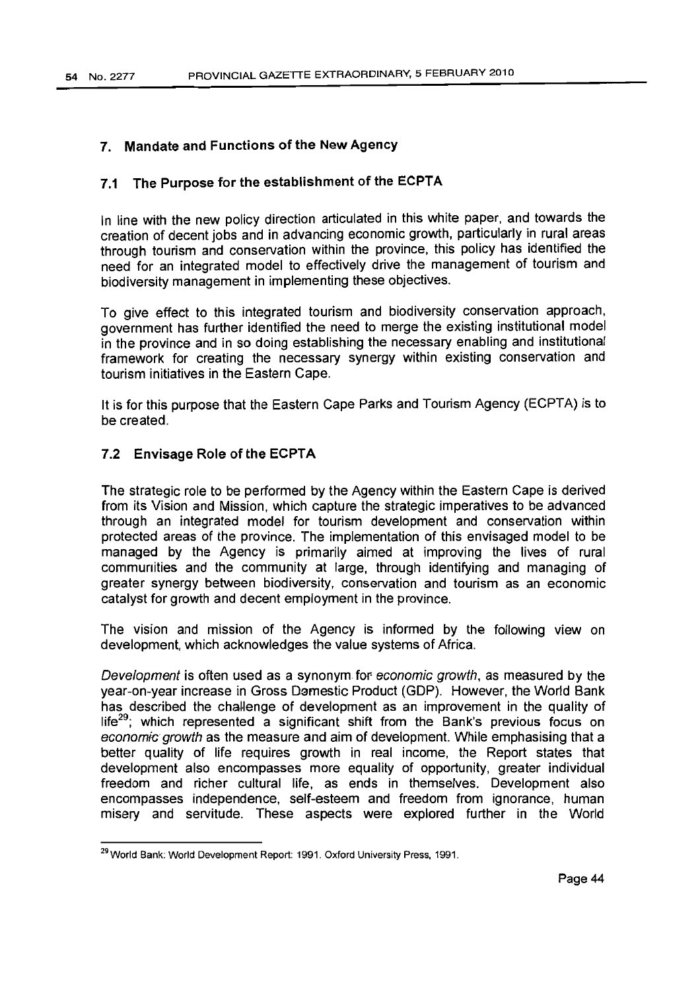# 7. Mandate and Functions of the New Agency

# 7.1 The Purpose for the establishment of the ECPTA

In line with the new policy direction articulated in this white paper, and towards the creation of decent jobs and in advancing economic growth, particularly in rural areas through tourism and conservation within the province, this policy has identified the need for an integrated model to effectively drive the management of tourism and biodiversity management in implementing these objectives.

To give effect to this integrated tourism and biodiversity conservation approach, government has further identified the need to merge the existing institutional model in the province and in so doing establishing the necessary enabling and institutional framework for creating the necessary synergy within existing conservation and tourism initiatives in the Eastern Cape.

It is for this purpose that the Eastern Cape Parks and Tourism Agency (ECPTA) is to be created.

### 7.2 Envisage Role of the ECPTA

The strategic role to be performed by the Agency within the Eastern Cape is derived from its Vision and Mission, which capture the strategic imperatives to be advanced through an integrated model for tourism development and conservation within protected areas of the province. The implementation of this envisaged model to be managed by the Agency is primarily aimed at improving the lives of rural communities and the community at large, through identifying and managing of greater synergy between biodiversity, conservation and tourism as an economic catalyst for growth and decent employment in the province.

The vision and mission of the Agency is informed by the following view on development, which acknowledges the value systems of Africa.

Development is often used as a synonym for economic growth, as measured by the year-on-year increase in Gross Domestic Product (GOP). However, the World Bank has described the challenge of development as an improvement in the quality of life<sup>29</sup>; which represented a significant shift from the Bank's previous focus on economic growth as the measure and aim of development. While emphasising that a better quality of life requires growth in real income, the Report states that development also encompasses more equality of opportunity, greater individual freedom and richer cultural life, as ends in themselves. Development also encompasses independence, self-esteem and freedom from ignorance, human misery and servitude. These aspects were explored further in the World

<sup>&</sup>lt;sup>29</sup> World Bank: World Development Report: 1991. Oxford University Press, 1991.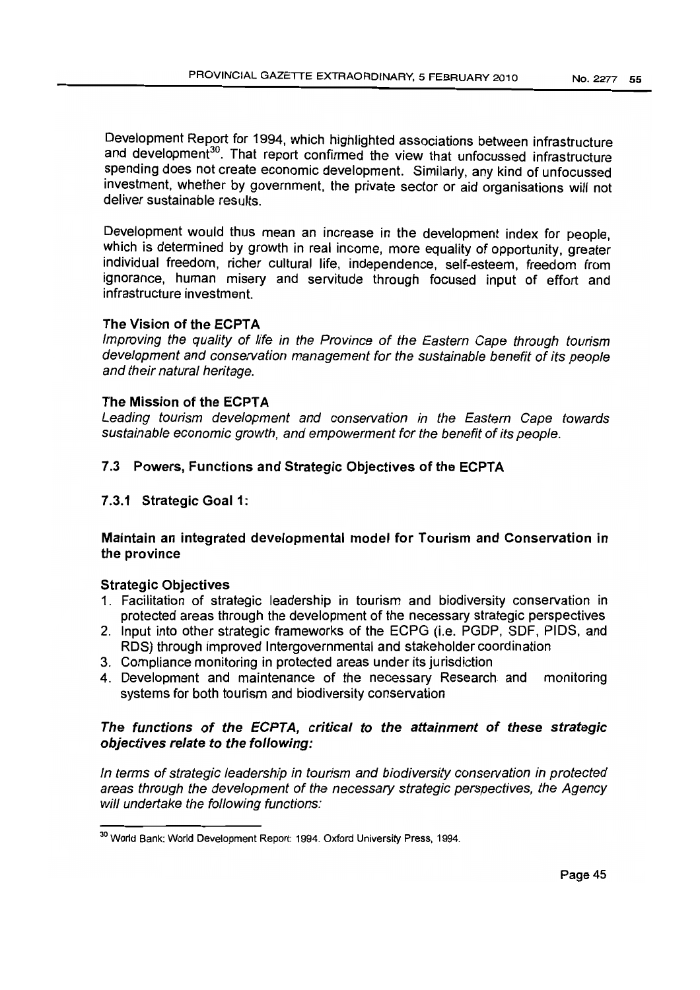Development Report for 1994, which highlighted associations between infrastructure and development<sup>30</sup>. That report confirmed the view that unfocussed infrastructure spending does not create economic development. Similarly, any kind of unfocussed investment, whether by government, the private sector or aid organisations will not deliver sustainable results.

Development would thus mean an increase in the development index for people, which is determined by growth in real income, more equality of opportunity, greater individual freedom, richer cultural life, independence, self-esteem, freedom from ignorance, human misery and servitude through focused input of effort and infrastructure investment.

## The Vision of the ECPTA

Improving the quality of life in the Province of the Eastern Cape through tourism development and conservation management for the sustainable benefit of its people and their natural heritage.

## The Mission of the ECPTA

Leading tourism development and conservation in the Eastern Cape towards sustainable economic growth, and empowerment for the benefit of its people.

# 7.3 Powers, Functions and Strategic Objectives of the ECPTA

# 7.3.1 Strategic Goal 1:

# Maintain an integrated developmental model for Tourism and Conservation in the province

## Strategic Objectives

- 1. Facilitation of strategic leadership in tourism and biodiversity conservation in protected areas through the development of the necessary strategic perspectives
- 2. Input into other strategic frameworks of the ECPG (l.e. PGDP, SDF, PIDS, and RDS) through improved Intergovernmental and stakeholder coordination
- 3. Compliance monitoring in protected areas under its jurisdiction
- 4. Development and maintenance of the necessary Research and monitoring systems for both tourism and biodiversity conservation

# The functions of the ECPTA, critical to the attainment of these strategic objectives relate to the following:

In terms of strategic leadership in tourism and biodiversity conservation in protected areas through the development of the necessary strategic perspectives, the Agency will undertake the following functions:

<sup>30</sup> World Bank: World Development Report: 1994. Oxford University Press, 1994.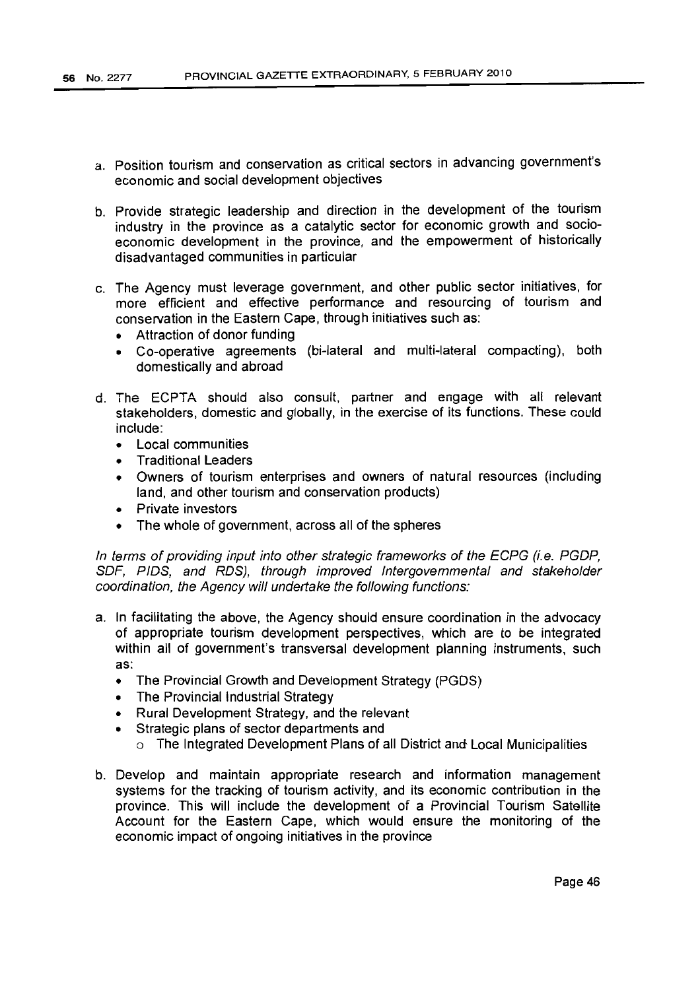- a. Position tourism and conservation as critical sectors in advancing government's economic and social development objectives
- b. Provide strategic leadership and direction in the development of the tourism industry in the province as a catalytic sector for economic growth and socioeconomic development in the province, and the empowerment of historically disadvantaged communities in particular
- c. The Agency must leverage government, and other public sector initiatives, for more efficient and effective performance and resourcing of tourism and conservation in the Eastern Cape, through initiatives such as:
	- Attraction of donor funding
	- Co-operative agreements (bi-lateral and multi-lateral compacting), both domestically and abroad
- d. The ECPTA should also consult, partner and engage with all relevant stakeholders, domestic and globally, in the exercise of its functions. These could include:
	- Local communities
	- Traditional Leaders
	- Owners of tourism enterprises and owners of natural resources (including land, and other tourism and conservation products)
	- Private investors
	- The whole of government, across all of the spheres

In terms of providing input into other strategic frameworks of the ECPG (i.e. PGDP, SDF, PIDS, and RDS), through improved Intergovernmental and stakeholder coordination, the Agency will undertake the following functions:

- a. In facilitating the above, the Agency should ensure coordination in the advocacy of appropriate tourism development perspectives, which are to be integrated within all of government's transversal development planning instruments, such as:
	- The Provincial Growth and Development Strategy (PGDS)
	- The Provincial Industrial Strategy
	- Rural Development Strategy, and the relevant
	- Strategic plans of sector departments and
		- o The Integrated Development Plans of all District and Local Municipalities
- b. Develop and maintain appropriate research and information management systems for the tracking of tourism activity, and its economic contribution in the province. This will include the development of a Provincial Tourism Satellite Account for the Eastern Cape, which would ensure the monitoring of the economic impact of ongoing initiatives in the province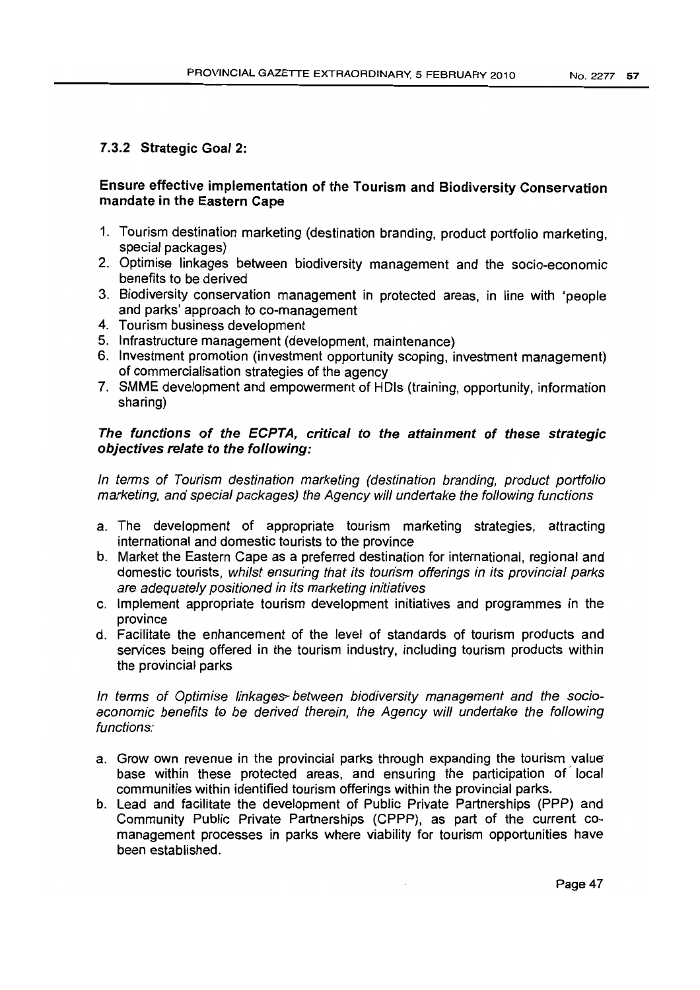# 7.3.2 Strategic Goal 2:

# Ensure effective implementation of the Tourism and Biodiversity Conservation mandate in the Eastern Cape

- 1. Tourism destination marketing (destination branding, product portfolio marketing, special packages)
- 2. Optimise linkages between biodiversity management and the socio-economic benefits to be derived
- 3. Biodiversity conservation management in protected areas, in line with 'people and parks' approach to co-management
- 4. Tourism business development
- 5. Infrastructure management (development, maintenance)
- 6. Investment promotion (investment opportunity scoping, investment management) of commercialisation strategies of the agency
- 7. SMME development and empowerment of HOls (training, opportunity, information sharing)

# The functions of the ECPTA, critical to the attainment of these strategic objectives relate to the following:

In terms of Tourism destination marketing (destination branding, product portfolio marketing, and special packages) the Agency will undertake the following functions

- a. The development of appropriate tourism marketing strategies, attracting international and domestic tourists to the province
- b. Market the Eastern Cape as a preferred destination for international, regional and domestic tourists, whilst ensuring that its tourism offerings in its provincial parks are adequately positioned in its marketing initiatives
- c. Implement appropriate tourism development initiatives and programmes in the province
- d. Facilitate the enhancement of the level of standards of tourism products and services being offered in the tourism industry, including tourism products within the provincial parks

# In terms of Optimise linkages between biodiversity management and the socioeconomic benefits to be derived therein, the Agency will undertake the following functions:

- a. Grow own revenue in the provincial parks through expanding the tourism value" base within these protected areas, and ensuring the participation of local communities within identified tourism offerings within the provincial parks.
- b. Lead and facilitate the development of Public Private Partnerships (PPP) and Community Public Private Partnerships (CPPP), as part of the current comanagement processes in parks where viability for tourism opportunities have been established.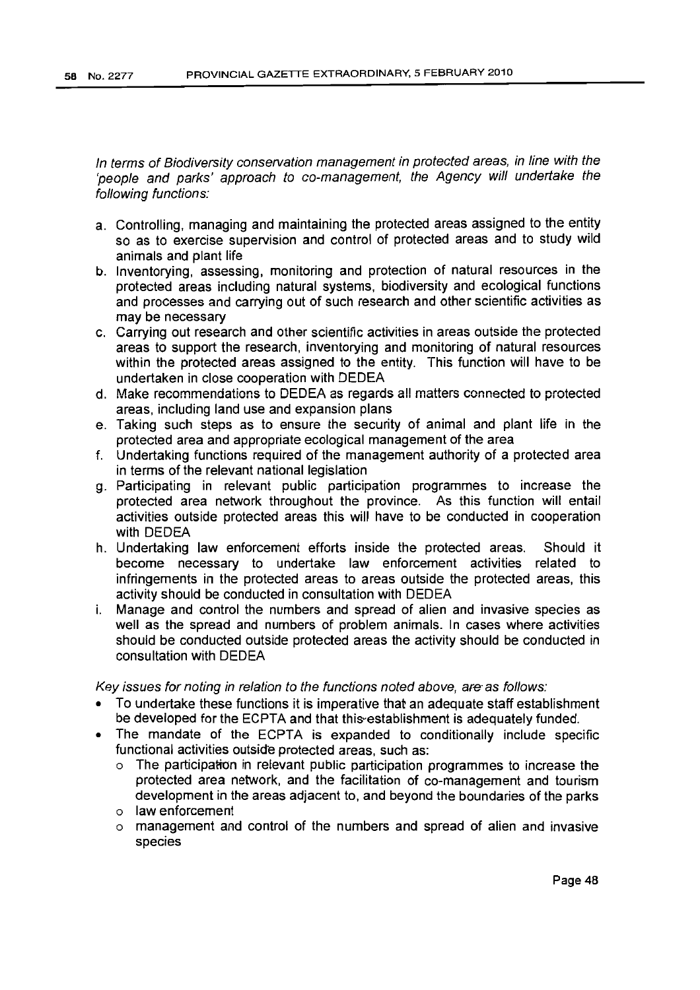In terms of Biodiversity conservation management in protected areas, in line with the 'people and parks' approach to co-management, the Agency will undertake the following functions:

- a. Controlling, managing and maintaining the protected areas assigned to the entity so as to exercise supervision and control of protected areas and to study wild animals and plant life
- b. Inventorying, assessing, monitoring and protection of natural resources in the protected areas including natural systems, biodiversity and ecological functions and processes and carrying out of such research and other scientific activities as may be necessary
- c. Carrying out research and other scientific activities in areas outside the protected areas to support the research, inventorying and monitoring of natural resources within the protected areas assigned to the entity. This function will have to be undertaken in close cooperation with DEDEA
- d. Make recommendations to DEDEA as regards all matters connected to protected areas, including land use and expansion plans
- e. Taking such steps as to ensure the security of animal and plant life in the protected area and appropriate ecological management of the area
- f. Undertaking functions required of the management authority of a protected area in terms of the relevant national legislation
- g. Participating in relevant public participation programmes to increase the protected area network throughout the province. As this function will entail activities outside protected areas this will have to be conducted in cooperation with DEDEA
- h. Undertaking law enforcement efforts inside the protected areas. Should it become necessary to undertake law enforcement activities related to infringements in the protected areas to areas outside the protected areas, this activity should be conducted in consultation with DEDEA
- i. Manage and control the numbers and spread of alien and invasive species as well as the spread and numbers of problem animals. In cases where activities should be conducted outside protected areas the activity should be conducted in consultation with DEDEA

Key issues for noting in relation to the functions noted above, are as follows:

- To undertake these functions it is imperative that an adequate staff establishment be developed for the ECPTA and that this-establishment is adequately funded.
- The mandate of the ECPTA is expanded to conditionally include specific functional activities outside protected areas, such as:
	- o The participation in relevant public participation programmes to increase the protected area network, and the facilitation of co-management and tourism development in the areas adjacent to, and beyond the boundaries of the parks
	- o law enforcement
	- o management and control of the numbers and spread of alien and invasive species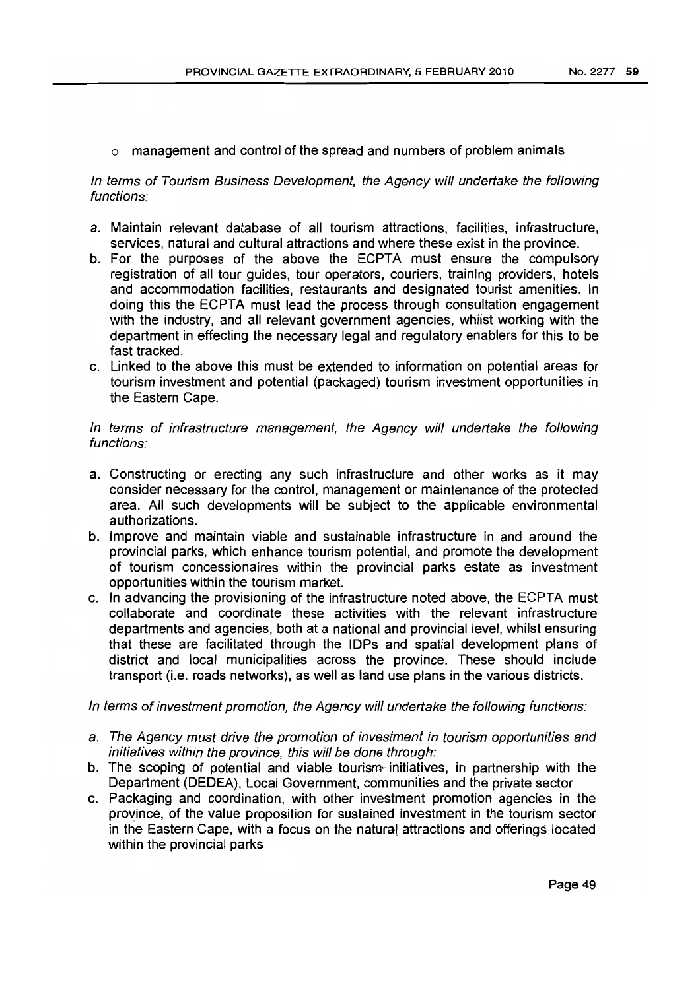o management and control of the spread and numbers of problem animals

# In terms of Tourism Business Development, the Agency will undertake the following functions:

- a. Maintain relevant database of all tourism attractions, facilities, infrastructure, services, natural and cultural attractions and where these exist in the province.
- b. For the purposes of the above the ECPTA must ensure the compulsory registration of all tour guides, tour operators, couriers, training providers, hotels and accommodation facilities, restaurants and designated tourist amenities. In doing this the ECPTA must lead the process through consultation engagement with the industry, and all relevant government agencies, whilst working with the department in effecting the necessary legal and regulatory enablers for this to be fast tracked.
- c. Linked to the above this must be extended to information on potential areas for tourism investment and potential (packaged) tourism investment opportunities in the Eastern Cape.

# In terms of infrastructure management, the Agency will undertake the following functions:

- a. Constructing or erecting any such infrastructure and other works as it may consider necessary for the control, management or maintenance of the protected area. All such developments will be subject to the applicable environmental authorizations.
- b. Improve and maintain viable and sustainable infrastructure in and around the provincial parks, which enhance tourism potential, and promote the development of tourism concessionaires within the provincial parks estate as investment opportunities within the tourism market.
- c. In advancing the provisioning of the infrastructure noted above, the ECPTA must collaborate and coordinate these activities with the relevant infrastructure departments and agencies, both at a national and provincial level, whilst ensuring that these are facilitated through the IDPs and spatial development plans of district and local municipalities across the province. These should include transport (Le. roads networks), as well as land use plans in the various districts.

In terms of investment promotion, the Agency will undertake the following functions:

- a. The Agency must drive the promotion of investment in tourism opportunities and initiatives within the province, this will be done through:
- b. The scoping of potential and viable tourism- initiatives, in partnership with the Department (DEDEA), Local Government, communities and the private sector
- c. Packaging and coordination, with other investment promotion agencies in the province, of the value proposition for sustained investment in the tourism sector in the Eastern Cape, with a focus on the natura! attractions and offerings located within the provincial parks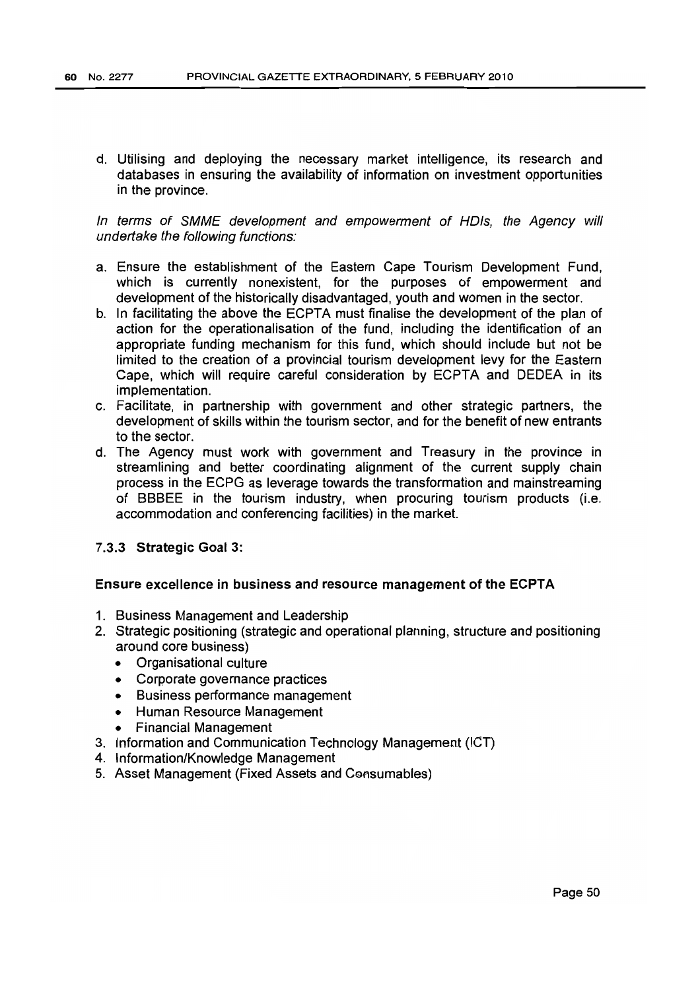d. Utilising and deploying the necessary market intelligence, its research and databases in ensuring the availability of information on investment opportunities in the province.

In terms of SMME development and empowerment of HOls, the Agency will undertake the following functions:

- a. Ensure the establishment of the Eastern Cape Tourism Development Fund, which is currently nonexistent, for the purposes of empowerment and development of the historically disadvantaged, youth and women in the sector.
- b. In facilitating the above the ECPTA must finalise the development of the plan of action for the operationalisation of the fund, including the identification of an appropriate funding mechanism for this fund, which should include but not be limited to the creation of a provincial tourism development levy for the Eastern Cape, which will require careful consideration by ECPTA and DEDEA in its implementation.
- c. Facilitate, in partnership with government and other strategic partners, the development of skills within the tourism sector, and for the benefit of new entrants to the sector.
- d. The Agency must work with government and Treasury in the province in streamlining and better coordinating alignment of the current supply chain process in the ECPG as leverage towards the transformation and mainstreaming of BBBEE in the tourism industry, when procuring tourism products (i.e. accommodation and conferencing facilities) in the market.

## 7.3.3 Strategic Goal 3:

### Ensure excellence in business and resource management of the ECPTA

- 1. Business Management and Leadership
- 2. Strategic positioning (strategic and operational planning, structure and positioning around core business)
	- Organisational culture
	- Corporate governance practices
	- Business performance management
	- Human Resource Management
	- Financial Management
- 3. Information and Communication Technology Management (ICT)
- 4. Information/Knowledge Management
- 5. Asset Management (Fixed Assets and Consumables)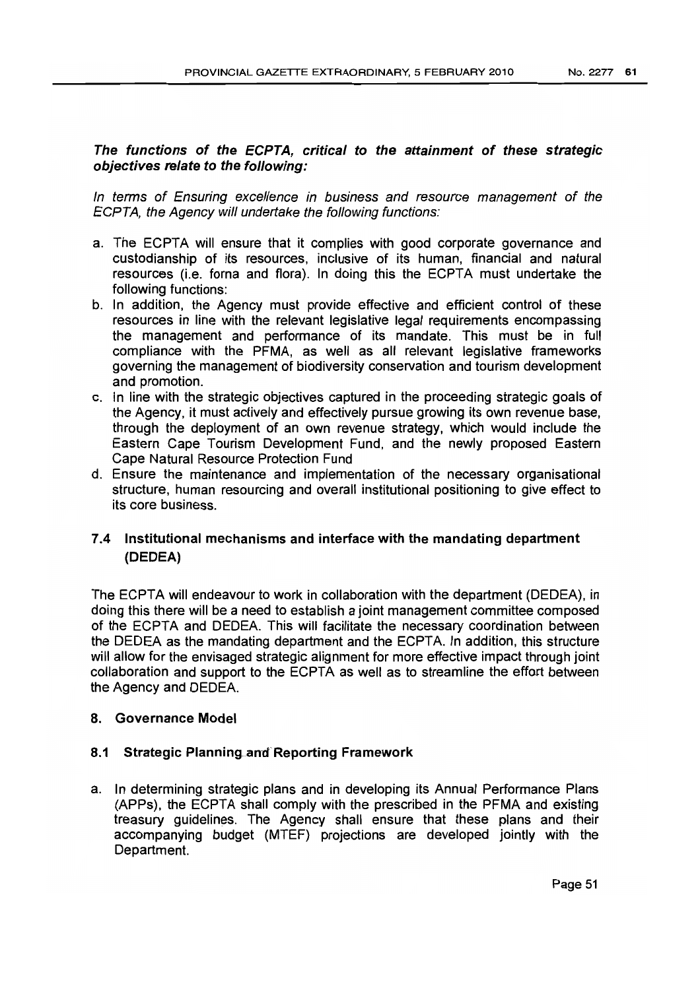# The functions of the ECPTA, critical to the attainment of these strategic objectives relate to the following:

In terms of Ensuring excellence in business and resource management of the ECPTA, the Agency will undertake the following functions:

- a. The ECPTA will ensure that it complies with good corporate governance and custodianship of its resources, inclusive of its human, financial and natural resources (i.e. forna and flora). In doing this the ECPTA must undertake the following functions:
- b. In addition, the Agency must provide effective and efficient control of these resources in line with the relevant legislative legal requirements encompassing the management and performance of its mandate. This must be in full compliance with the PFMA, as well as all relevant legislative frameworks governing the management of biodiversity conservation and tourism development and promotion.
- c. in line with the strategic objectives captured in the proceeding strategic goals of the Agency, it must actively and effectively pursue growing its own revenue base, through the deployment of an own revenue strategy, which would include the Eastern Cape Tourism Development Fund, and the newly proposed Eastern Cape Natural Resource Protection Fund
- d. Ensure the maintenance and implementation of the necessary organisational structure, human resourcing and overall institutional positioning to give effect to its core business.

# 7.4 Institutional mechanisms and interface with the mandating department (DEDEA)

The ECPTA will endeavour to work in collaboration with the department (DEDEA), in doing this there will be a need to establish a joint management committee composed of the ECPTA and DEDEA. This will facilitate the necessary coordination between the DEDEA as the mandating department and the ECPTA. In addition, this structure will allow for the envisaged strategic alignment for more effective impact through joint collaboration and support to the ECPTA as well as to streamline the effort between the Agency and DEDEA.

## 8. Governance Model

# 8.1 Strategic Planning and Reporting Framework

a. In determining strategic plans and in developing its Annual Performance Plans (APPs), the ECPTA shall comply with the prescribed in the PFMA and existing treasury guidelines. The Agency shall ensure that these plans and their accompanying budget (MTEF) projections are developed jointly with the Department.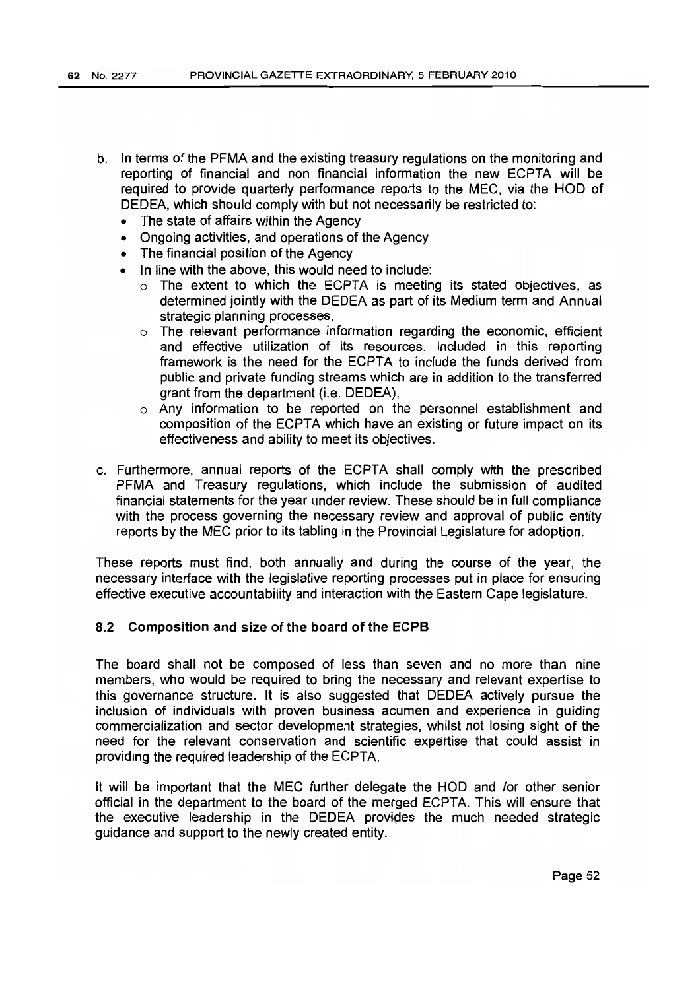- b. In terms of the PFMA and the existing treasury regulations on the monitoring and reporting of financial and non financial information the new ECPTA will be required to provide quarterly performance reports to the MEC, via the HOD of DEDEA, which should comply with but not necessarily be restricted to:
	- The state of affairs within the Agency
	- Ongoing activities, and operations of the Agency
	- The financial position of the Agency
	- In line with the above, this would need to include:
		- o The extent to which the ECPTA is meeting its stated objectives, as determined jointly with the DEDEA as part of its Medium term and Annual strategic planning processes,
		- o The relevant performance information regarding the economic, efficient and effective utilization of its resources. Included in this reporting framework is the need for the ECPTA to include the funds derived from public and private funding streams which are in addition to the transferred grant from the department (*i.e. DEDEA*).
		- $\circ$  Any information to be reported on the personnel establishment and composition of the ECPTA which have an existing or future impact on its effectiveness and ability to meet its objectives.
- c. Furthermore, annual reports of the ECPTA shall comply with the prescribed PFMA and Treasury regulations, which include the submission of audited financial statements for the year under review. These should be in full compliance with the process governing the necessary review and approval of public entity reports by the MEC prior to its tabling in the Provincial Legislature for adoption.

These reports must find, both annually and during the course of the year, the necessary interface with the legislative reporting processes put in place for ensuring effective executive accountability and interaction with the Eastern Cape legislature.

## 8.2 Composition and size of the board of the ECPB

The board shall not be composed of less than seven and no more than nine members, who would be required to bring the necessary and relevant expertise to this governance structure. It is also suggested that DEDEA actively pursue the inclusion of individuals with proven business acumen and experience in guiding commercialization and sector development strategies, whilst not losing sight of the need for the relevant conservation and scientific expertise that could assist in providing the required leadership of the ECPTA.

It will be important that the MEC further delegate the HOD and /or other senior official in the department to the board of the merged ECPTA. This will ensure that the executive leadership in the DEDEA provides the much needed strategic guidance and support to the newly created entity.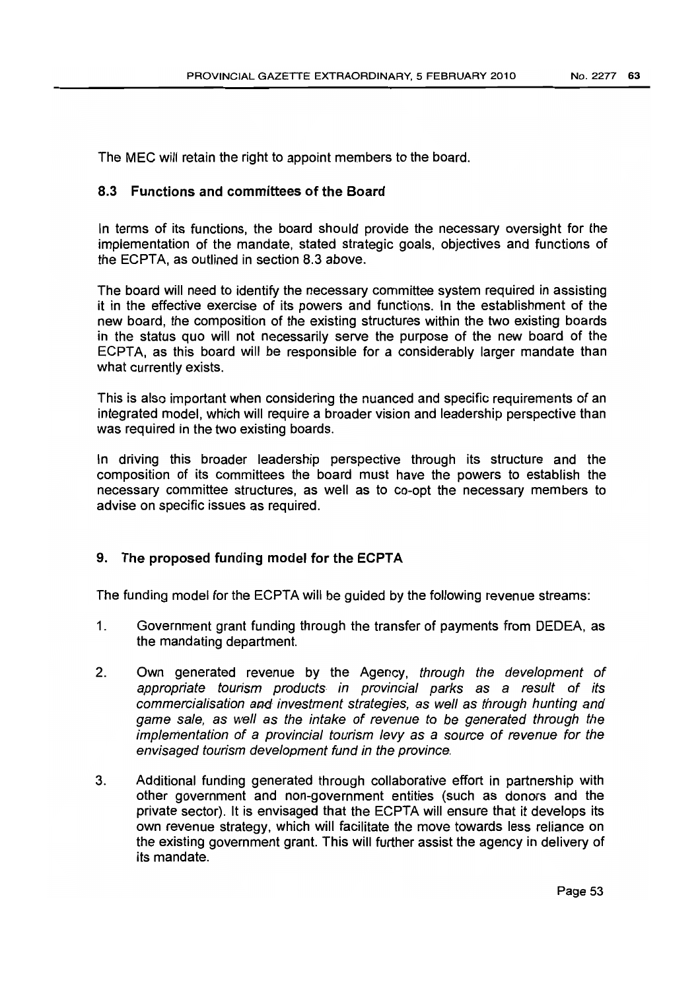The MEC will retain the right to appoint members to the board.

# 8.3 Functions and committees of the Board

In terms of its functions, the board should provide the necessary oversight for the implementation of the mandate, stated strategic goals, objectives and functions of the ECPTA, as outlined in section 8.3 above.

The board will need to identify the necessary committee system required in assisting it in the effective exercise of its powers and functions. In the establishment of the new board, the composition of the existing structures within the two existing boards in the status quo will not necessarily serve the purpose of the new board of the ECPTA, as this board will be responsible for a considerably larger mandate than what currently exists.

This is also important when considering the nuanced and specific requirements of an integrated model, which will require a broader vision and leadership perspective than was required in the two existing boards.

In driving this broader leadership perspective through its structure and the composition of its committees the board must have the powers to establish the necessary committee structures, as well as to co-opt the necessary members to advise on specific issues as required.

# 9. The proposed funding model for the ECPTA

The funding model for the ECPTA will be guided by the following revenue streams:

- 1. Government grant funding through the transfer of payments from DEDEA, as the mandating department.
- 2. Own generated revenue by the Agency, through the development of appropriate tourism products in provincial parks as a result of its commercialisation ead investment strategies, as well as through hunting and game sale, as well as the intake of revenue to be generated through the implementation of a provincial tourism levy as a source of revenue for the envisaged tourism development fund in the province.
- 3. Additional funding generated through collaborative effort in partnership with other government and non-government entities (such as donors and the private sector). It is envisaged that the ECPTA will ensure that it develops its own revenue strategy, which will facilitate the move towards less reliance on the existing government grant. This will further assist the agency in delivery of its mandate.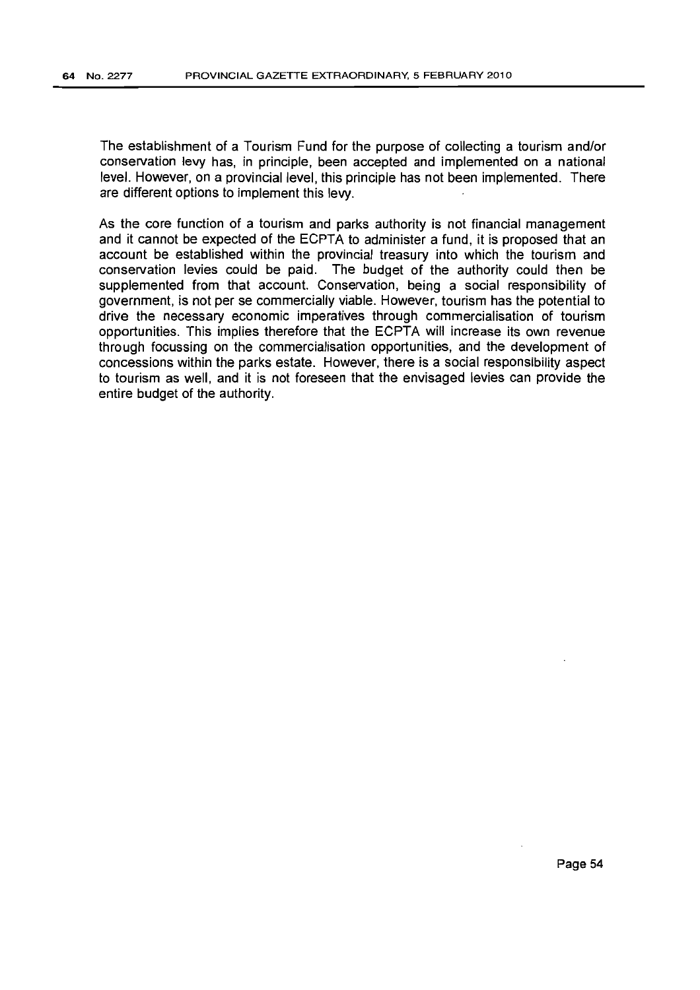The establishment of a Tourism Fund for the purpose of collecting a tourism and/or conservation levy has, in principle, been accepted and implemented on a national level. However, on a provincial level, this principle has not been implemented. There are different options to implement this levy.

As the core function of a tourism and parks authority is not financial management and it cannot be expected of the ECPTA to administer a fund, it is proposed that an account be established within the provincial treasury into which the tourism and conservation levies could be paid. The budget of the authority could then be supplemented from that account. Conservation, being a social responsibility of government, is not per se commercially viable. However, tourism has the potential to drive the necessary economic imperatives through commercialisation of tourism opportunities. This implies therefore that the ECPTA will increase its own revenue through focussing on the commercialisation opportunities, and the development of concessions within the parks estate. However, there is a social responsibility aspect to tourism as well, and it is not foreseen that the envisaged levies can provide the entire budget of the authority.